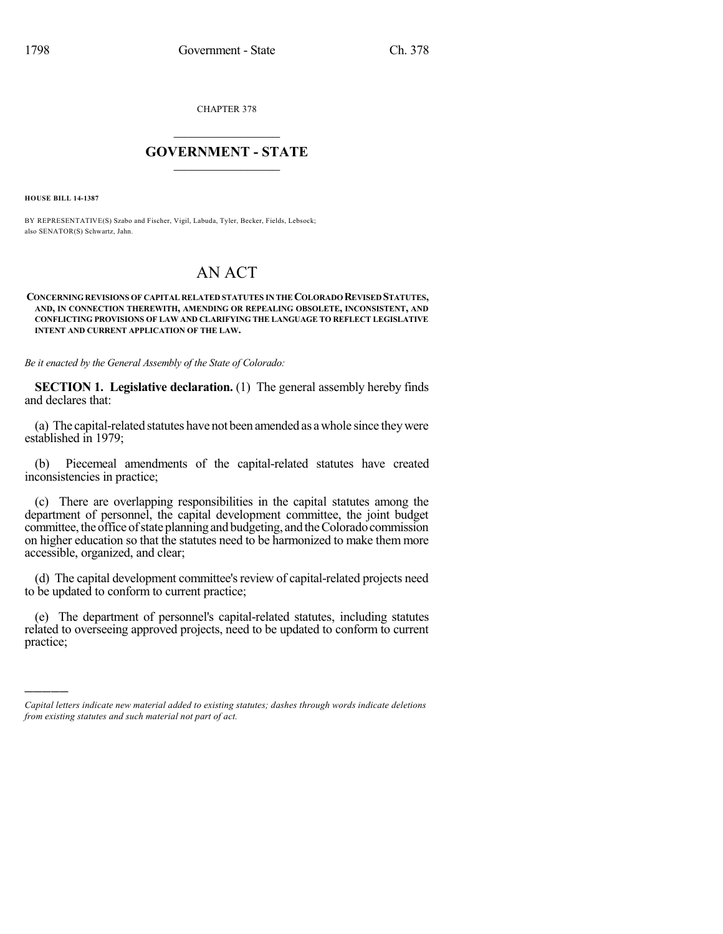CHAPTER 378

## $\mathcal{L}_\text{max}$  . The set of the set of the set of the set of the set of the set of the set of the set of the set of the set of the set of the set of the set of the set of the set of the set of the set of the set of the set **GOVERNMENT - STATE**  $\_$   $\_$

**HOUSE BILL 14-1387**

)))))

BY REPRESENTATIVE(S) Szabo and Fischer, Vigil, Labuda, Tyler, Becker, Fields, Lebsock; also SENATOR(S) Schwartz, Jahn.

# AN ACT

#### **CONCERNINGREVISIONS OF CAPITAL RELATED STATUTES IN THECOLORADOREVISED STATUTES, AND, IN CONNECTION THEREWITH, AMENDING OR REPEALING OBSOLETE, INCONSISTENT, AND CONFLICTING PROVISIONS OF LAW AND CLARIFYING THE LANGUAGE TO REFLECT LEGISLATIVE INTENT AND CURRENT APPLICATION OF THE LAW.**

*Be it enacted by the General Assembly of the State of Colorado:*

**SECTION 1. Legislative declaration.** (1) The general assembly hereby finds and declares that:

(a) The capital-related statutes have not been amended as awhole since theywere established in 1979;

(b) Piecemeal amendments of the capital-related statutes have created inconsistencies in practice;

(c) There are overlapping responsibilities in the capital statutes among the department of personnel, the capital development committee, the joint budget committee, the office of state planning and budgeting, and the Colorado commission on higher education so that the statutes need to be harmonized to make them more accessible, organized, and clear;

(d) The capital development committee's review of capital-related projects need to be updated to conform to current practice;

(e) The department of personnel's capital-related statutes, including statutes related to overseeing approved projects, need to be updated to conform to current practice;

*Capital letters indicate new material added to existing statutes; dashes through words indicate deletions from existing statutes and such material not part of act.*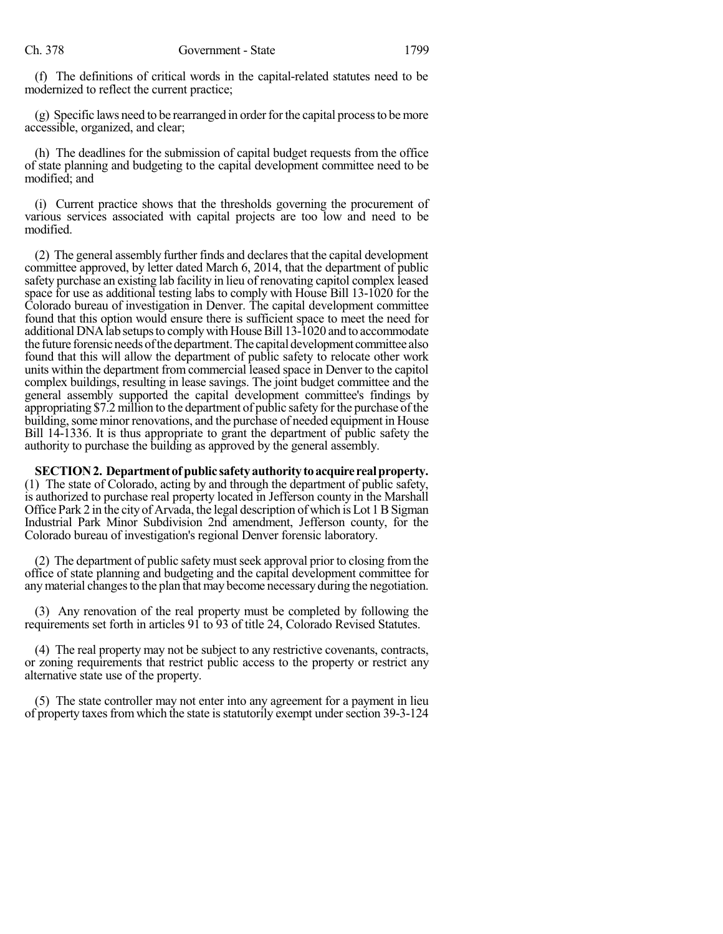(f) The definitions of critical words in the capital-related statutes need to be modernized to reflect the current practice;

 $(g)$  Specific laws need to be rearranged in order for the capital process to be more accessible, organized, and clear;

(h) The deadlines for the submission of capital budget requests from the office of state planning and budgeting to the capital development committee need to be modified; and

(i) Current practice shows that the thresholds governing the procurement of various services associated with capital projects are too low and need to be modified.

(2) The general assembly further finds and declaresthat the capital development committee approved, by letter dated March 6, 2014, that the department of public safety purchase an existing lab facility in lieu of renovating capitol complex leased space for use as additional testing labs to comply with House Bill 13-1020 for the Colorado bureau of investigation in Denver. The capital development committee found that this option would ensure there is sufficient space to meet the need for additional DNA lab setups to comply with House Bill 13-1020 and to accommodate the future forensic needs of the department. The capital development committee also found that this will allow the department of public safety to relocate other work units within the department from commercial leased space in Denver to the capitol complex buildings, resulting in lease savings. The joint budget committee and the general assembly supported the capital development committee's findings by appropriating \$7.2 million to the department of public safety for the purchase of the building, some minor renovations, and the purchase of needed equipment in House Bill 14-1336. It is thus appropriate to grant the department of public safety the authority to purchase the building as approved by the general assembly.

**SECTION2. Departmentofpublic safetyauthoritytoacquirerealproperty.** (1) The state of Colorado, acting by and through the department of public safety, is authorized to purchase real property located in Jefferson county in the Marshall Office Park 2 in the city of Arvada, the legal description of which is Lot 1BSigman Industrial Park Minor Subdivision 2nd amendment, Jefferson county, for the Colorado bureau of investigation's regional Denver forensic laboratory.

(2) The department of public safety must seek approval prior to closing from the office of state planning and budgeting and the capital development committee for any material changes to the plan that may become necessary during the negotiation.

(3) Any renovation of the real property must be completed by following the requirements set forth in articles 91 to 93 of title 24, Colorado Revised Statutes.

(4) The real property may not be subject to any restrictive covenants, contracts, or zoning requirements that restrict public access to the property or restrict any alternative state use of the property.

(5) The state controller may not enter into any agreement for a payment in lieu of property taxes from which the state is statutorily exempt under section 39-3-124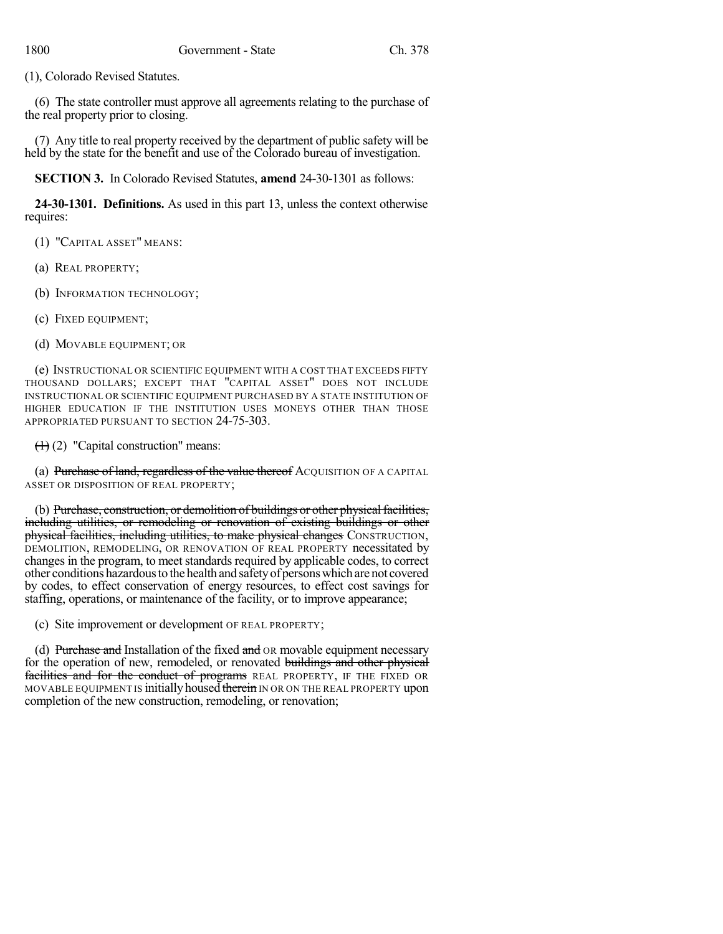(1), Colorado Revised Statutes.

(6) The state controller must approve all agreements relating to the purchase of the real property prior to closing.

(7) Any title to real property received by the department of public safety will be held by the state for the benefit and use of the Colorado bureau of investigation.

**SECTION 3.** In Colorado Revised Statutes, **amend** 24-30-1301 as follows:

**24-30-1301. Definitions.** As used in this part 13, unless the context otherwise requires:

(1) "CAPITAL ASSET" MEANS:

(a) REAL PROPERTY;

(b) INFORMATION TECHNOLOGY;

(c) FIXED EQUIPMENT;

(d) MOVABLE EQUIPMENT; OR

(e) INSTRUCTIONAL OR SCIENTIFIC EQUIPMENT WITH A COST THAT EXCEEDS FIFTY THOUSAND DOLLARS; EXCEPT THAT "CAPITAL ASSET" DOES NOT INCLUDE INSTRUCTIONAL OR SCIENTIFIC EQUIPMENT PURCHASED BY A STATE INSTITUTION OF HIGHER EDUCATION IF THE INSTITUTION USES MONEYS OTHER THAN THOSE APPROPRIATED PURSUANT TO SECTION 24-75-303.

 $<sup>(1)</sup>(2)$  "Capital construction" means:</sup>

(a) Purchase of land, regardless of the value thereof ACQUISITION OF A CAPITAL ASSET OR DISPOSITION OF REAL PROPERTY;

(b) Purchase, construction, or demolition of buildings or other physical facilities, including utilities, or remodeling or renovation of existing buildings or other physical facilities, including utilities, to make physical changes CONSTRUCTION, DEMOLITION, REMODELING, OR RENOVATION OF REAL PROPERTY necessitated by changes in the program, to meet standards required by applicable codes, to correct other conditions hazardous to the health and safety of persons which are not covered by codes, to effect conservation of energy resources, to effect cost savings for staffing, operations, or maintenance of the facility, or to improve appearance;

(c) Site improvement or development OF REAL PROPERTY;

(d) Purchase and Installation of the fixed and OR movable equipment necessary for the operation of new, remodeled, or renovated buildings and other physical facilities and for the conduct of programs REAL PROPERTY, IF THE FIXED OR MOVABLE EQUIPMENT IS initially housed therein IN OR ON THE REAL PROPERTY upon completion of the new construction, remodeling, or renovation;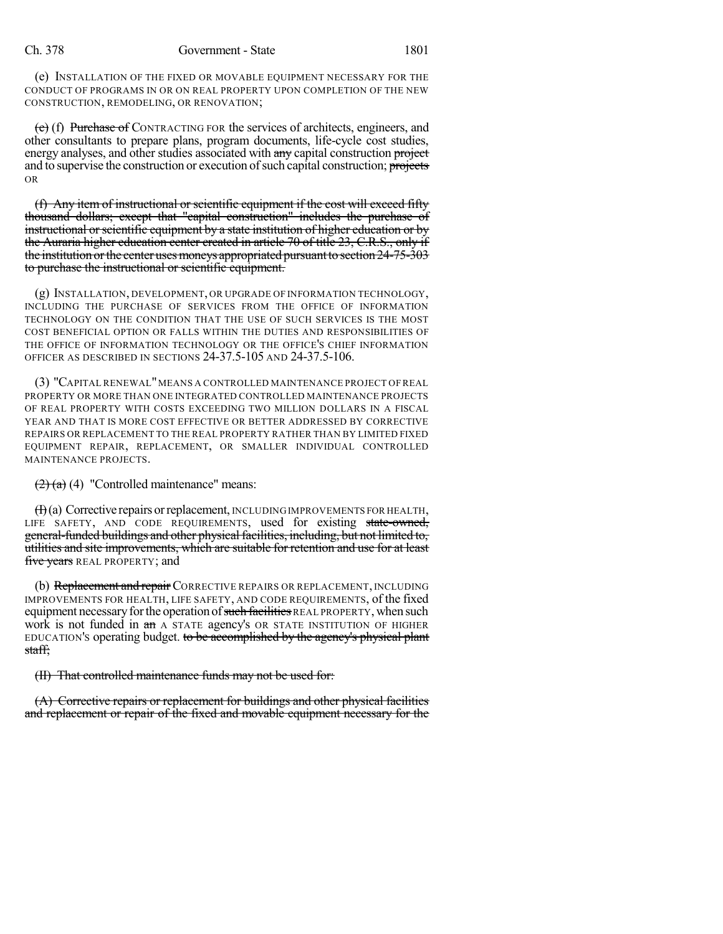(e) INSTALLATION OF THE FIXED OR MOVABLE EQUIPMENT NECESSARY FOR THE CONDUCT OF PROGRAMS IN OR ON REAL PROPERTY UPON COMPLETION OF THE NEW CONSTRUCTION, REMODELING, OR RENOVATION;

 $(e)$  (f) Purchase of CONTRACTING FOR the services of architects, engineers, and other consultants to prepare plans, program documents, life-cycle cost studies, energy analyses, and other studies associated with any capital construction project and to supervise the construction or execution of such capital construction; projects OR

(f) Any item of instructional or scientific equipment if the cost will exceed fifty thousand dollars; except that "capital construction" includes the purchase of instructional orscientific equipment by a state institution of higher education or by the Auraria higher education center created in article 70 of title 23, C.R.S., only if the institution or the center uses moneys appropriated pursuant to section 24-75-303 to purchase the instructional or scientific equipment.

(g) INSTALLATION, DEVELOPMENT, OR UPGRADE OF INFORMATION TECHNOLOGY, INCLUDING THE PURCHASE OF SERVICES FROM THE OFFICE OF INFORMATION TECHNOLOGY ON THE CONDITION THAT THE USE OF SUCH SERVICES IS THE MOST COST BENEFICIAL OPTION OR FALLS WITHIN THE DUTIES AND RESPONSIBILITIES OF THE OFFICE OF INFORMATION TECHNOLOGY OR THE OFFICE'S CHIEF INFORMATION OFFICER AS DESCRIBED IN SECTIONS 24-37.5-105 AND 24-37.5-106.

(3) "CAPITAL RENEWAL"MEANS A CONTROLLED MAINTENANCE PROJECT OF REAL PROPERTY OR MORE THAN ONE INTEGRATED CONTROLLED MAINTENANCE PROJECTS OF REAL PROPERTY WITH COSTS EXCEEDING TWO MILLION DOLLARS IN A FISCAL YEAR AND THAT IS MORE COST EFFECTIVE OR BETTER ADDRESSED BY CORRECTIVE REPAIRS OR REPLACEMENT TO THE REAL PROPERTY RATHER THAN BY LIMITED FIXED EQUIPMENT REPAIR, REPLACEMENT, OR SMALLER INDIVIDUAL CONTROLLED MAINTENANCE PROJECTS.

 $\left(\frac{2}{2}\right)$  (a) (4) "Controlled maintenance" means:

 $(H)$ (a) Corrective repairs or replacement, INCLUDING IMPROVEMENTS FOR HEALTH, LIFE SAFETY, AND CODE REQUIREMENTS, used for existing state-owned, general-funded buildings and other physical facilities, including, but not limited to, utilities and site improvements, which are suitable for retention and use for at least five years REAL PROPERTY; and

(b) Replacement and repair CORRECTIVE REPAIRS OR REPLACEMENT, INCLUDING IMPROVEMENTS FOR HEALTH, LIFE SAFETY, AND CODE REQUIREMENTS, of the fixed equipment necessary for the operation of such facilities REAL PROPERTY, when such work is not funded in  $\theta$  and A STATE agency's OR STATE INSTITUTION OF HIGHER EDUCATION'S operating budget. to be accomplished by the agency's physical plant staff;

(II) That controlled maintenance funds may not be used for:

(A) Corrective repairs or replacement for buildings and other physical facilities and replacement or repair of the fixed and movable equipment necessary for the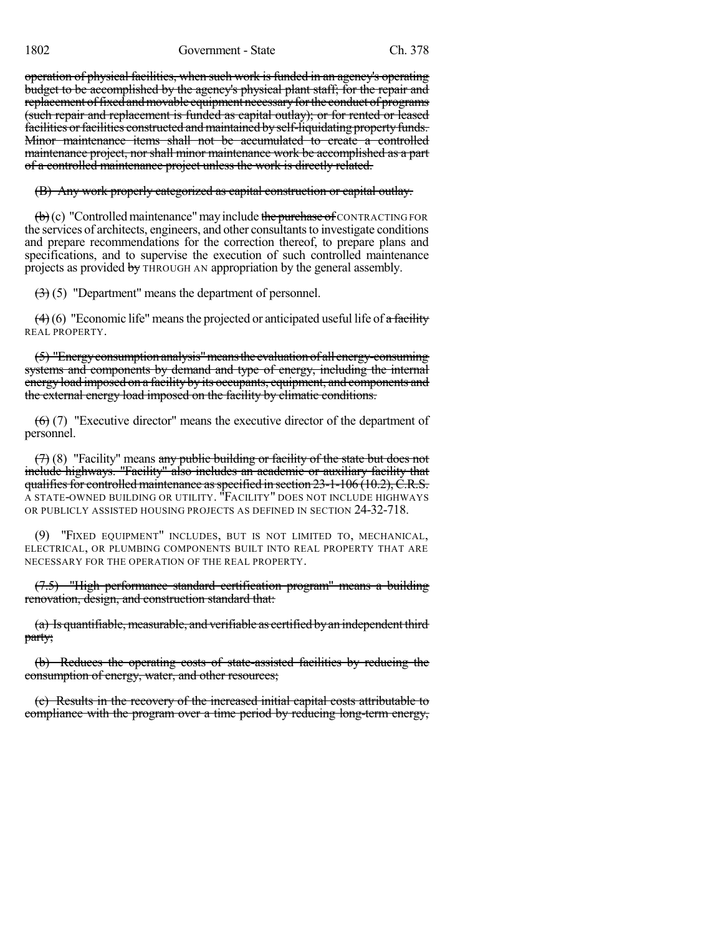operation of physical facilities, when such work is funded in an agency's operating budget to be accomplished by the agency's physical plant staff; for the repair and replacement of fixed and movable equipment necessary for the conduct of programs (such repair and replacement is funded as capital outlay); or for rented or leased facilities or facilities constructed and maintained by self-liquidating property funds. Minor maintenance items shall not be accumulated to create a controlled maintenance project, nor shall minor maintenance work be accomplished as a part of a controlled maintenance project unless the work is directly related.

(B) Any work properly categorized as capital construction or capital outlay.

 $\left(\mathbf{b}\right)$  (c) "Controlled maintenance" may include the purchase of CONTRACTING FOR the services of architects, engineers, and other consultants to investigate conditions and prepare recommendations for the correction thereof, to prepare plans and specifications, and to supervise the execution of such controlled maintenance projects as provided by THROUGH AN appropriation by the general assembly.

 $\left(\frac{1}{2}\right)$  (5) "Department" means the department of personnel.

 $(4)(6)$  "Economic life" means the projected or anticipated useful life of a facility REAL PROPERTY.

(5) "Energyconsumptionanalysis"meansthe evaluationof all energy-consuming systems and components by demand and type of energy, including the internal energy load imposed on a facility by its occupants, equipment, and components and the external energy load imposed on the facility by climatic conditions.

(6) (7) "Executive director" means the executive director of the department of personnel.

 $(7)(8)$  "Facility" means any public building or facility of the state but does not include highways. "Facility" also includes an academic or auxiliary facility that qualifies for controlled maintenance as specified in section  $23-1-106$  (10.2), C.R.S. A STATE-OWNED BUILDING OR UTILITY. "FACILITY" DOES NOT INCLUDE HIGHWAYS OR PUBLICLY ASSISTED HOUSING PROJECTS AS DEFINED IN SECTION 24-32-718.

(9) "FIXED EQUIPMENT" INCLUDES, BUT IS NOT LIMITED TO, MECHANICAL, ELECTRICAL, OR PLUMBING COMPONENTS BUILT INTO REAL PROPERTY THAT ARE NECESSARY FOR THE OPERATION OF THE REAL PROPERTY.

(7.5) "High performance standard certification program" means a building renovation, design, and construction standard that:

 $(a)$  Is quantifiable, measurable, and verifiable as certified by an independent third party;

(b) Reduces the operating costs of state-assisted facilities by reducing the consumption of energy, water, and other resources;

(c) Results in the recovery of the increased initial capital costs attributable to compliance with the program over a time period by reducing long-term energy,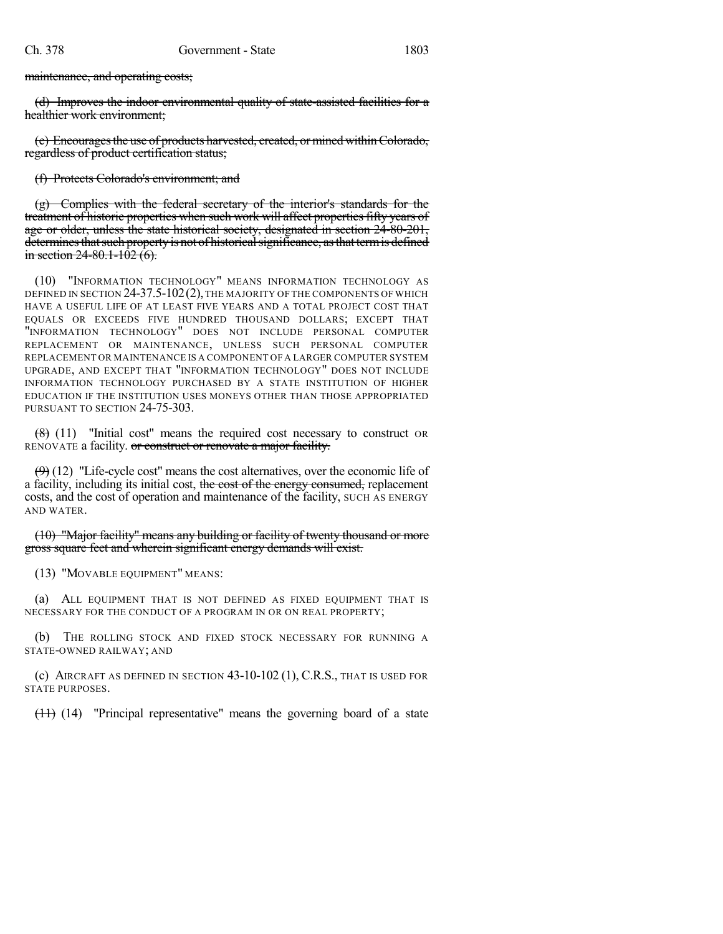maintenance, and operating costs;

(d) Improves the indoor environmental quality of state-assisted facilities for a healthier work environment;

(e) Encourages the use of products harvested, created, or mined within Colorado, regardless of product certification status;

(f) Protects Colorado's environment; and

 $(g)$  Complies with the federal secretary of the interior's standards for the treatment of historic properties when such work will affect propertiesfifty years of age or older, unless the state historical society, designated in section 24-80-201, determines that such property is not of historical significance, as that term is defined in section  $24-80.1-102(6)$ .

(10) "INFORMATION TECHNOLOGY" MEANS INFORMATION TECHNOLOGY AS DEFINED IN SECTION 24-37.5-102(2), THE MAJORITY OF THE COMPONENTS OF WHICH HAVE A USEFUL LIFE OF AT LEAST FIVE YEARS AND A TOTAL PROJECT COST THAT EQUALS OR EXCEEDS FIVE HUNDRED THOUSAND DOLLARS; EXCEPT THAT "INFORMATION TECHNOLOGY" DOES NOT INCLUDE PERSONAL COMPUTER REPLACEMENT OR MAINTENANCE, UNLESS SUCH PERSONAL COMPUTER REPLACEMENT OR MAINTENANCE IS A COMPONENT OF A LARGER COMPUTER SYSTEM UPGRADE, AND EXCEPT THAT "INFORMATION TECHNOLOGY" DOES NOT INCLUDE INFORMATION TECHNOLOGY PURCHASED BY A STATE INSTITUTION OF HIGHER EDUCATION IF THE INSTITUTION USES MONEYS OTHER THAN THOSE APPROPRIATED PURSUANT TO SECTION 24-75-303.

 $(8)$  (11) "Initial cost" means the required cost necessary to construct OR RENOVATE a facility. or construct or renovate a major facility.

 $(9)$  (12) "Life-cycle cost" means the cost alternatives, over the economic life of a facility, including its initial cost, the cost of the energy consumed, replacement costs, and the cost of operation and maintenance of the facility, SUCH AS ENERGY AND WATER.

(10) "Major facility" means any building or facility of twenty thousand or more gross square feet and wherein significant energy demands will exist.

(13) "MOVABLE EQUIPMENT" MEANS:

(a) ALL EQUIPMENT THAT IS NOT DEFINED AS FIXED EQUIPMENT THAT IS NECESSARY FOR THE CONDUCT OF A PROGRAM IN OR ON REAL PROPERTY;

(b) THE ROLLING STOCK AND FIXED STOCK NECESSARY FOR RUNNING A STATE-OWNED RAILWAY; AND

(c) AIRCRAFT AS DEFINED IN SECTION 43-10-102 (1), C.R.S., THAT IS USED FOR STATE PURPOSES.

(11) (14) "Principal representative" means the governing board of a state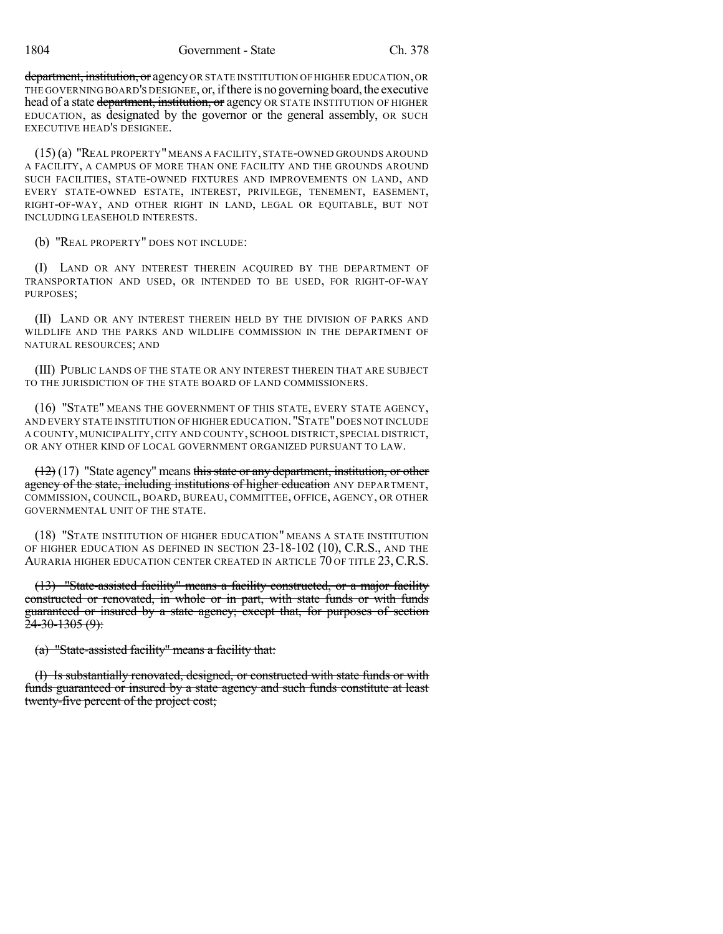department, institution, or agency OR STATE INSTITUTION OF HIGHER EDUCATION, OR THE GOVERNING BOARD'S DESIGNEE, or, if there is no governing board, the executive head of a state department, institution, or agency OR STATE INSTITUTION OF HIGHER EDUCATION, as designated by the governor or the general assembly, OR SUCH EXECUTIVE HEAD'S DESIGNEE.

(15) (a) "REAL PROPERTY" MEANS A FACILITY, STATE-OWNED GROUNDS AROUND A FACILITY, A CAMPUS OF MORE THAN ONE FACILITY AND THE GROUNDS AROUND SUCH FACILITIES, STATE-OWNED FIXTURES AND IMPROVEMENTS ON LAND, AND EVERY STATE-OWNED ESTATE, INTEREST, PRIVILEGE, TENEMENT, EASEMENT, RIGHT-OF-WAY, AND OTHER RIGHT IN LAND, LEGAL OR EQUITABLE, BUT NOT INCLUDING LEASEHOLD INTERESTS.

(b) "REAL PROPERTY" DOES NOT INCLUDE:

(I) LAND OR ANY INTEREST THEREIN ACQUIRED BY THE DEPARTMENT OF TRANSPORTATION AND USED, OR INTENDED TO BE USED, FOR RIGHT-OF-WAY PURPOSES;

(II) LAND OR ANY INTEREST THEREIN HELD BY THE DIVISION OF PARKS AND WILDLIFE AND THE PARKS AND WILDLIFE COMMISSION IN THE DEPARTMENT OF NATURAL RESOURCES; AND

(III) PUBLIC LANDS OF THE STATE OR ANY INTEREST THEREIN THAT ARE SUBJECT TO THE JURISDICTION OF THE STATE BOARD OF LAND COMMISSIONERS.

(16) "STATE" MEANS THE GOVERNMENT OF THIS STATE, EVERY STATE AGENCY, AND EVERY STATE INSTITUTION OF HIGHER EDUCATION."STATE"DOES NOT INCLUDE A COUNTY,MUNICIPALITY, CITY AND COUNTY, SCHOOL DISTRICT, SPECIAL DISTRICT, OR ANY OTHER KIND OF LOCAL GOVERNMENT ORGANIZED PURSUANT TO LAW.

 $(12)(17)$  "State agency" means this state or any department, institution, or other agency of the state, including institutions of higher education ANY DEPARTMENT, COMMISSION, COUNCIL, BOARD, BUREAU, COMMITTEE, OFFICE, AGENCY, OR OTHER GOVERNMENTAL UNIT OF THE STATE.

(18) "STATE INSTITUTION OF HIGHER EDUCATION" MEANS A STATE INSTITUTION OF HIGHER EDUCATION AS DEFINED IN SECTION 23-18-102 (10), C.R.S., AND THE AURARIA HIGHER EDUCATION CENTER CREATED IN ARTICLE 70 OF TITLE 23, C.R.S.

(13) "State-assisted facility" means a facility constructed, or a major facility constructed or renovated, in whole or in part, with state funds or with funds guaranteed or insured by a state agency; except that, for purposes of section  $24 - 30 - 1305(9)$ :

(a) "State-assisted facility" means a facility that:

(I) Is substantially renovated, designed, or constructed with state funds or with funds guaranteed or insured by a state agency and such funds constitute at least twenty-five percent of the project cost;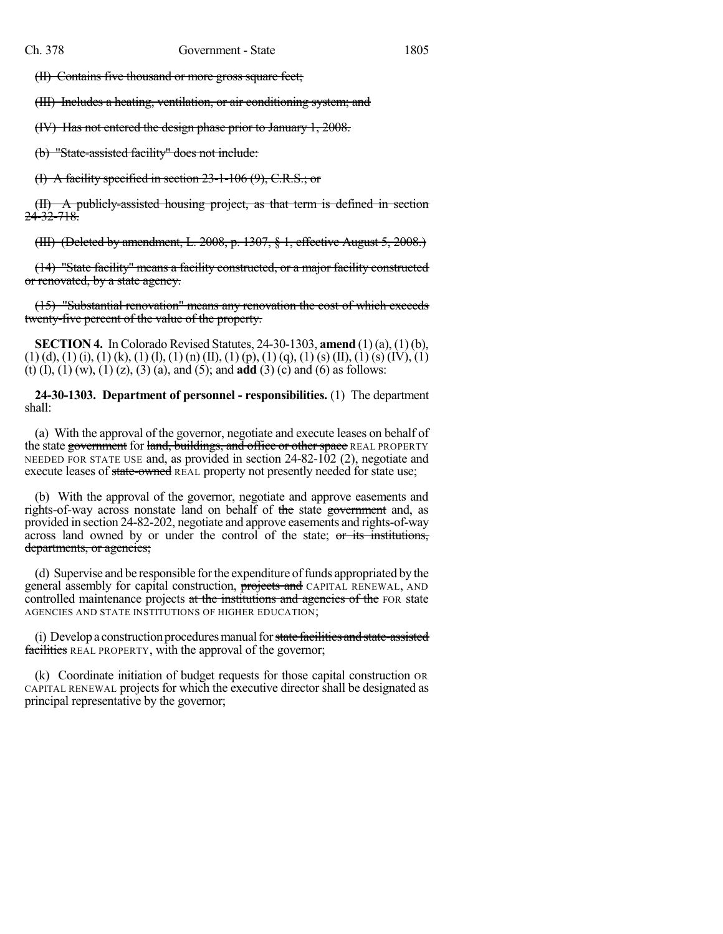(II) Contains five thousand or more gross square feet;

(III) Includes a heating, ventilation, or air conditioning system; and

(IV) Has not entered the design phase prior to January 1, 2008.

(b) "State-assisted facility" does not include:

(I) A facility specified in section 23-1-106 (9), C.R.S.; or

(II) A publicly-assisted housing project, as that term is defined in section  $24 - 32 - 718.$ 

(III) (Deleted by amendment, L. 2008, p. 1307,  $\S$  1, effective August 5, 2008.)

(14) "State facility" means a facility constructed, or a major facility constructed or renovated, by a state agency.

(15) "Substantial renovation" means any renovation the cost of which exceeds twenty-five percent of the value of the property.

**SECTION 4.** In Colorado Revised Statutes, 24-30-1303, **amend** (1) (a), (1)(b),  $(1)$  (d),  $(1)$  (i),  $(1)$  (k),  $(1)$  (l),  $(1)$  (n)  $(II)$ ,  $(1)$  (p),  $(1)$  (q),  $(1)$  (s)  $(II)$ ,  $(1)$  (s)  $(IV)$ ,  $(1)$ (t) (I), (1) (w), (1) (z), (3) (a), and (5); and **add** (3) (c) and (6) as follows:

**24-30-1303. Department of personnel - responsibilities.** (1) The department shall:

(a) With the approval of the governor, negotiate and execute leases on behalf of the state government for land, buildings, and office or other space REAL PROPERTY NEEDED FOR STATE USE and, as provided in section 24-82-102 (2), negotiate and execute leases of state-owned REAL property not presently needed for state use;

(b) With the approval of the governor, negotiate and approve easements and rights-of-way across nonstate land on behalf of the state government and, as provided in section 24-82-202, negotiate and approve easements and rights-of-way across land owned by or under the control of the state; or its institutions, departments, or agencies;

(d) Supervise and be responsible for the expenditure of funds appropriated by the general assembly for capital construction, projects and CAPITAL RENEWAL, AND controlled maintenance projects at the institutions and agencies of the FOR state AGENCIES AND STATE INSTITUTIONS OF HIGHER EDUCATION;

(i) Develop a construction procedures manual for state facilities and state-assisted facilities REAL PROPERTY, with the approval of the governor;

(k) Coordinate initiation of budget requests for those capital construction OR CAPITAL RENEWAL projects for which the executive director shall be designated as principal representative by the governor;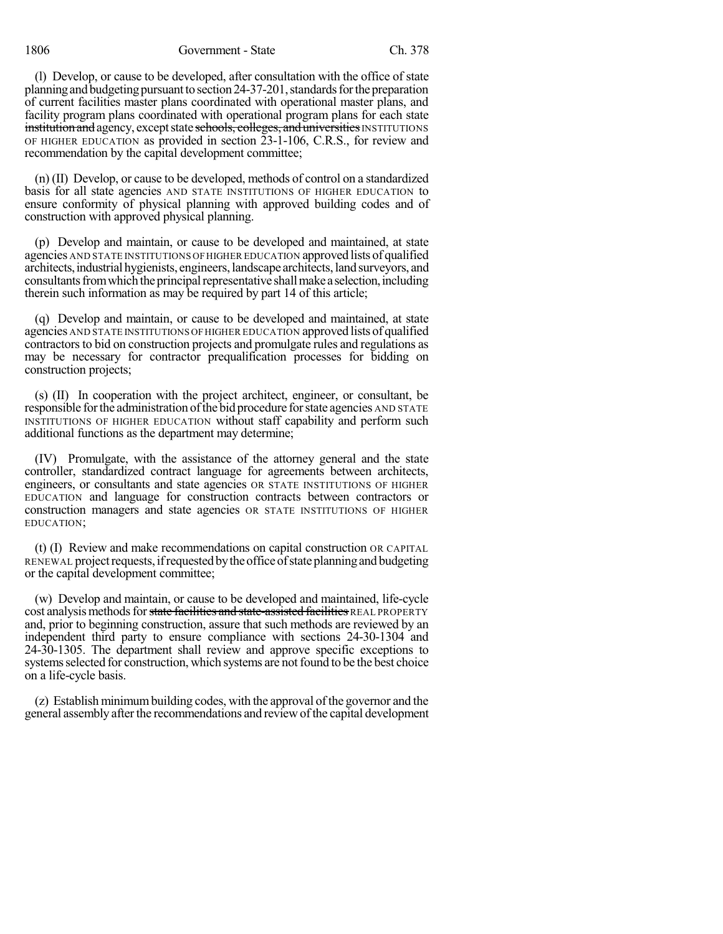1806 Government - State Ch. 378

(l) Develop, or cause to be developed, after consultation with the office of state planning and budgeting pursuant to section 24-37-201, standards for the preparation of current facilities master plans coordinated with operational master plans, and facility program plans coordinated with operational program plans for each state institution and agency, except state schools, colleges, and universities INSTITUTIONS OF HIGHER EDUCATION as provided in section 23-1-106, C.R.S., for review and recommendation by the capital development committee;

(n) (II) Develop, or cause to be developed, methods of control on a standardized basis for all state agencies AND STATE INSTITUTIONS OF HIGHER EDUCATION to ensure conformity of physical planning with approved building codes and of construction with approved physical planning.

(p) Develop and maintain, or cause to be developed and maintained, at state agencies AND STATE INSTITUTIONS OFHIGHER EDUCATION approved lists of qualified architects, industrial hygienists, engineers, landscape architects, land surveyors, and consultants from which the principal representative shall make a selection, including therein such information as may be required by part 14 of this article;

(q) Develop and maintain, or cause to be developed and maintained, at state agencies AND STATE INSTITUTIONS OFHIGHER EDUCATION approved lists of qualified contractors to bid on construction projects and promulgate rules and regulations as may be necessary for contractor prequalification processes for bidding on construction projects;

(s) (II) In cooperation with the project architect, engineer, or consultant, be responsible for the administration of the bid procedure for state agencies AND STATE INSTITUTIONS OF HIGHER EDUCATION without staff capability and perform such additional functions as the department may determine;

(IV) Promulgate, with the assistance of the attorney general and the state controller, standardized contract language for agreements between architects, engineers, or consultants and state agencies OR STATE INSTITUTIONS OF HIGHER EDUCATION and language for construction contracts between contractors or construction managers and state agencies OR STATE INSTITUTIONS OF HIGHER EDUCATION;

(t) (I) Review and make recommendations on capital construction OR CAPITAL RENEWAL project requests, if requested by the office of state planning and budgeting or the capital development committee;

(w) Develop and maintain, or cause to be developed and maintained, life-cycle cost analysis methods for state facilities and state-assisted facilities REAL PROPERTY and, prior to beginning construction, assure that such methods are reviewed by an independent third party to ensure compliance with sections 24-30-1304 and 24-30-1305. The department shall review and approve specific exceptions to systems selected for construction, which systems are not found to be the best choice on a life-cycle basis.

(z) Establish minimum building codes, with the approval of the governor and the general assembly after the recommendations and review of the capital development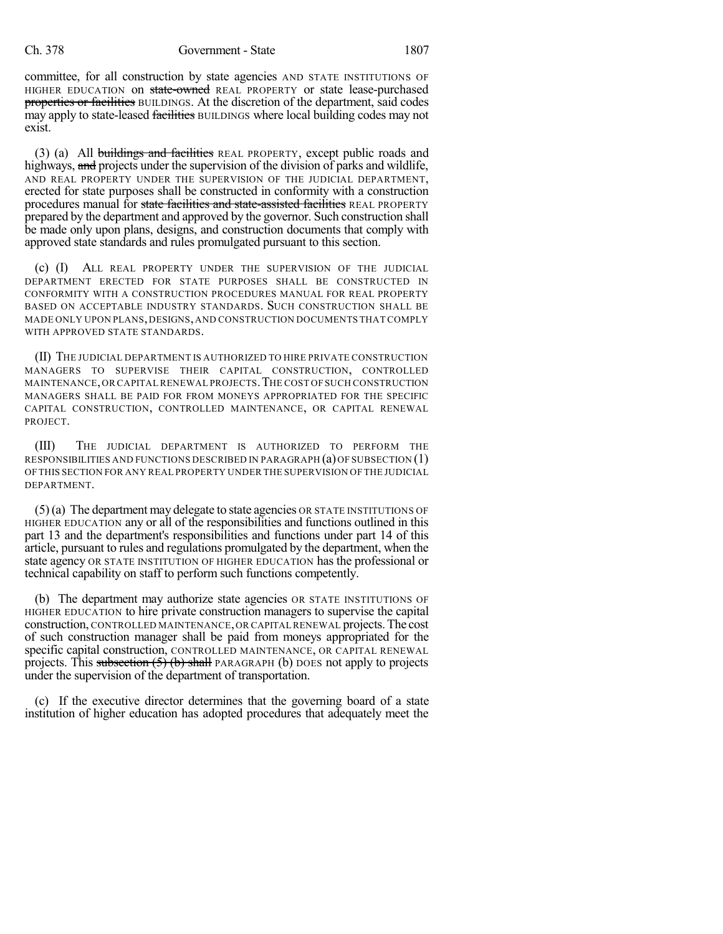committee, for all construction by state agencies AND STATE INSTITUTIONS OF HIGHER EDUCATION on state-owned REAL PROPERTY or state lease-purchased properties or facilities BUILDINGS. At the discretion of the department, said codes may apply to state-leased facilities BUILDINGS where local building codes may not exist.

(3) (a) All buildings and facilities REAL PROPERTY, except public roads and highways, and projects under the supervision of the division of parks and wildlife, AND REAL PROPERTY UNDER THE SUPERVISION OF THE JUDICIAL DEPARTMENT, erected for state purposes shall be constructed in conformity with a construction procedures manual for state facilities and state-assisted facilities REAL PROPERTY prepared by the department and approved by the governor. Such construction shall be made only upon plans, designs, and construction documents that comply with approved state standards and rules promulgated pursuant to this section.

(c) (I) ALL REAL PROPERTY UNDER THE SUPERVISION OF THE JUDICIAL DEPARTMENT ERECTED FOR STATE PURPOSES SHALL BE CONSTRUCTED IN CONFORMITY WITH A CONSTRUCTION PROCEDURES MANUAL FOR REAL PROPERTY BASED ON ACCEPTABLE INDUSTRY STANDARDS. SUCH CONSTRUCTION SHALL BE MADE ONLY UPON PLANS, DESIGNS, AND CONSTRUCTION DOCUMENTS THAT COMPLY WITH APPROVED STATE STANDARDS.

(II) THE JUDICIAL DEPARTMENT IS AUTHORIZED TO HIRE PRIVATE CONSTRUCTION MANAGERS TO SUPERVISE THEIR CAPITAL CONSTRUCTION, CONTROLLED MAINTENANCE,OR CAPITAL RENEWAL PROJECTS.THE COST OF SUCH CONSTRUCTION MANAGERS SHALL BE PAID FOR FROM MONEYS APPROPRIATED FOR THE SPECIFIC CAPITAL CONSTRUCTION, CONTROLLED MAINTENANCE, OR CAPITAL RENEWAL PROJECT.

(III) THE JUDICIAL DEPARTMENT IS AUTHORIZED TO PERFORM THE RESPONSIBILITIES AND FUNCTIONS DESCRIBED IN PARAGRAPH (a)OF SUBSECTION (1) OF THIS SECTION FOR ANY REAL PROPERTY UNDER THE SUPERVISION OF THE JUDICIAL DEPARTMENT.

(5)(a) The department may delegate to state agencies OR STATE INSTITUTIONS OF HIGHER EDUCATION any or all of the responsibilities and functions outlined in this part 13 and the department's responsibilities and functions under part 14 of this article, pursuant to rules and regulations promulgated by the department, when the state agency OR STATE INSTITUTION OF HIGHER EDUCATION has the professional or technical capability on staff to perform such functions competently.

(b) The department may authorize state agencies OR STATE INSTITUTIONS OF HIGHER EDUCATION to hire private construction managers to supervise the capital construction, CONTROLLED MAINTENANCE,OR CAPITAL RENEWAL projects.The cost of such construction manager shall be paid from moneys appropriated for the specific capital construction, CONTROLLED MAINTENANCE, OR CAPITAL RENEWAL projects. This subsection  $(5)$  (b) shall PARAGRAPH (b) DOES not apply to projects under the supervision of the department of transportation.

(c) If the executive director determines that the governing board of a state institution of higher education has adopted procedures that adequately meet the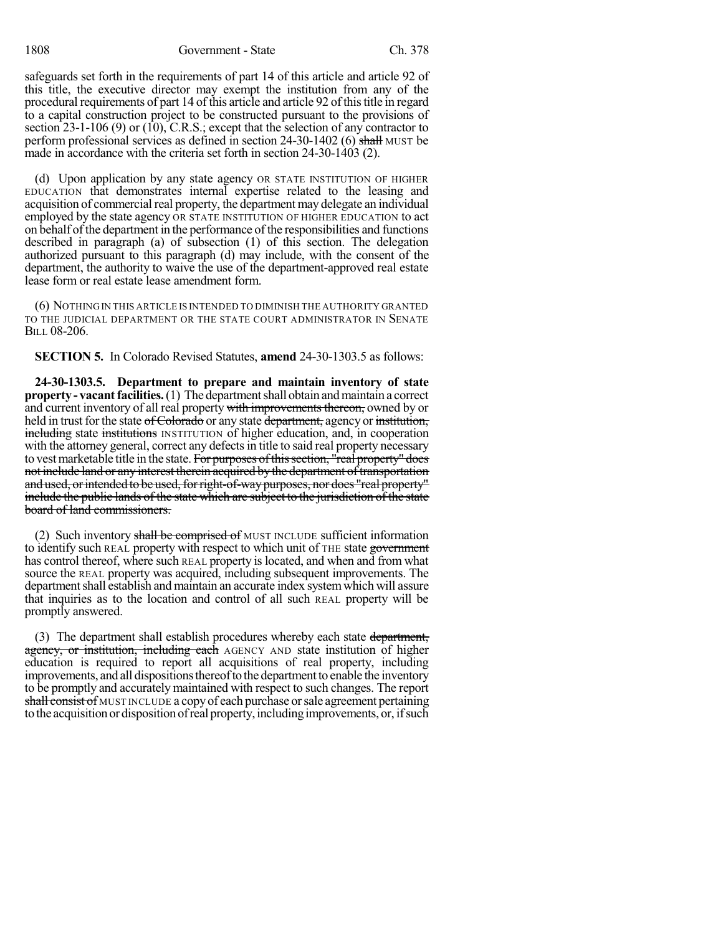1808 Government - State Ch. 378

safeguards set forth in the requirements of part 14 of this article and article 92 of this title, the executive director may exempt the institution from any of the procedural requirements of part 14 of this article and article 92 ofthistitle in regard to a capital construction project to be constructed pursuant to the provisions of section 23-1-106 (9) or (10), C.R.S.; except that the selection of any contractor to perform professional services as defined in section 24-30-1402 (6) shall MUST be made in accordance with the criteria set forth in section 24-30-1403 (2).

(d) Upon application by any state agency OR STATE INSTITUTION OF HIGHER EDUCATION that demonstrates internal expertise related to the leasing and acquisition of commercial real property, the department may delegate an individual employed by the state agency OR STATE INSTITUTION OF HIGHER EDUCATION to act on behalf ofthe department in the performance of the responsibilities and functions described in paragraph (a) of subsection (1) of this section. The delegation authorized pursuant to this paragraph (d) may include, with the consent of the department, the authority to waive the use of the department-approved real estate lease form or real estate lease amendment form.

(6) NOTHING IN THIS ARTICLE IS INTENDED TO DIMINISH THE AUTHORITY GRANTED TO THE JUDICIAL DEPARTMENT OR THE STATE COURT ADMINISTRATOR IN SENATE BILL 08-206.

**SECTION 5.** In Colorado Revised Statutes, **amend** 24-30-1303.5 as follows:

**24-30-1303.5. Department to prepare and maintain inventory of state property - vacant facilities.** (1) The department shall obtain and maintain a correct and current inventory of all real property with improvements thereon, owned by or held in trust for the state of Colorado or any state department, agency or institution, including state institutions INSTITUTION of higher education, and, in cooperation with the attorney general, correct any defects in title to said real property necessary to vest marketable title in the state. For purposes of this section, "real property" does not include land or any interest therein acquired by the department of transportation and used, or intended to be used, for right-of-way purposes, nor does "real property" include the public lands of the state which are subject to the jurisdiction of the state board of land commissioners.

(2) Such inventory shall be comprised of MUST INCLUDE sufficient information to identify such REAL property with respect to which unit of THE state government has control thereof, where such REAL property is located, and when and from what source the REAL property was acquired, including subsequent improvements. The department shall establish and maintain an accurate index system which will assure that inquiries as to the location and control of all such REAL property will be promptly answered.

(3) The department shall establish procedures whereby each state department, agency, or institution, including each AGENCY AND state institution of higher education is required to report all acquisitions of real property, including improvements, and all dispositions thereof to the department to enable the inventory to be promptly and accurately maintained with respect to such changes. The report shall consist of MUST INCLUDE a copy of each purchase or sale agreement pertaining to the acquisition or disposition of real property, including improvements, or, if such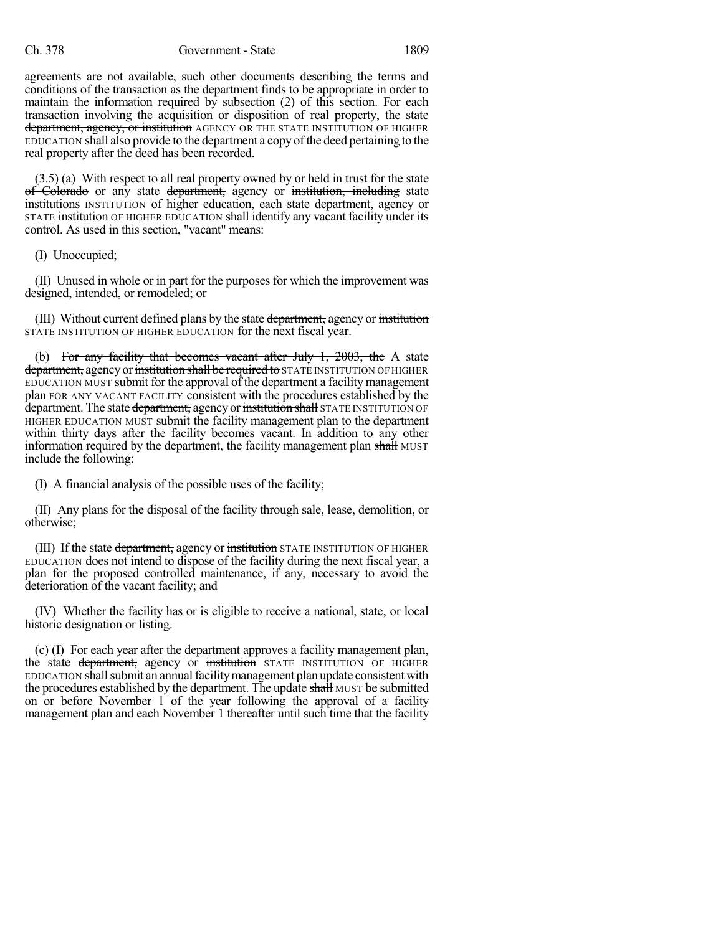agreements are not available, such other documents describing the terms and conditions of the transaction as the department finds to be appropriate in order to maintain the information required by subsection (2) of this section. For each transaction involving the acquisition or disposition of real property, the state department, agency, or institution AGENCY OR THE STATE INSTITUTION OF HIGHER EDUCATION shall also provide to the department a copy of the deed pertaining to the real property after the deed has been recorded.

(3.5) (a) With respect to all real property owned by or held in trust for the state of Colorado or any state department, agency or institution, including state institutions INSTITUTION of higher education, each state department, agency or STATE institution OF HIGHER EDUCATION shall identify any vacant facility under its control. As used in this section, "vacant" means:

(I) Unoccupied;

(II) Unused in whole or in part for the purposesfor which the improvement was designed, intended, or remodeled; or

(III) Without current defined plans by the state department, agency or institution STATE INSTITUTION OF HIGHER EDUCATION for the next fiscal year.

(b) For any facility that becomes vacant after July 1, 2003, the A state department, agency or institution shall be required to STATE INSTITUTION OF HIGHER EDUCATION MUST submit for the approval of the department a facility management plan FOR ANY VACANT FACILITY consistent with the procedures established by the department. The state department, agency or institution shall STATE INSTITUTION OF HIGHER EDUCATION MUST submit the facility management plan to the department within thirty days after the facility becomes vacant. In addition to any other information required by the department, the facility management plan shall MUST include the following:

(I) A financial analysis of the possible uses of the facility;

(II) Any plans for the disposal of the facility through sale, lease, demolition, or otherwise;

(III) If the state department, agency or institution STATE INSTITUTION OF HIGHER EDUCATION does not intend to dispose of the facility during the next fiscal year, a plan for the proposed controlled maintenance, if any, necessary to avoid the deterioration of the vacant facility; and

(IV) Whether the facility has or is eligible to receive a national, state, or local historic designation or listing.

(c) (I) For each year after the department approves a facility management plan, the state department, agency or institution STATE INSTITUTION OF HIGHER EDUCATION shallsubmit an annualfacilitymanagement plan update consistent with the procedures established by the department. The update shall MUST be submitted on or before November 1 of the year following the approval of a facility management plan and each November 1 thereafter until such time that the facility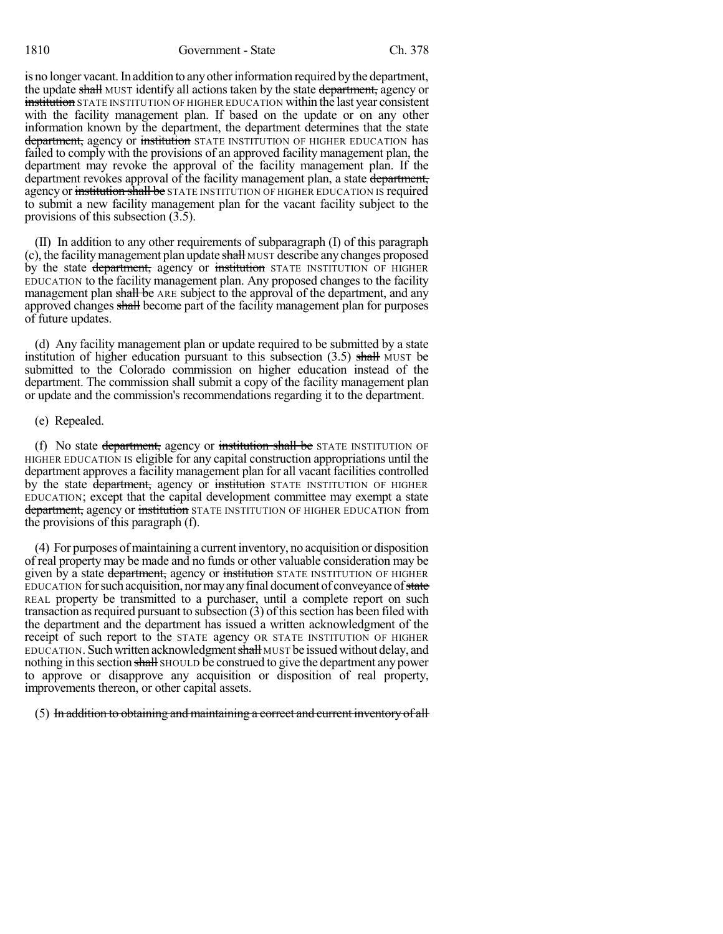1810 Government - State Ch. 378

is no longer vacant. In addition to any other information required by the department, the update shall MUST identify all actions taken by the state department, agency or **institution** STATE INSTITUTION OF HIGHER EDUCATION within the last year consistent with the facility management plan. If based on the update or on any other information known by the department, the department determines that the state department, agency or institution STATE INSTITUTION OF HIGHER EDUCATION has failed to comply with the provisions of an approved facility management plan, the department may revoke the approval of the facility management plan. If the department revokes approval of the facility management plan, a state department, agency or institution shall be STATE INSTITUTION OF HIGHER EDUCATION IS required to submit a new facility management plan for the vacant facility subject to the provisions of this subsection (3.5).

(II) In addition to any other requirements of subparagraph (I) of this paragraph (c), the facility management plan update shall MUST describe any changes proposed by the state department, agency or institution STATE INSTITUTION OF HIGHER EDUCATION to the facility management plan. Any proposed changes to the facility management plan shall be ARE subject to the approval of the department, and any approved changes shall become part of the facility management plan for purposes of future updates.

(d) Any facility management plan or update required to be submitted by a state institution of higher education pursuant to this subsection  $(3.5)$  shall MUST be submitted to the Colorado commission on higher education instead of the department. The commission shall submit a copy of the facility management plan or update and the commission's recommendations regarding it to the department.

#### (e) Repealed.

(f) No state department, agency or institution shall be STATE INSTITUTION OF HIGHER EDUCATION IS eligible for any capital construction appropriations until the department approves a facility management plan for all vacant facilities controlled by the state department, agency or institution STATE INSTITUTION OF HIGHER EDUCATION; except that the capital development committee may exempt a state department, agency or institution STATE INSTITUTION OF HIGHER EDUCATION from the provisions of this paragraph (f).

(4) For purposes of maintaining a current inventory, no acquisition or disposition of real property may be made and no funds or other valuable consideration may be given by a state department, agency or institution STATE INSTITUTION OF HIGHER EDUCATION for such acquisition, nor may any final document of conveyance of state REAL property be transmitted to a purchaser, until a complete report on such transaction as required pursuant to subsection  $(3)$  of this section has been filed with the department and the department has issued a written acknowledgment of the receipt of such report to the STATE agency OR STATE INSTITUTION OF HIGHER EDUCATION. Such written acknowledgment shall MUST be issued without delay, and nothing in this section shall SHOULD be construed to give the department any power to approve or disapprove any acquisition or disposition of real property, improvements thereon, or other capital assets.

#### (5) In addition to obtaining and maintaining a correct and current inventory of all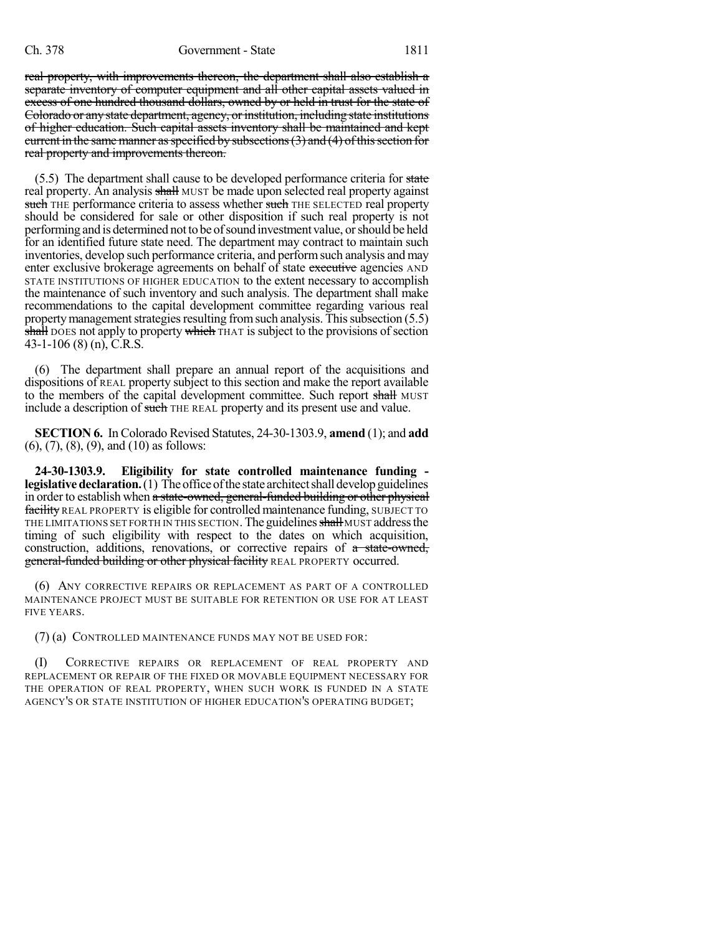real property, with improvements thereon, the department shall also establish a separate inventory of computer equipment and all other capital assets valued in excess of one hundred thousand dollars, owned by or held in trust for the state of Colorado or any state department, agency, or institution, including state institutions of higher education. Such capital assets inventory shall be maintained and kept current in the same manner as specified by subsections  $(3)$  and  $(4)$  of this section for real property and improvements thereon.

 $(5.5)$  The department shall cause to be developed performance criteria for state real property. An analysis shall MUST be made upon selected real property against such THE performance criteria to assess whether such THE SELECTED real property should be considered for sale or other disposition if such real property is not performing and is determined not to be ofsound investment value, orshould be held for an identified future state need. The department may contract to maintain such inventories, develop such performance criteria, and performsuch analysis and may enter exclusive brokerage agreements on behalf of state executive agencies AND STATE INSTITUTIONS OF HIGHER EDUCATION to the extent necessary to accomplish the maintenance of such inventory and such analysis. The department shall make recommendations to the capital development committee regarding various real property management strategies resulting from such analysis. This subsection  $(5.5)$ shall DOES not apply to property which THAT is subject to the provisions of section 43-1-106 (8) (n), C.R.S.

(6) The department shall prepare an annual report of the acquisitions and dispositions of REAL property subject to this section and make the report available to the members of the capital development committee. Such report shall MUST include a description of such THE REAL property and its present use and value.

**SECTION 6.** In Colorado Revised Statutes, 24-30-1303.9, **amend** (1); and **add** (6), (7), (8), (9), and (10) as follows:

**24-30-1303.9. Eligibility for state controlled maintenance funding legislative declaration.** (1) The office of the state architect shall develop guidelines in order to establish when a state-owned, general-funded building or other physical facility REAL PROPERTY is eligible for controlled maintenance funding, SUBJECT TO THE LIMITATIONS SET FORTH IN THIS SECTION. The guidelines shall MUST address the timing of such eligibility with respect to the dates on which acquisition, construction, additions, renovations, or corrective repairs of a state-owned, general-funded building or other physical facility REAL PROPERTY occurred.

(6) ANY CORRECTIVE REPAIRS OR REPLACEMENT AS PART OF A CONTROLLED MAINTENANCE PROJECT MUST BE SUITABLE FOR RETENTION OR USE FOR AT LEAST FIVE YEARS.

(7) (a) CONTROLLED MAINTENANCE FUNDS MAY NOT BE USED FOR:

CORRECTIVE REPAIRS OR REPLACEMENT OF REAL PROPERTY AND REPLACEMENT OR REPAIR OF THE FIXED OR MOVABLE EQUIPMENT NECESSARY FOR THE OPERATION OF REAL PROPERTY, WHEN SUCH WORK IS FUNDED IN A STATE AGENCY'S OR STATE INSTITUTION OF HIGHER EDUCATION'S OPERATING BUDGET;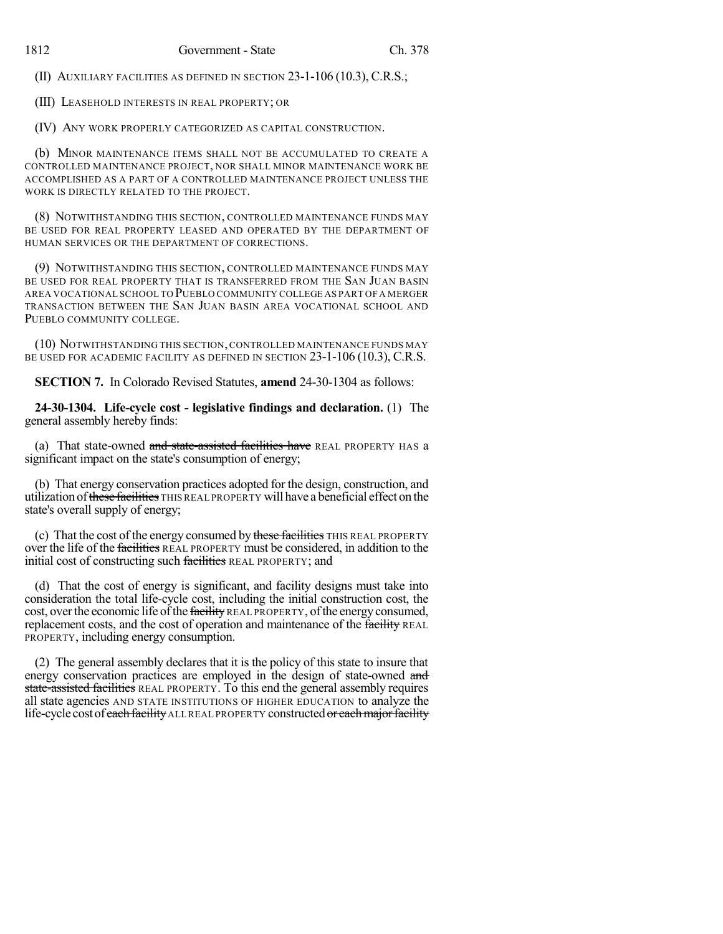(II) AUXILIARY FACILITIES AS DEFINED IN SECTION 23-1-106 (10.3), C.R.S.;

(III) LEASEHOLD INTERESTS IN REAL PROPERTY; OR

(IV) ANY WORK PROPERLY CATEGORIZED AS CAPITAL CONSTRUCTION.

(b) MINOR MAINTENANCE ITEMS SHALL NOT BE ACCUMULATED TO CREATE A CONTROLLED MAINTENANCE PROJECT, NOR SHALL MINOR MAINTENANCE WORK BE ACCOMPLISHED AS A PART OF A CONTROLLED MAINTENANCE PROJECT UNLESS THE WORK IS DIRECTLY RELATED TO THE PROJECT.

(8) NOTWITHSTANDING THIS SECTION, CONTROLLED MAINTENANCE FUNDS MAY BE USED FOR REAL PROPERTY LEASED AND OPERATED BY THE DEPARTMENT OF HUMAN SERVICES OR THE DEPARTMENT OF CORRECTIONS.

(9) NOTWITHSTANDING THIS SECTION, CONTROLLED MAINTENANCE FUNDS MAY BE USED FOR REAL PROPERTY THAT IS TRANSFERRED FROM THE SAN JUAN BASIN AREA VOCATIONAL SCHOOL TO PUEBLO COMMUNITY COLLEGE AS PART OF A MERGER TRANSACTION BETWEEN THE SAN JUAN BASIN AREA VOCATIONAL SCHOOL AND PUEBLO COMMUNITY COLLEGE.

(10) NOTWITHSTANDING THIS SECTION,CONTROLLED MAINTENANCE FUNDS MAY BE USED FOR ACADEMIC FACILITY AS DEFINED IN SECTION 23-1-106 (10.3), C.R.S.

**SECTION 7.** In Colorado Revised Statutes, **amend** 24-30-1304 as follows:

**24-30-1304. Life-cycle cost - legislative findings and declaration.** (1) The general assembly hereby finds:

(a) That state-owned and state-assisted facilities have REAL PROPERTY HAS a significant impact on the state's consumption of energy;

(b) That energy conservation practices adopted for the design, construction, and utilization of these facilities THIS REAL PROPERTY will have a beneficial effect on the state's overall supply of energy;

(c) That the cost of the energy consumed by these facilities THIS REAL PROPERTY over the life of the facilities REAL PROPERTY must be considered, in addition to the initial cost of constructing such facilities REAL PROPERTY; and

(d) That the cost of energy is significant, and facility designs must take into consideration the total life-cycle cost, including the initial construction cost, the cost, over the economic life of the facility REAL PROPERTY, of the energy consumed, replacement costs, and the cost of operation and maintenance of the facility REAL PROPERTY, including energy consumption.

(2) The general assembly declares that it is the policy of this state to insure that energy conservation practices are employed in the design of state-owned and state-assisted facilities REAL PROPERTY. To this end the general assembly requires all state agencies AND STATE INSTITUTIONS OF HIGHER EDUCATION to analyze the life-cycle cost of each facility ALLREAL PROPERTY constructed or each major facility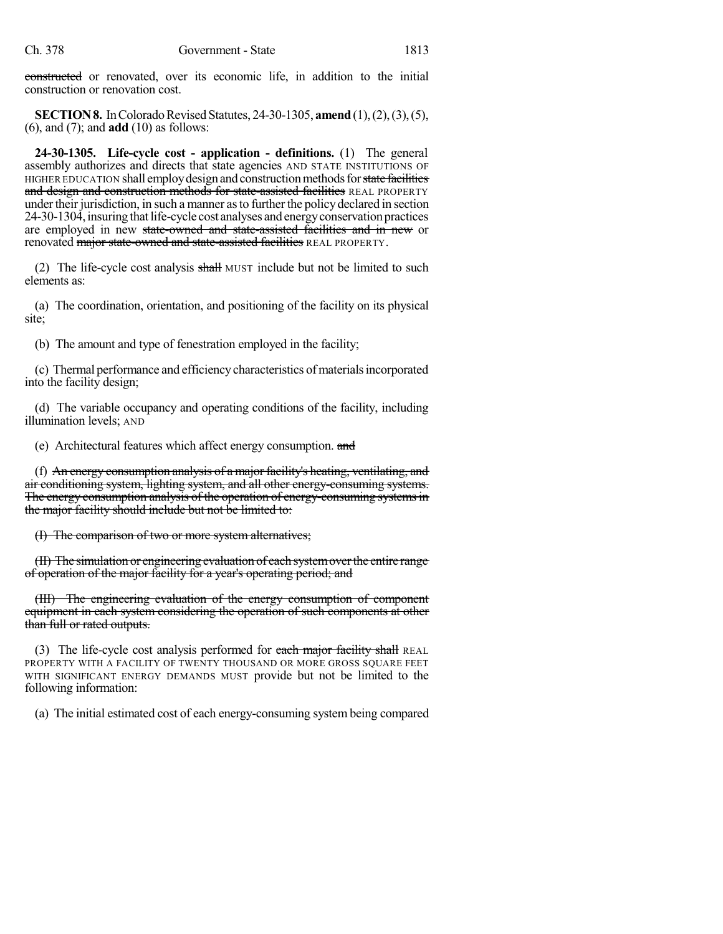constructed or renovated, over its economic life, in addition to the initial construction or renovation cost.

**SECTION 8.** In Colorado Revised Statutes, 24-30-1305, **amend** (1), (2), (3), (5), (6), and (7); and **add** (10) as follows:

**24-30-1305. Life-cycle cost - application - definitions.** (1) The general assembly authorizes and directs that state agencies AND STATE INSTITUTIONS OF HIGHER EDUCATION shall employ design and construction methods for state facilities and design and construction methods for state-assisted facilities REAL PROPERTY under their jurisdiction, in such a manner as to further the policy declared in section 24-30-1304, insuring that life-cycle cost analyses and energy conservation practices are employed in new state-owned and state-assisted facilities and in new or renovated major state-owned and state-assisted facilities REAL PROPERTY.

(2) The life-cycle cost analysis  $\frac{1}{2}$  MUST include but not be limited to such elements as:

(a) The coordination, orientation, and positioning of the facility on its physical site;

(b) The amount and type of fenestration employed in the facility;

(c) Thermal performance and efficiency characteristics ofmaterialsincorporated into the facility design;

(d) The variable occupancy and operating conditions of the facility, including illumination levels; AND

(e) Architectural features which affect energy consumption. and

(f) An energy consumption analysis of a major facility's heating, ventilating, and air conditioning system, lighting system, and all other energy-consuming systems. The energy consumption analysis of the operation of energy-consuming systemsin the major facility should include but not be limited to:

(I) The comparison of two or more system alternatives;

(II) The simulation or engineering evaluation of each systemoverthe entire range of operation of the major facility for a year's operating period; and

(III) The engineering evaluation of the energy consumption of component equipment in each system considering the operation of such components at other than full or rated outputs.

(3) The life-cycle cost analysis performed for each major facility shall REAL PROPERTY WITH A FACILITY OF TWENTY THOUSAND OR MORE GROSS SQUARE FEET WITH SIGNIFICANT ENERGY DEMANDS MUST provide but not be limited to the following information:

(a) The initial estimated cost of each energy-consuming system being compared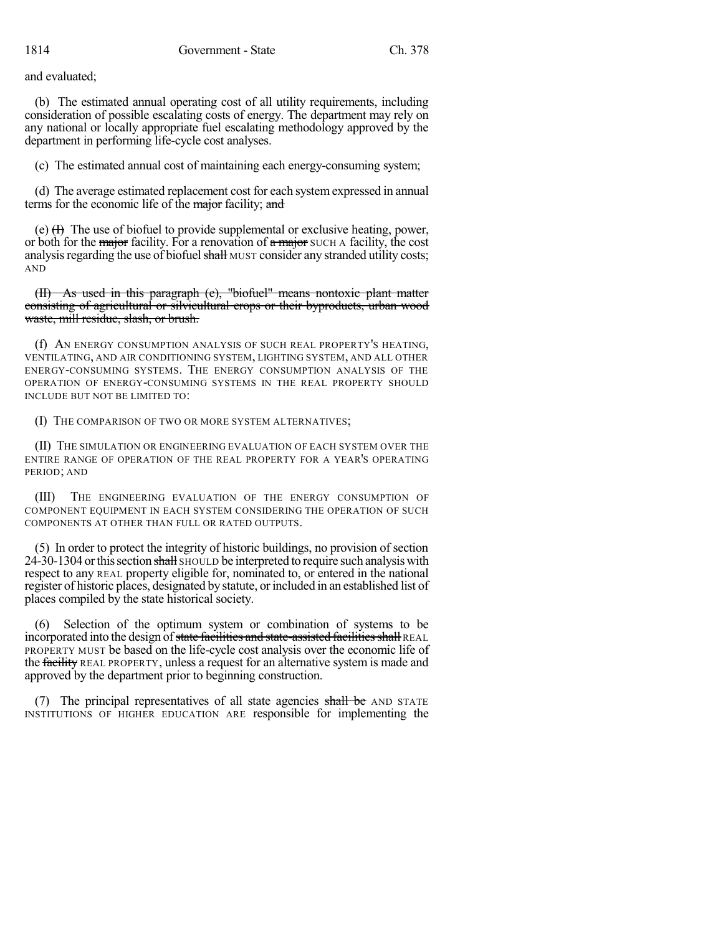and evaluated;

(b) The estimated annual operating cost of all utility requirements, including consideration of possible escalating costs of energy. The department may rely on any national or locally appropriate fuel escalating methodology approved by the department in performing life-cycle cost analyses.

(c) The estimated annual cost of maintaining each energy-consuming system;

(d) The average estimated replacement cost for each systemexpressed in annual terms for the economic life of the major facility; and

(e)  $(H)$  The use of biofuel to provide supplemental or exclusive heating, power, or both for the major facility. For a renovation of a major SUCH A facility, the cost analysis regarding the use of biofuel shall MUST consider any stranded utility costs; AND

(II) As used in this paragraph (e), "biofuel" means nontoxic plant matter consisting of agricultural or silvicultural crops or their byproducts, urban wood waste, mill residue, slash, or brush.

(f) AN ENERGY CONSUMPTION ANALYSIS OF SUCH REAL PROPERTY'S HEATING, VENTILATING, AND AIR CONDITIONING SYSTEM, LIGHTING SYSTEM, AND ALL OTHER ENERGY-CONSUMING SYSTEMS. THE ENERGY CONSUMPTION ANALYSIS OF THE OPERATION OF ENERGY-CONSUMING SYSTEMS IN THE REAL PROPERTY SHOULD INCLUDE BUT NOT BE LIMITED TO:

(I) THE COMPARISON OF TWO OR MORE SYSTEM ALTERNATIVES;

(II) THE SIMULATION OR ENGINEERING EVALUATION OF EACH SYSTEM OVER THE ENTIRE RANGE OF OPERATION OF THE REAL PROPERTY FOR A YEAR'S OPERATING PERIOD; AND

(III) THE ENGINEERING EVALUATION OF THE ENERGY CONSUMPTION OF COMPONENT EQUIPMENT IN EACH SYSTEM CONSIDERING THE OPERATION OF SUCH COMPONENTS AT OTHER THAN FULL OR RATED OUTPUTS.

(5) In order to protect the integrity of historic buildings, no provision of section 24-30-1304 or this section shall SHOULD be interpreted to require such analysis with respect to any REAL property eligible for, nominated to, or entered in the national register of historic places, designated by statute, orincluded in an established list of places compiled by the state historical society.

(6) Selection of the optimum system or combination of systems to be incorporated into the design of state facilities and state-assisted facilities shall REAL PROPERTY MUST be based on the life-cycle cost analysis over the economic life of the facility REAL PROPERTY, unless a request for an alternative system is made and approved by the department prior to beginning construction.

(7) The principal representatives of all state agencies shall be AND STATE INSTITUTIONS OF HIGHER EDUCATION ARE responsible for implementing the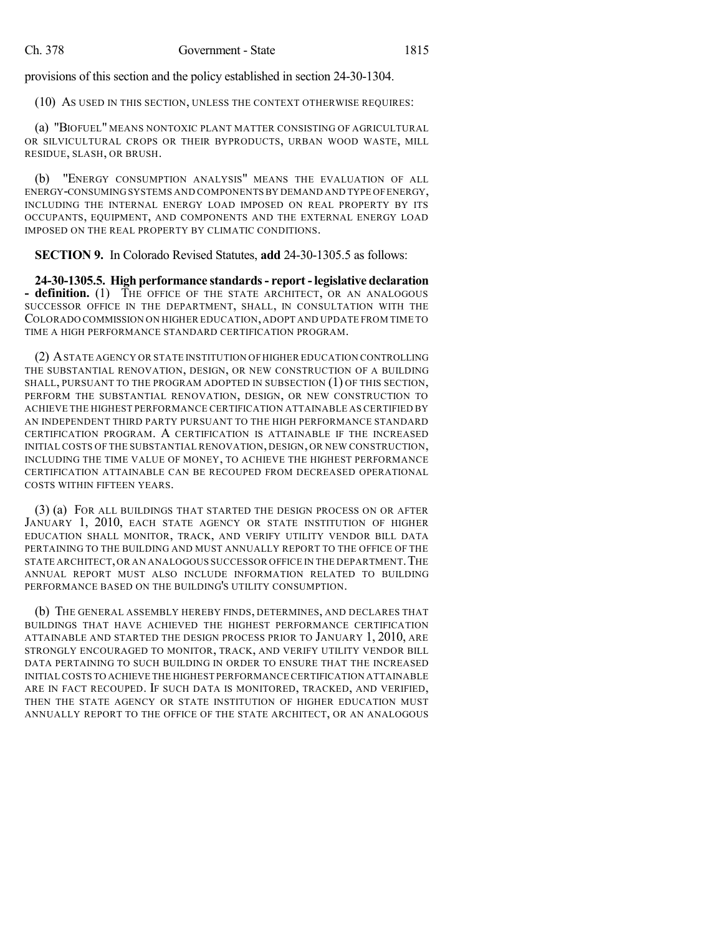provisions of this section and the policy established in section 24-30-1304.

(10) AS USED IN THIS SECTION, UNLESS THE CONTEXT OTHERWISE REQUIRES:

(a) "BIOFUEL" MEANS NONTOXIC PLANT MATTER CONSISTING OF AGRICULTURAL OR SILVICULTURAL CROPS OR THEIR BYPRODUCTS, URBAN WOOD WASTE, MILL RESIDUE, SLASH, OR BRUSH.

(b) "ENERGY CONSUMPTION ANALYSIS" MEANS THE EVALUATION OF ALL ENERGY-CONSUMING SYSTEMS AND COMPONENTS BY DEMAND AND TYPE OFENERGY, INCLUDING THE INTERNAL ENERGY LOAD IMPOSED ON REAL PROPERTY BY ITS OCCUPANTS, EQUIPMENT, AND COMPONENTS AND THE EXTERNAL ENERGY LOAD IMPOSED ON THE REAL PROPERTY BY CLIMATIC CONDITIONS.

**SECTION 9.** In Colorado Revised Statutes, **add** 24-30-1305.5 as follows:

**24-30-1305.5. High performance standards- report - legislative declaration - definition.** (1) THE OFFICE OF THE STATE ARCHITECT, OR AN ANALOGOUS SUCCESSOR OFFICE IN THE DEPARTMENT, SHALL, IN CONSULTATION WITH THE COLORADO COMMISSION ON HIGHER EDUCATION,ADOPT AND UPDATE FROM TIME TO TIME A HIGH PERFORMANCE STANDARD CERTIFICATION PROGRAM.

(2) ASTATE AGENCY OR STATE INSTITUTION OFHIGHER EDUCATION CONTROLLING THE SUBSTANTIAL RENOVATION, DESIGN, OR NEW CONSTRUCTION OF A BUILDING SHALL, PURSUANT TO THE PROGRAM ADOPTED IN SUBSECTION (1) OF THIS SECTION, PERFORM THE SUBSTANTIAL RENOVATION, DESIGN, OR NEW CONSTRUCTION TO ACHIEVE THE HIGHEST PERFORMANCE CERTIFICATION ATTAINABLE AS CERTIFIED BY AN INDEPENDENT THIRD PARTY PURSUANT TO THE HIGH PERFORMANCE STANDARD CERTIFICATION PROGRAM. A CERTIFICATION IS ATTAINABLE IF THE INCREASED INITIAL COSTS OF THE SUBSTANTIAL RENOVATION, DESIGN, OR NEW CONSTRUCTION, INCLUDING THE TIME VALUE OF MONEY, TO ACHIEVE THE HIGHEST PERFORMANCE CERTIFICATION ATTAINABLE CAN BE RECOUPED FROM DECREASED OPERATIONAL COSTS WITHIN FIFTEEN YEARS.

(3) (a) FOR ALL BUILDINGS THAT STARTED THE DESIGN PROCESS ON OR AFTER JANUARY 1, 2010, EACH STATE AGENCY OR STATE INSTITUTION OF HIGHER EDUCATION SHALL MONITOR, TRACK, AND VERIFY UTILITY VENDOR BILL DATA PERTAINING TO THE BUILDING AND MUST ANNUALLY REPORT TO THE OFFICE OF THE STATE ARCHITECT, OR AN ANALOGOUS SUCCESSOR OFFICE IN THE DEPARTMENT. THE ANNUAL REPORT MUST ALSO INCLUDE INFORMATION RELATED TO BUILDING PERFORMANCE BASED ON THE BUILDING'S UTILITY CONSUMPTION.

(b) THE GENERAL ASSEMBLY HEREBY FINDS, DETERMINES, AND DECLARES THAT BUILDINGS THAT HAVE ACHIEVED THE HIGHEST PERFORMANCE CERTIFICATION ATTAINABLE AND STARTED THE DESIGN PROCESS PRIOR TO JANUARY 1, 2010, ARE STRONGLY ENCOURAGED TO MONITOR, TRACK, AND VERIFY UTILITY VENDOR BILL DATA PERTAINING TO SUCH BUILDING IN ORDER TO ENSURE THAT THE INCREASED INITIAL COSTS TO ACHIEVE THE HIGHEST PERFORMANCE CERTIFICATION ATTAINABLE ARE IN FACT RECOUPED. IF SUCH DATA IS MONITORED, TRACKED, AND VERIFIED, THEN THE STATE AGENCY OR STATE INSTITUTION OF HIGHER EDUCATION MUST ANNUALLY REPORT TO THE OFFICE OF THE STATE ARCHITECT, OR AN ANALOGOUS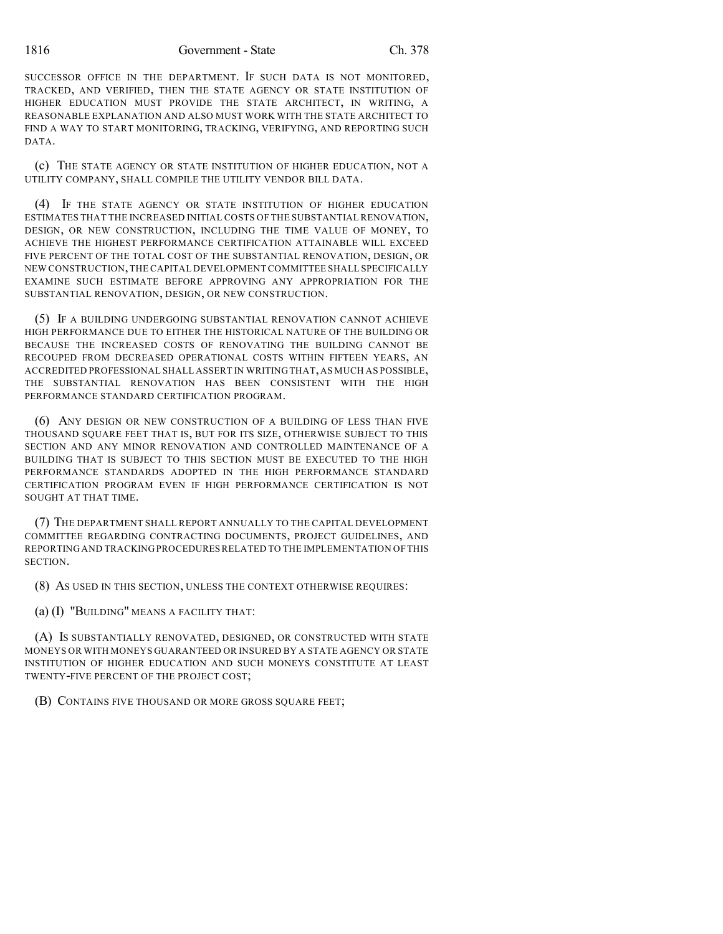SUCCESSOR OFFICE IN THE DEPARTMENT. IF SUCH DATA IS NOT MONITORED, TRACKED, AND VERIFIED, THEN THE STATE AGENCY OR STATE INSTITUTION OF HIGHER EDUCATION MUST PROVIDE THE STATE ARCHITECT, IN WRITING, A REASONABLE EXPLANATION AND ALSO MUST WORK WITH THE STATE ARCHITECT TO FIND A WAY TO START MONITORING, TRACKING, VERIFYING, AND REPORTING SUCH DATA.

(c) THE STATE AGENCY OR STATE INSTITUTION OF HIGHER EDUCATION, NOT A UTILITY COMPANY, SHALL COMPILE THE UTILITY VENDOR BILL DATA.

(4) IF THE STATE AGENCY OR STATE INSTITUTION OF HIGHER EDUCATION ESTIMATES THAT THE INCREASED INITIAL COSTS OF THE SUBSTANTIAL RENOVATION, DESIGN, OR NEW CONSTRUCTION, INCLUDING THE TIME VALUE OF MONEY, TO ACHIEVE THE HIGHEST PERFORMANCE CERTIFICATION ATTAINABLE WILL EXCEED FIVE PERCENT OF THE TOTAL COST OF THE SUBSTANTIAL RENOVATION, DESIGN, OR NEW CONSTRUCTION,THE CAPITAL DEVELOPMENTCOMMITTEE SHALL SPECIFICALLY EXAMINE SUCH ESTIMATE BEFORE APPROVING ANY APPROPRIATION FOR THE SUBSTANTIAL RENOVATION, DESIGN, OR NEW CONSTRUCTION.

(5) IF A BUILDING UNDERGOING SUBSTANTIAL RENOVATION CANNOT ACHIEVE HIGH PERFORMANCE DUE TO EITHER THE HISTORICAL NATURE OF THE BUILDING OR BECAUSE THE INCREASED COSTS OF RENOVATING THE BUILDING CANNOT BE RECOUPED FROM DECREASED OPERATIONAL COSTS WITHIN FIFTEEN YEARS, AN ACCREDITED PROFESSIONAL SHALL ASSERT IN WRITINGTHAT,AS MUCH AS POSSIBLE, THE SUBSTANTIAL RENOVATION HAS BEEN CONSISTENT WITH THE HIGH PERFORMANCE STANDARD CERTIFICATION PROGRAM.

(6) ANY DESIGN OR NEW CONSTRUCTION OF A BUILDING OF LESS THAN FIVE THOUSAND SQUARE FEET THAT IS, BUT FOR ITS SIZE, OTHERWISE SUBJECT TO THIS SECTION AND ANY MINOR RENOVATION AND CONTROLLED MAINTENANCE OF A BUILDING THAT IS SUBJECT TO THIS SECTION MUST BE EXECUTED TO THE HIGH PERFORMANCE STANDARDS ADOPTED IN THE HIGH PERFORMANCE STANDARD CERTIFICATION PROGRAM EVEN IF HIGH PERFORMANCE CERTIFICATION IS NOT SOUGHT AT THAT TIME.

(7) THE DEPARTMENT SHALL REPORT ANNUALLY TO THE CAPITAL DEVELOPMENT COMMITTEE REGARDING CONTRACTING DOCUMENTS, PROJECT GUIDELINES, AND REPORTING AND TRACKING PROCEDURESRELATED TO THE IMPLEMENTATION OF THIS SECTION.

(8) AS USED IN THIS SECTION, UNLESS THE CONTEXT OTHERWISE REQUIRES:

(a) (I) "BUILDING" MEANS A FACILITY THAT:

(A) IS SUBSTANTIALLY RENOVATED, DESIGNED, OR CONSTRUCTED WITH STATE MONEYS OR WITH MONEYS GUARANTEED OR INSURED BY A STATE AGENCY OR STATE INSTITUTION OF HIGHER EDUCATION AND SUCH MONEYS CONSTITUTE AT LEAST TWENTY-FIVE PERCENT OF THE PROJECT COST;

(B) CONTAINS FIVE THOUSAND OR MORE GROSS SQUARE FEET;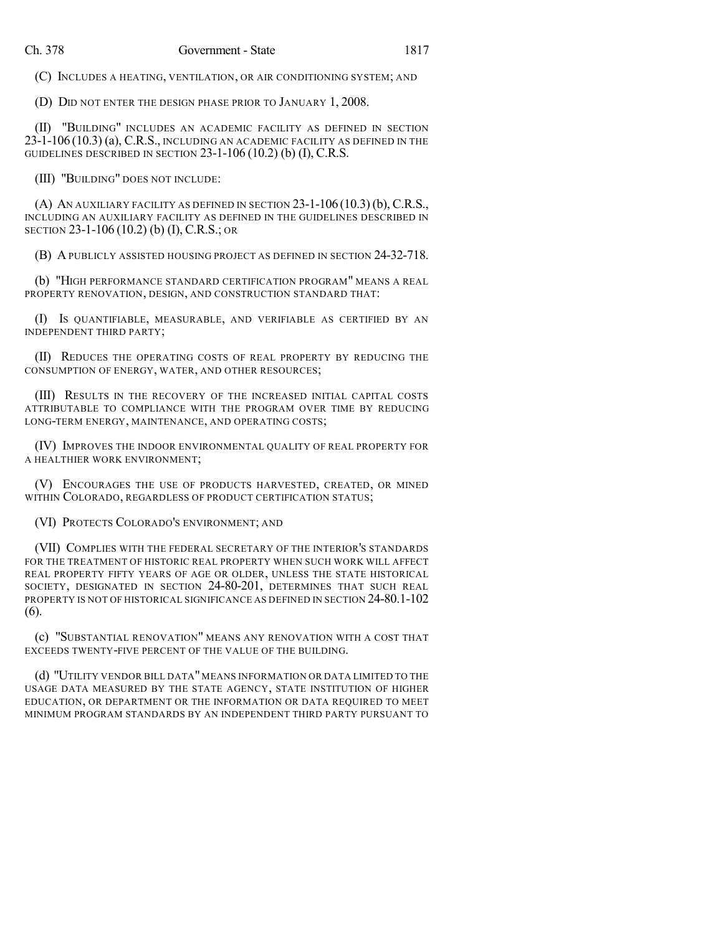(C) INCLUDES A HEATING, VENTILATION, OR AIR CONDITIONING SYSTEM; AND

(D) DID NOT ENTER THE DESIGN PHASE PRIOR TO JANUARY 1, 2008.

(II) "BUILDING" INCLUDES AN ACADEMIC FACILITY AS DEFINED IN SECTION 23-1-106 (10.3) (a), C.R.S., INCLUDING AN ACADEMIC FACILITY AS DEFINED IN THE GUIDELINES DESCRIBED IN SECTION 23-1-106 (10.2) (b) (I), C.R.S.

(III) "BUILDING" DOES NOT INCLUDE:

(A) AN AUXILIARY FACILITY AS DEFINED IN SECTION  $23$ -1-106 (10.3) (b), C.R.S., INCLUDING AN AUXILIARY FACILITY AS DEFINED IN THE GUIDELINES DESCRIBED IN SECTION 23-1-106 (10.2) (b) (I), C.R.S.; OR

(B) A PUBLICLY ASSISTED HOUSING PROJECT AS DEFINED IN SECTION 24-32-718.

(b) "HIGH PERFORMANCE STANDARD CERTIFICATION PROGRAM" MEANS A REAL PROPERTY RENOVATION, DESIGN, AND CONSTRUCTION STANDARD THAT:

(I) IS QUANTIFIABLE, MEASURABLE, AND VERIFIABLE AS CERTIFIED BY AN INDEPENDENT THIRD PARTY;

(II) REDUCES THE OPERATING COSTS OF REAL PROPERTY BY REDUCING THE CONSUMPTION OF ENERGY, WATER, AND OTHER RESOURCES;

(III) RESULTS IN THE RECOVERY OF THE INCREASED INITIAL CAPITAL COSTS ATTRIBUTABLE TO COMPLIANCE WITH THE PROGRAM OVER TIME BY REDUCING LONG-TERM ENERGY, MAINTENANCE, AND OPERATING COSTS;

(IV) IMPROVES THE INDOOR ENVIRONMENTAL QUALITY OF REAL PROPERTY FOR A HEALTHIER WORK ENVIRONMENT;

(V) ENCOURAGES THE USE OF PRODUCTS HARVESTED, CREATED, OR MINED WITHIN COLORADO, REGARDLESS OF PRODUCT CERTIFICATION STATUS;

(VI) PROTECTS COLORADO'S ENVIRONMENT; AND

(VII) COMPLIES WITH THE FEDERAL SECRETARY OF THE INTERIOR'S STANDARDS FOR THE TREATMENT OF HISTORIC REAL PROPERTY WHEN SUCH WORK WILL AFFECT REAL PROPERTY FIFTY YEARS OF AGE OR OLDER, UNLESS THE STATE HISTORICAL SOCIETY, DESIGNATED IN SECTION 24-80-201, DETERMINES THAT SUCH REAL PROPERTY IS NOT OF HISTORICAL SIGNIFICANCE AS DEFINED IN SECTION 24-80.1-102 (6).

(c) "SUBSTANTIAL RENOVATION" MEANS ANY RENOVATION WITH A COST THAT EXCEEDS TWENTY-FIVE PERCENT OF THE VALUE OF THE BUILDING.

(d) "UTILITY VENDOR BILL DATA"MEANS INFORMATION OR DATA LIMITED TO THE USAGE DATA MEASURED BY THE STATE AGENCY, STATE INSTITUTION OF HIGHER EDUCATION, OR DEPARTMENT OR THE INFORMATION OR DATA REQUIRED TO MEET MINIMUM PROGRAM STANDARDS BY AN INDEPENDENT THIRD PARTY PURSUANT TO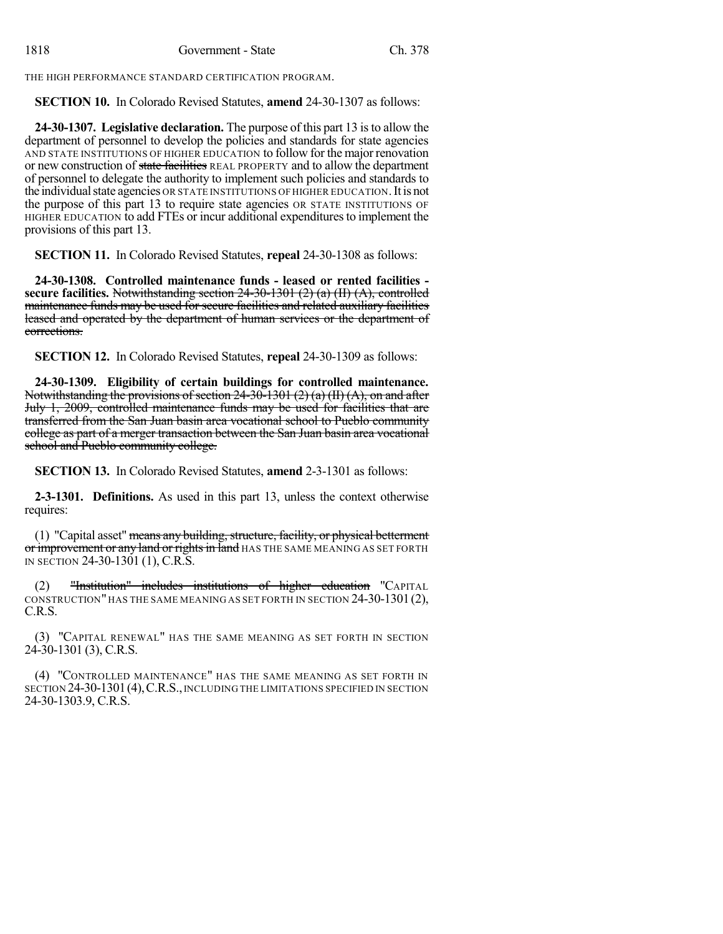THE HIGH PERFORMANCE STANDARD CERTIFICATION PROGRAM.

**SECTION 10.** In Colorado Revised Statutes, **amend** 24-30-1307 as follows:

**24-30-1307. Legislative declaration.** The purpose of this part 13 isto allow the department of personnel to develop the policies and standards for state agencies AND STATE INSTITUTIONS OF HIGHER EDUCATION to follow for the major renovation or new construction of state facilities REAL PROPERTY and to allow the department of personnel to delegate the authority to implement such policies and standards to the individual state agencies OR STATE INSTITUTIONS OF HIGHER EDUCATION. It is not the purpose of this part 13 to require state agencies OR STATE INSTITUTIONS OF HIGHER EDUCATION to add FTEs or incur additional expendituresto implement the provisions of this part 13.

**SECTION 11.** In Colorado Revised Statutes, **repeal** 24-30-1308 as follows:

**24-30-1308. Controlled maintenance funds - leased or rented facilities secure facilities.** Notwithstanding section 24-30-1301 (2) (a) (II) (A), controlled maintenance funds may be used for secure facilities and related auxiliary facilities leased and operated by the department of human services or the department of corrections.

**SECTION 12.** In Colorado Revised Statutes, **repeal** 24-30-1309 as follows:

**24-30-1309. Eligibility of certain buildings for controlled maintenance.** Notwithstanding the provisions of section 24-30-1301 (2) (a) (II) (A), on and after July 1, 2009, controlled maintenance funds may be used for facilities that are transferred from the San Juan basin area vocational school to Pueblo community college as part of a merger transaction between the San Juan basin area vocational school and Pueblo community college.

**SECTION 13.** In Colorado Revised Statutes, **amend** 2-3-1301 as follows:

**2-3-1301. Definitions.** As used in this part 13, unless the context otherwise requires:

(1) "Capital asset" means any building, structure, facility, or physical betterment or improvement or any land or rights in land HAS THE SAME MEANING AS SET FORTH IN SECTION 24-30-1301 (1), C.R.S.

(2) "Institution" includes institutions of higher education "CAPITAL CONSTRUCTION" HAS THE SAME MEANING AS SET FORTH IN SECTION 24-30-1301(2), C.R.S.

(3) "CAPITAL RENEWAL" HAS THE SAME MEANING AS SET FORTH IN SECTION 24-30-1301 (3), C.R.S.

(4) "CONTROLLED MAINTENANCE" HAS THE SAME MEANING AS SET FORTH IN SECTION 24-30-1301 (4), C.R.S., INCLUDING THE LIMITATIONS SPECIFIED IN SECTION 24-30-1303.9, C.R.S.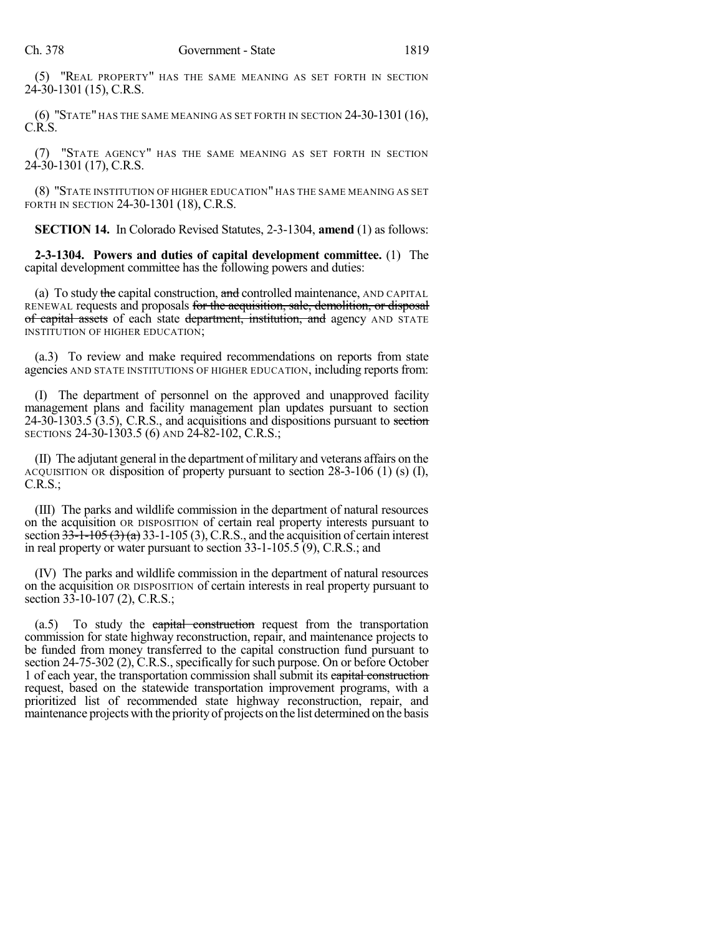(5) "REAL PROPERTY" HAS THE SAME MEANING AS SET FORTH IN SECTION 24-30-1301 (15), C.R.S.

(6) "STATE" HAS THE SAME MEANING AS SET FORTH IN SECTION 24-30-1301 (16), C.R.S.

(7) "STATE AGENCY" HAS THE SAME MEANING AS SET FORTH IN SECTION 24-30-1301 (17), C.R.S.

(8) "STATE INSTITUTION OF HIGHER EDUCATION" HAS THE SAME MEANING AS SET FORTH IN SECTION 24-30-1301 (18), C.R.S.

**SECTION 14.** In Colorado Revised Statutes, 2-3-1304, **amend** (1) as follows:

**2-3-1304. Powers and duties of capital development committee.** (1) The capital development committee has the following powers and duties:

(a) To study the capital construction, and controlled maintenance, AND CAPITAL RENEWAL requests and proposals for the acquisition, sale, demolition, or disposal of capital assets of each state department, institution, and agency AND STATE INSTITUTION OF HIGHER EDUCATION;

(a.3) To review and make required recommendations on reports from state agencies AND STATE INSTITUTIONS OF HIGHER EDUCATION, including reports from:

(I) The department of personnel on the approved and unapproved facility management plans and facility management plan updates pursuant to section  $24-30-1303.5(3.5)$ , C.R.S., and acquisitions and dispositions pursuant to section SECTIONS 24-30-1303.5 (6) AND 24-82-102, C.R.S.;

(II) The adjutant general in the department of military and veterans affairs on the ACQUISITION OR disposition of property pursuant to section 28-3-106 (1) (s) (I), C.R.S.;

(III) The parks and wildlife commission in the department of natural resources on the acquisition OR DISPOSITION of certain real property interests pursuant to section  $33-1-105(3)(a)$  33-1-105 (3), C.R.S., and the acquisition of certain interest in real property or water pursuant to section 33-1-105.5 (9), C.R.S.; and

(IV) The parks and wildlife commission in the department of natural resources on the acquisition OR DISPOSITION of certain interests in real property pursuant to section 33-10-107 (2), C.R.S.;

(a.5) To study the capital construction request from the transportation commission for state highway reconstruction, repair, and maintenance projects to be funded from money transferred to the capital construction fund pursuant to section  $24-75-302$  (2), C.R.S., specifically for such purpose. On or before October 1 of each year, the transportation commission shall submit its capital construction request, based on the statewide transportation improvement programs, with a prioritized list of recommended state highway reconstruction, repair, and maintenance projects with the priority of projects on the list determined on the basis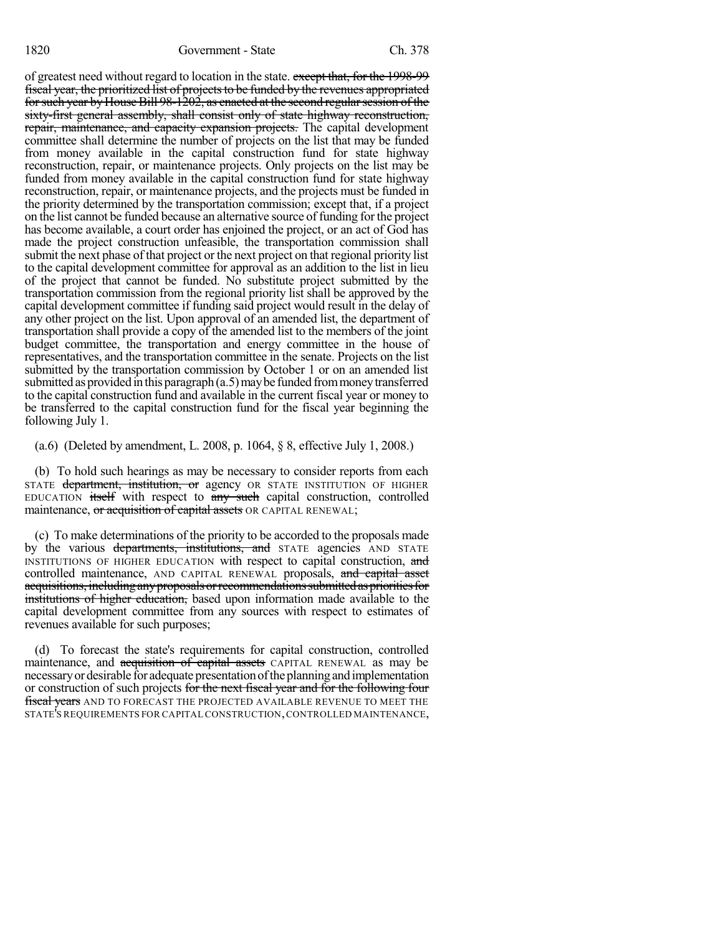of greatest need without regard to location in the state. except that, for the 1998-99 fiscal year, the prioritized list of projects to be funded by the revenues appropriated for such year by House Bill 98-1202, as enacted at the second regular session of the sixty-first general assembly, shall consist only of state highway reconstruction, repair, maintenance, and capacity expansion projects. The capital development committee shall determine the number of projects on the list that may be funded from money available in the capital construction fund for state highway reconstruction, repair, or maintenance projects. Only projects on the list may be funded from money available in the capital construction fund for state highway reconstruction, repair, or maintenance projects, and the projects must be funded in the priority determined by the transportation commission; except that, if a project on the list cannot be funded because an alternative source of funding forthe project has become available, a court order has enjoined the project, or an act of God has made the project construction unfeasible, the transportation commission shall submit the next phase of that project or the next project on that regional priority list to the capital development committee for approval as an addition to the list in lieu of the project that cannot be funded. No substitute project submitted by the transportation commission from the regional priority list shall be approved by the capital development committee if funding said project would result in the delay of any other project on the list. Upon approval of an amended list, the department of transportation shall provide a copy of the amended list to the members of the joint budget committee, the transportation and energy committee in the house of representatives, and the transportation committee in the senate. Projects on the list submitted by the transportation commission by October 1 or on an amended list submitted as provided in this paragraph (a.5) may be funded from money transferred to the capital construction fund and available in the current fiscal year or money to be transferred to the capital construction fund for the fiscal year beginning the following July 1.

(a.6) (Deleted by amendment, L. 2008, p. 1064, § 8, effective July 1, 2008.)

(b) To hold such hearings as may be necessary to consider reports from each STATE department, institution, or agency OR STATE INSTITUTION OF HIGHER EDUCATION  $itself$  with respect to  $any$  such capital construction, controlled maintenance, or acquisition of capital assets OR CAPITAL RENEWAL;

(c) To make determinations of the priority to be accorded to the proposals made by the various departments, institutions, and STATE agencies AND STATE INSTITUTIONS OF HIGHER EDUCATION with respect to capital construction, and controlled maintenance, AND CAPITAL RENEWAL proposals, and capital asset acquisitions, including any proposals or recommendations submitted as priorities for institutions of higher education, based upon information made available to the capital development committee from any sources with respect to estimates of revenues available for such purposes;

(d) To forecast the state's requirements for capital construction, controlled maintenance, and acquisition of capital assets CAPITAL RENEWAL as may be necessary or desirable for adequate presentation of the planning and implementation or construction of such projects for the next fiscal year and for the following four fiscal years AND TO FORECAST THE PROJECTED AVAILABLE REVENUE TO MEET THE STATE'S REQUIREMENTS FOR CAPITAL CONSTRUCTION,CONTROLLED MAINTENANCE,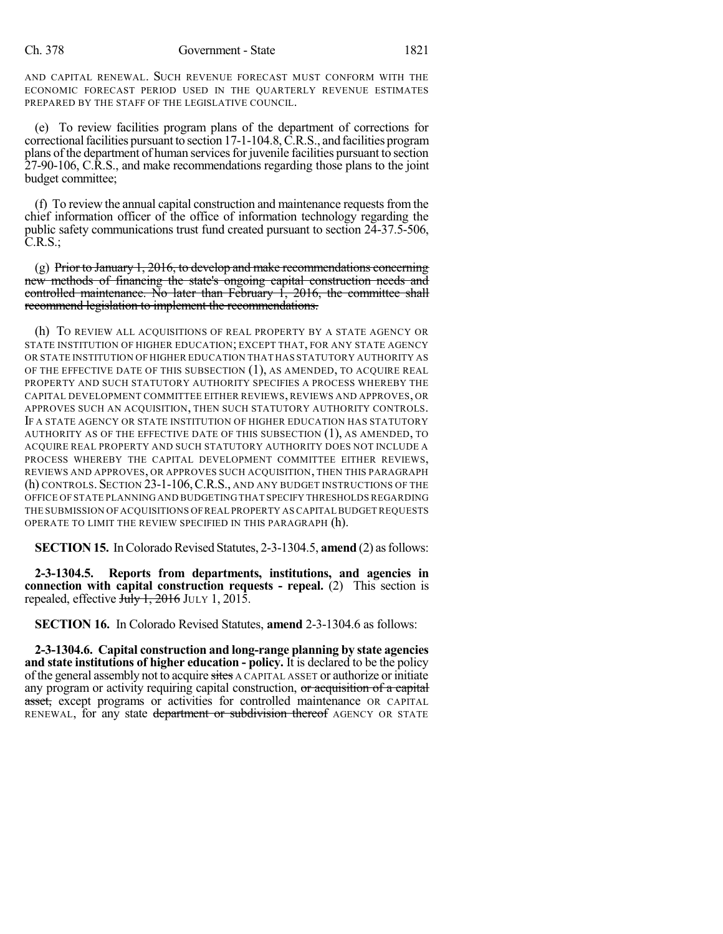AND CAPITAL RENEWAL. SUCH REVENUE FORECAST MUST CONFORM WITH THE ECONOMIC FORECAST PERIOD USED IN THE QUARTERLY REVENUE ESTIMATES PREPARED BY THE STAFF OF THE LEGISLATIVE COUNCIL.

(e) To review facilities program plans of the department of corrections for correctionalfacilities pursuant to section 17-1-104.8,C.R.S., and facilities program plans of the department of human services for juvenile facilities pursuant to section 27-90-106, C.R.S., and make recommendations regarding those plans to the joint budget committee;

(f) To review the annual capital construction and maintenance requestsfrom the chief information officer of the office of information technology regarding the public safety communications trust fund created pursuant to section 24-37.5-506, C.R.S.;

(g) Prior to January 1, 2016, to develop and make recommendations concerning new methods of financing the state's ongoing capital construction needs and controlled maintenance. No later than February 1, 2016, the committee shall recommend legislation to implement the recommendations.

(h) TO REVIEW ALL ACQUISITIONS OF REAL PROPERTY BY A STATE AGENCY OR STATE INSTITUTION OF HIGHER EDUCATION; EXCEPT THAT, FOR ANY STATE AGENCY OR STATE INSTITUTION OF HIGHER EDUCATION THAT HAS STATUTORY AUTHORITY AS OF THE EFFECTIVE DATE OF THIS SUBSECTION  $(1)$ , AS AMENDED, TO ACQUIRE REAL PROPERTY AND SUCH STATUTORY AUTHORITY SPECIFIES A PROCESS WHEREBY THE CAPITAL DEVELOPMENT COMMITTEE EITHER REVIEWS, REVIEWS AND APPROVES, OR APPROVES SUCH AN ACQUISITION, THEN SUCH STATUTORY AUTHORITY CONTROLS. IF A STATE AGENCY OR STATE INSTITUTION OF HIGHER EDUCATION HAS STATUTORY AUTHORITY AS OF THE EFFECTIVE DATE OF THIS SUBSECTION  $(1)$ , AS AMENDED, TO ACQUIRE REAL PROPERTY AND SUCH STATUTORY AUTHORITY DOES NOT INCLUDE A PROCESS WHEREBY THE CAPITAL DEVELOPMENT COMMITTEE EITHER REVIEWS, REVIEWS AND APPROVES, OR APPROVES SUCH ACQUISITION, THEN THIS PARAGRAPH (h) CONTROLS. SECTION 23-1-106,C.R.S., AND ANY BUDGET INSTRUCTIONS OF THE OFFICE OF STATE PLANNING AND BUDGETING THAT SPECIFY THRESHOLDS REGARDING THE SUBMISSION OF ACQUISITIONS OFREAL PROPERTY ASCAPITAL BUDGET REQUESTS OPERATE TO LIMIT THE REVIEW SPECIFIED IN THIS PARAGRAPH (h).

**SECTION 15.** In Colorado Revised Statutes, 2-3-1304.5, **amend** (2) as follows:

**2-3-1304.5. Reports from departments, institutions, and agencies in connection with capital construction requests - repeal.** (2) This section is repealed, effective  $\frac{\text{H}_y}{\text{H}_y}$  + 2016 JULY 1, 2015.

**SECTION 16.** In Colorado Revised Statutes, **amend** 2-3-1304.6 as follows:

**2-3-1304.6. Capital construction and long-range planning by state agencies and state institutions of higher education - policy.** It is declared to be the policy of the general assembly not to acquire sites A CAPITAL ASSET or authorize or initiate any program or activity requiring capital construction, or acquisition of a capital asset, except programs or activities for controlled maintenance OR CAPITAL RENEWAL, for any state department or subdivision thereof AGENCY OR STATE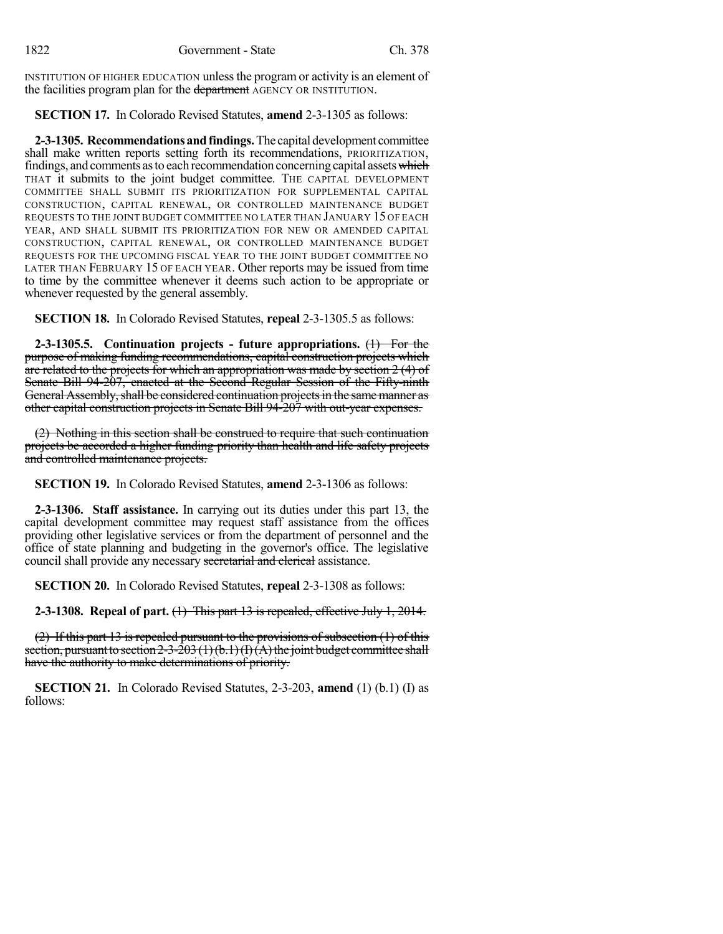INSTITUTION OF HIGHER EDUCATION unlessthe program or activity is an element of the facilities program plan for the department AGENCY OR INSTITUTION.

**SECTION 17.** In Colorado Revised Statutes, **amend** 2-3-1305 as follows:

**2-3-1305. Recommendationsandfindings.**The capital development committee shall make written reports setting forth its recommendations, PRIORITIZATION, findings, and comments as to each recommendation concerning capital assets which THAT it submits to the joint budget committee. THE CAPITAL DEVELOPMENT COMMITTEE SHALL SUBMIT ITS PRIORITIZATION FOR SUPPLEMENTAL CAPITAL CONSTRUCTION, CAPITAL RENEWAL, OR CONTROLLED MAINTENANCE BUDGET REQUESTS TO THE JOINT BUDGET COMMITTEE NO LATER THAN JANUARY 15 OF EACH YEAR, AND SHALL SUBMIT ITS PRIORITIZATION FOR NEW OR AMENDED CAPITAL CONSTRUCTION, CAPITAL RENEWAL, OR CONTROLLED MAINTENANCE BUDGET REQUESTS FOR THE UPCOMING FISCAL YEAR TO THE JOINT BUDGET COMMITTEE NO LATER THAN FEBRUARY 15 OF EACH YEAR. Other reports may be issued from time to time by the committee whenever it deems such action to be appropriate or whenever requested by the general assembly.

**SECTION 18.** In Colorado Revised Statutes, **repeal** 2-3-1305.5 as follows:

**2-3-1305.5. Continuation projects - future appropriations.** (1) For the purpose of making funding recommendations, capital construction projects which are related to the projects for which an appropriation was made by section 2 (4) of Senate Bill 94-207, enacted at the Second Regular Session of the Fifty-ninth General Assembly, shall be considered continuation projects in the same manner as other capital construction projects in Senate Bill 94-207 with out-year expenses.

(2) Nothing in this section shall be construed to require that such continuation projects be accorded a higher funding priority than health and life safety projects and controlled maintenance projects.

**SECTION 19.** In Colorado Revised Statutes, **amend** 2-3-1306 as follows:

**2-3-1306. Staff assistance.** In carrying out its duties under this part 13, the capital development committee may request staff assistance from the offices providing other legislative services or from the department of personnel and the office of state planning and budgeting in the governor's office. The legislative council shall provide any necessary secretarial and clerical assistance.

**SECTION 20.** In Colorado Revised Statutes, **repeal** 2-3-1308 as follows:

**2-3-1308. Repeal of part.** (1) This part 13 is repealed, effective July 1, 2014.

(2) If this part 13 is repealed pursuant to the provisions of subsection (1) of this section, pursuant to section  $2-3-203(1)(b,1)(1)(A)$  the joint budget committee shall have the authority to make determinations of priority.

**SECTION 21.** In Colorado Revised Statutes, 2-3-203, **amend** (1) (b.1) (I) as follows: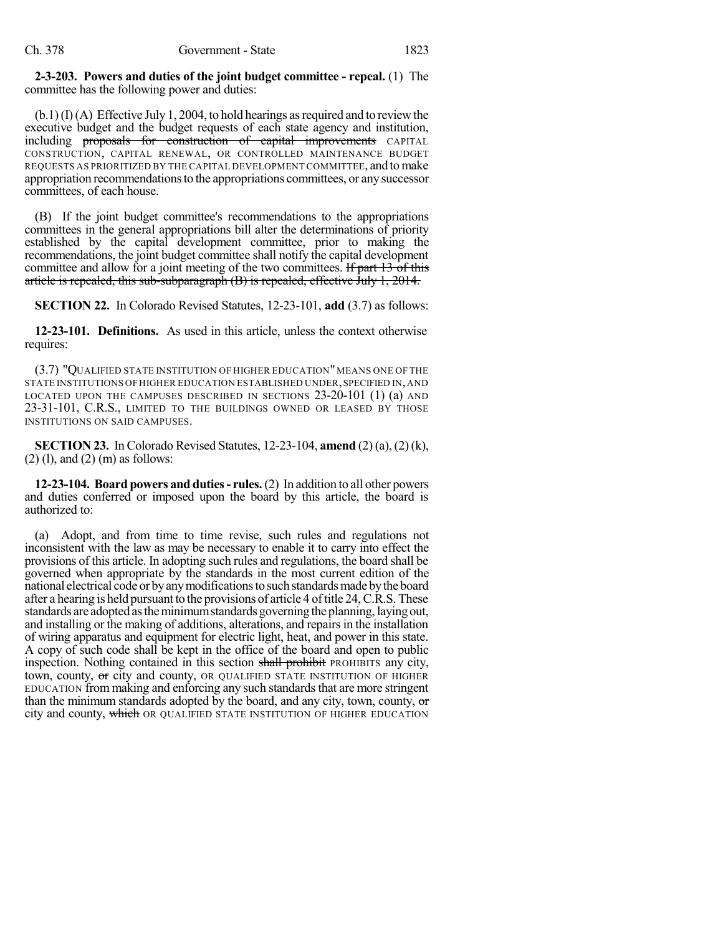#### **2-3-203. Powers and duties of the joint budget committee - repeal.** (1) The committee has the following power and duties:

 $(b.1)(I)(A)$  Effective July 1, 2004, to hold hearings as required and to review the executive budget and the budget requests of each state agency and institution, including proposals for construction of capital improvements CAPITAL CONSTRUCTION, CAPITAL RENEWAL, OR CONTROLLED MAINTENANCE BUDGET REQUESTS AS PRIORITIZED BY THE CAPITAL DEVELOPMENT COMMITTEE, and tomake appropriation recommendationsto the appropriations committees, or any successor committees, of each house.

(B) If the joint budget committee's recommendations to the appropriations committees in the general appropriations bill alter the determinations of priority established by the capital development committee, prior to making the recommendations, the joint budget committee shall notify the capital development committee and allow for a joint meeting of the two committees. If part 13 of this article is repealed, this sub-subparagraph (B) is repealed, effective July 1, 2014.

**SECTION 22.** In Colorado Revised Statutes, 12-23-101, **add** (3.7) as follows:

**12-23-101. Definitions.** As used in this article, unless the context otherwise requires:

(3.7) "QUALIFIED STATE INSTITUTION OF HIGHER EDUCATION"MEANS ONE OF THE STATE INSTITUTIONS OF HIGHER EDUCATION ESTABLISHED UNDER, SPECIFIED IN, AND LOCATED UPON THE CAMPUSES DESCRIBED IN SECTIONS 23-20-101 (1) (a) AND 23-31-101, C.R.S., LIMITED TO THE BUILDINGS OWNED OR LEASED BY THOSE INSTITUTIONS ON SAID CAMPUSES.

**SECTION 23.** In Colorado Revised Statutes, 12-23-104, **amend** (2) (a), (2)(k),  $(2)$  (1), and  $(2)$  (m) as follows:

**12-23-104. Board powers and duties- rules.**(2) In addition to all other powers and duties conferred or imposed upon the board by this article, the board is authorized to:

(a) Adopt, and from time to time revise, such rules and regulations not inconsistent with the law as may be necessary to enable it to carry into effect the provisions of this article. In adopting such rules and regulations, the board shall be governed when appropriate by the standards in the most current edition of the national electrical code or by any modifications to such standards made by the board after a hearing is held pursuant to the provisions of article 4 of title 24, C.R.S. These standards are adopted as the minimum standards governing the planning, laying out, and installing or the making of additions, alterations, and repairsin the installation of wiring apparatus and equipment for electric light, heat, and power in this state. A copy of such code shall be kept in the office of the board and open to public inspection. Nothing contained in this section shall prohibit PROHIBITS any city, town, county, or city and county, OR QUALIFIED STATE INSTITUTION OF HIGHER EDUCATION from making and enforcing any such standards that are more stringent than the minimum standards adopted by the board, and any city, town, county, or city and county, which OR QUALIFIED STATE INSTITUTION OF HIGHER EDUCATION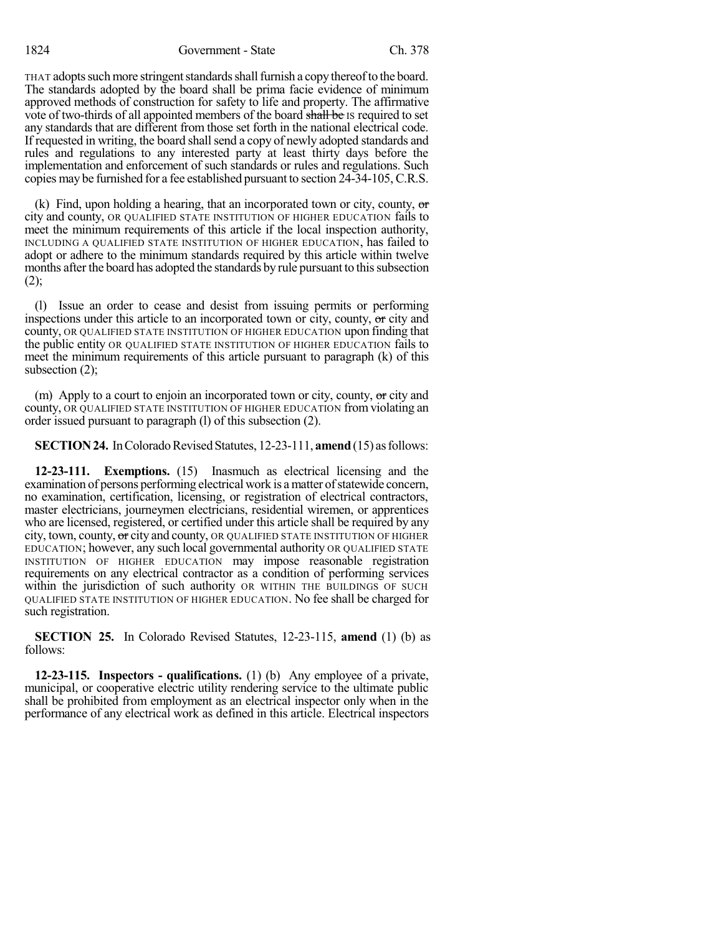THAT adopts such more stringent standards shall furnish a copy thereof to the board. The standards adopted by the board shall be prima facie evidence of minimum approved methods of construction for safety to life and property. The affirmative vote of two-thirds of all appointed members of the board shall be IS required to set any standards that are different from those set forth in the national electrical code. If requested in writing, the board shall send a copy of newly adopted standards and rules and regulations to any interested party at least thirty days before the implementation and enforcement of such standards or rules and regulations. Such copies may be furnished for a fee established pursuant to section 24-34-105, C.R.S.

(k) Find, upon holding a hearing, that an incorporated town or city, county,  $\sigma$ city and county, OR QUALIFIED STATE INSTITUTION OF HIGHER EDUCATION fails to meet the minimum requirements of this article if the local inspection authority, INCLUDING A QUALIFIED STATE INSTITUTION OF HIGHER EDUCATION, has failed to adopt or adhere to the minimum standards required by this article within twelve months after the board has adopted the standards by rule pursuant to this subsection  $(2)$ ;

(l) Issue an order to cease and desist from issuing permits or performing inspections under this article to an incorporated town or city, county, or city and county, OR QUALIFIED STATE INSTITUTION OF HIGHER EDUCATION upon finding that the public entity OR QUALIFIED STATE INSTITUTION OF HIGHER EDUCATION fails to meet the minimum requirements of this article pursuant to paragraph (k) of this subsection (2);

(m) Apply to a court to enjoin an incorporated town or city, county,  $\sigma$  city and county, OR QUALIFIED STATE INSTITUTION OF HIGHER EDUCATION fromviolating an order issued pursuant to paragraph (l) of this subsection (2).

#### **SECTION 24.** In Colorado Revised Statutes, 12-23-111, **amend** (15) as follows:

**12-23-111. Exemptions.** (15) Inasmuch as electrical licensing and the examination of persons performing electrical work is a matter of statewide concern, no examination, certification, licensing, or registration of electrical contractors, master electricians, journeymen electricians, residential wiremen, or apprentices who are licensed, registered, or certified under this article shall be required by any city, town, county, or city and county, OR QUALIFIED STATE INSTITUTION OF HIGHER EDUCATION; however, any such local governmental authority OR QUALIFIED STATE INSTITUTION OF HIGHER EDUCATION may impose reasonable registration requirements on any electrical contractor as a condition of performing services within the jurisdiction of such authority OR WITHIN THE BUILDINGS OF SUCH QUALIFIED STATE INSTITUTION OF HIGHER EDUCATION. No fee shall be charged for such registration.

**SECTION 25.** In Colorado Revised Statutes, 12-23-115, **amend** (1) (b) as follows:

**12-23-115. Inspectors - qualifications.** (1) (b) Any employee of a private, municipal, or cooperative electric utility rendering service to the ultimate public shall be prohibited from employment as an electrical inspector only when in the performance of any electrical work as defined in this article. Electrical inspectors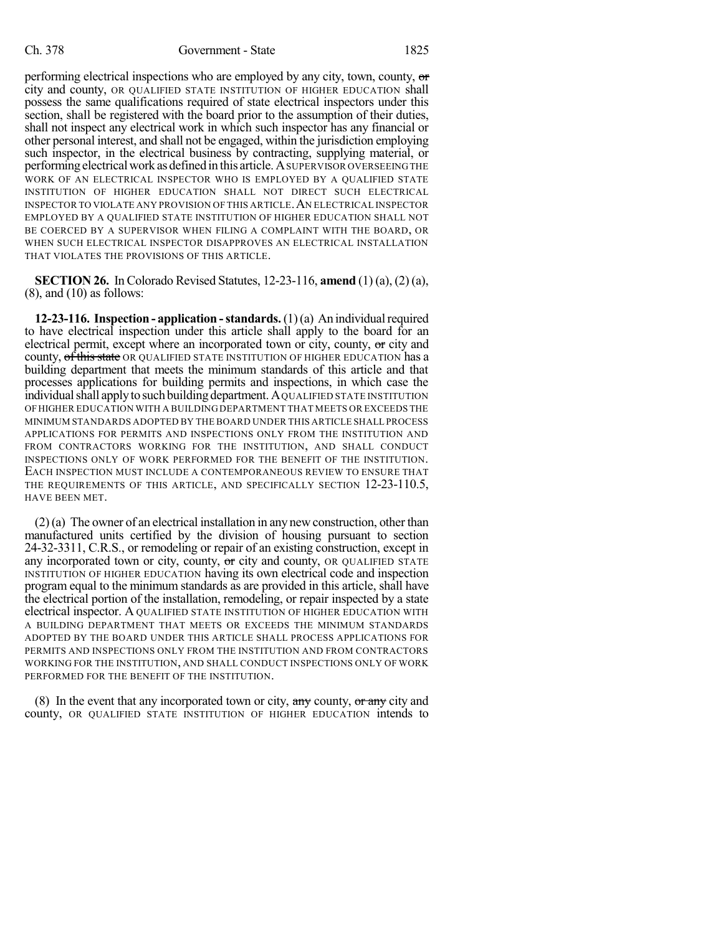performing electrical inspections who are employed by any city, town, county, or city and county, OR QUALIFIED STATE INSTITUTION OF HIGHER EDUCATION shall possess the same qualifications required of state electrical inspectors under this section, shall be registered with the board prior to the assumption of their duties, shall not inspect any electrical work in which such inspector has any financial or other personal interest, and shall not be engaged, within the jurisdiction employing such inspector, in the electrical business by contracting, supplying material, or performing electrical work as defined in this article. A SUPERVISOR OVERSEEING THE WORK OF AN ELECTRICAL INSPECTOR WHO IS EMPLOYED BY A QUALIFIED STATE INSTITUTION OF HIGHER EDUCATION SHALL NOT DIRECT SUCH ELECTRICAL INSPECTOR TO VIOLATE ANY PROVISION OF THIS ARTICLE.AN ELECTRICAL INSPECTOR EMPLOYED BY A QUALIFIED STATE INSTITUTION OF HIGHER EDUCATION SHALL NOT BE COERCED BY A SUPERVISOR WHEN FILING A COMPLAINT WITH THE BOARD, OR WHEN SUCH ELECTRICAL INSPECTOR DISAPPROVES AN ELECTRICAL INSTALLATION THAT VIOLATES THE PROVISIONS OF THIS ARTICLE.

**SECTION 26.** In Colorado Revised Statutes, 12-23-116, **amend** (1) (a), (2) (a),  $(8)$ , and  $(10)$  as follows:

**12-23-116. Inspection - application -standards.**(1)(a) An individualrequired to have electrical inspection under this article shall apply to the board for an electrical permit, except where an incorporated town or city, county, or city and county, of this state OR QUALIFIED STATE INSTITUTION OF HIGHER EDUCATION has a building department that meets the minimum standards of this article and that processes applications for building permits and inspections, in which case the individual shall apply to such building department. A QUALIFIED STATE INSTITUTION OFHIGHER EDUCATION WITH A BUILDINGDEPARTMENT THAT MEETS OR EXCEEDS THE MINIMUM STANDARDS ADOPTED BY THE BOARD UNDER THIS ARTICLE SHALL PROCESS APPLICATIONS FOR PERMITS AND INSPECTIONS ONLY FROM THE INSTITUTION AND FROM CONTRACTORS WORKING FOR THE INSTITUTION, AND SHALL CONDUCT INSPECTIONS ONLY OF WORK PERFORMED FOR THE BENEFIT OF THE INSTITUTION. EACH INSPECTION MUST INCLUDE A CONTEMPORANEOUS REVIEW TO ENSURE THAT THE REQUIREMENTS OF THIS ARTICLE, AND SPECIFICALLY SECTION 12-23-110.5, HAVE BEEN MET.

(2)(a) The owner of an electrical installation in any new construction, other than manufactured units certified by the division of housing pursuant to section 24-32-3311, C.R.S., or remodeling or repair of an existing construction, except in any incorporated town or city, county, or city and county, OR QUALIFIED STATE INSTITUTION OF HIGHER EDUCATION having its own electrical code and inspection program equal to the minimum standards as are provided in this article, shall have the electrical portion of the installation, remodeling, or repair inspected by a state electrical inspector. A QUALIFIED STATE INSTITUTION OF HIGHER EDUCATION WITH A BUILDING DEPARTMENT THAT MEETS OR EXCEEDS THE MINIMUM STANDARDS ADOPTED BY THE BOARD UNDER THIS ARTICLE SHALL PROCESS APPLICATIONS FOR PERMITS AND INSPECTIONS ONLY FROM THE INSTITUTION AND FROM CONTRACTORS WORKING FOR THE INSTITUTION, AND SHALL CONDUCT INSPECTIONS ONLY OF WORK PERFORMED FOR THE BENEFIT OF THE INSTITUTION.

(8) In the event that any incorporated town or city,  $\frac{dy}{dx}$  county,  $\frac{dy}{dx}$  city and county, OR QUALIFIED STATE INSTITUTION OF HIGHER EDUCATION intends to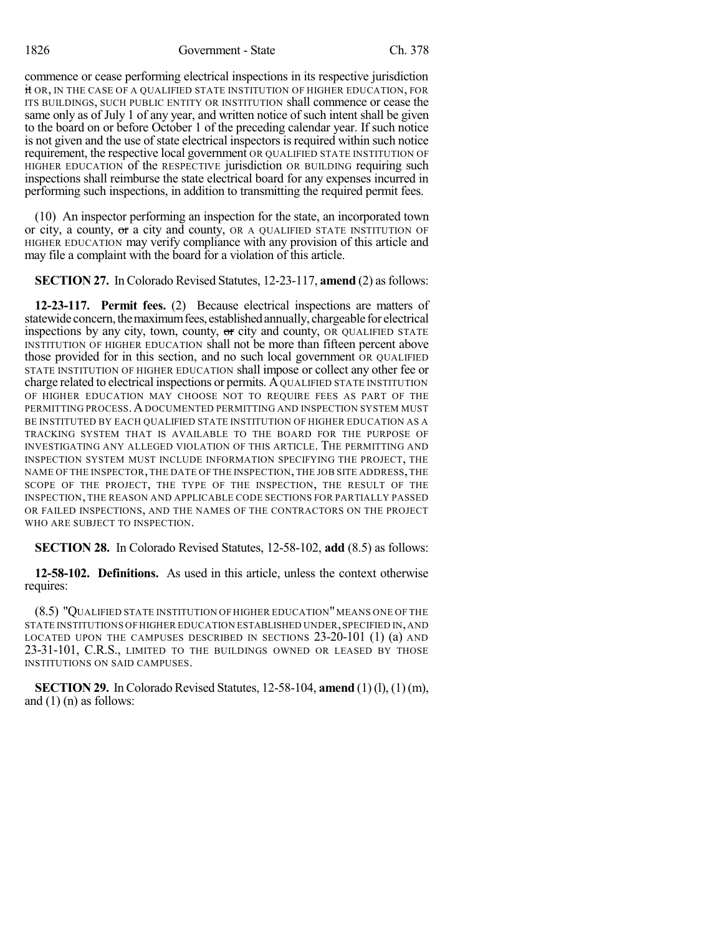commence or cease performing electrical inspections in its respective jurisdiction it OR, IN THE CASE OF A QUALIFIED STATE INSTITUTION OF HIGHER EDUCATION, FOR ITS BUILDINGS, SUCH PUBLIC ENTITY OR INSTITUTION shall commence or cease the same only as of July 1 of any year, and written notice of such intent shall be given to the board on or before October 1 of the preceding calendar year. If such notice is not given and the use of state electrical inspectors is required within such notice requirement, the respective local government OR QUALIFIED STATE INSTITUTION OF HIGHER EDUCATION of the RESPECTIVE jurisdiction OR BUILDING requiring such inspections shall reimburse the state electrical board for any expenses incurred in performing such inspections, in addition to transmitting the required permit fees.

(10) An inspector performing an inspection for the state, an incorporated town or city, a county, or a city and county, OR A QUALIFIED STATE INSTITUTION OF HIGHER EDUCATION may verify compliance with any provision of this article and may file a complaint with the board for a violation of this article.

**SECTION 27.** In Colorado Revised Statutes, 12-23-117, **amend** (2) as follows:

**12-23-117. Permit fees.** (2) Because electrical inspections are matters of statewide concern, the maximum fees, established annually, chargeable for electrical inspections by any city, town, county,  $\sigma$  city and county, OR QUALIFIED STATE INSTITUTION OF HIGHER EDUCATION shall not be more than fifteen percent above those provided for in this section, and no such local government OR QUALIFIED STATE INSTITUTION OF HIGHER EDUCATION shall impose or collect any other fee or charge related to electrical inspections or permits. AQUALIFIED STATE INSTITUTION OF HIGHER EDUCATION MAY CHOOSE NOT TO REQUIRE FEES AS PART OF THE PERMITTING PROCESS. A DOCUMENTED PERMITTING AND INSPECTION SYSTEM MUST BE INSTITUTED BY EACH QUALIFIED STATE INSTITUTION OF HIGHER EDUCATION AS A TRACKING SYSTEM THAT IS AVAILABLE TO THE BOARD FOR THE PURPOSE OF INVESTIGATING ANY ALLEGED VIOLATION OF THIS ARTICLE. THE PERMITTING AND INSPECTION SYSTEM MUST INCLUDE INFORMATION SPECIFYING THE PROJECT, THE NAME OF THE INSPECTOR, THE DATE OF THE INSPECTION, THE JOB SITE ADDRESS, THE SCOPE OF THE PROJECT, THE TYPE OF THE INSPECTION, THE RESULT OF THE INSPECTION, THE REASON AND APPLICABLE CODE SECTIONS FOR PARTIALLY PASSED OR FAILED INSPECTIONS, AND THE NAMES OF THE CONTRACTORS ON THE PROJECT WHO ARE SUBJECT TO INSPECTION.

**SECTION 28.** In Colorado Revised Statutes, 12-58-102, **add** (8.5) as follows:

**12-58-102. Definitions.** As used in this article, unless the context otherwise requires:

(8.5) "QUALIFIED STATE INSTITUTION OF HIGHER EDUCATION"MEANS ONE OF THE STATE INSTITUTIONS OF HIGHER EDUCATION ESTABLISHED UNDER, SPECIFIED IN, AND LOCATED UPON THE CAMPUSES DESCRIBED IN SECTIONS 23-20-101 (1) (a) AND 23-31-101, C.R.S., LIMITED TO THE BUILDINGS OWNED OR LEASED BY THOSE INSTITUTIONS ON SAID CAMPUSES.

**SECTION 29.** In Colorado Revised Statutes, 12-58-104, **amend** (1) (1), (1) (m), and  $(1)$  (n) as follows: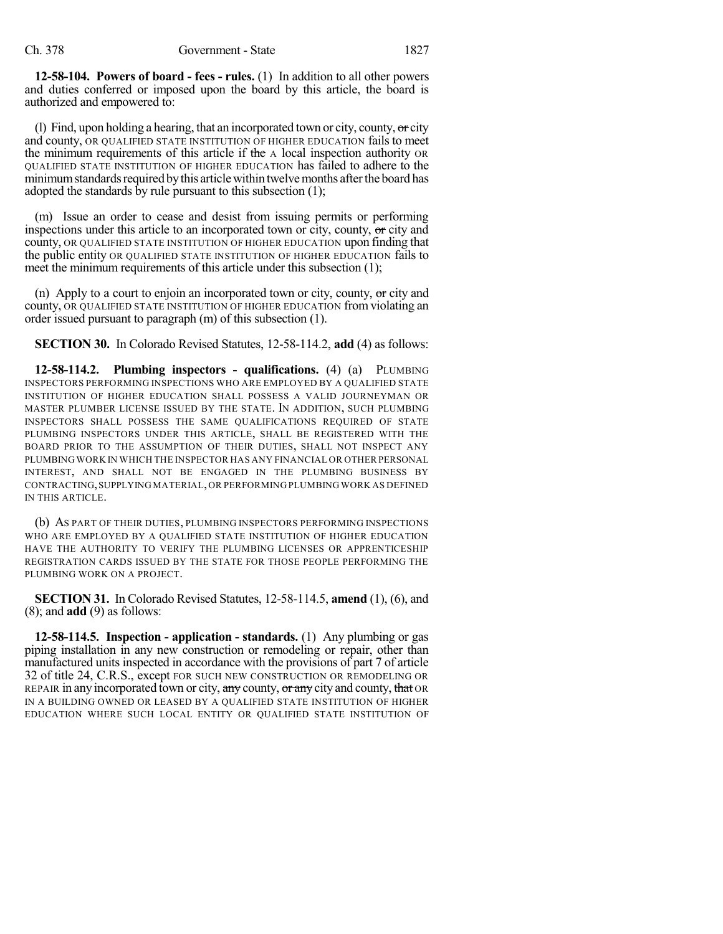**12-58-104. Powers of board - fees - rules.** (1) In addition to all other powers and duties conferred or imposed upon the board by this article, the board is authorized and empowered to:

(1) Find, upon holding a hearing, that an incorporated town or city, county,  $\sigma$  city and county, OR QUALIFIED STATE INSTITUTION OF HIGHER EDUCATION fails to meet the minimum requirements of this article if the A local inspection authority OR QUALIFIED STATE INSTITUTION OF HIGHER EDUCATION has failed to adhere to the minimum standards required by this article within twelve months after the board has adopted the standards by rule pursuant to this subsection (1);

(m) Issue an order to cease and desist from issuing permits or performing inspections under this article to an incorporated town or city, county, or city and county, OR QUALIFIED STATE INSTITUTION OF HIGHER EDUCATION upon finding that the public entity OR QUALIFIED STATE INSTITUTION OF HIGHER EDUCATION fails to meet the minimum requirements of this article under this subsection (1);

(n) Apply to a court to enjoin an incorporated town or city, county,  $\sigma$  city and county, OR QUALIFIED STATE INSTITUTION OF HIGHER EDUCATION fromviolating an order issued pursuant to paragraph (m) of this subsection (1).

**SECTION 30.** In Colorado Revised Statutes, 12-58-114.2, **add** (4) as follows:

**12-58-114.2. Plumbing inspectors - qualifications.** (4) (a) PLUMBING INSPECTORS PERFORMING INSPECTIONS WHO ARE EMPLOYED BY A QUALIFIED STATE INSTITUTION OF HIGHER EDUCATION SHALL POSSESS A VALID JOURNEYMAN OR MASTER PLUMBER LICENSE ISSUED BY THE STATE. IN ADDITION, SUCH PLUMBING INSPECTORS SHALL POSSESS THE SAME QUALIFICATIONS REQUIRED OF STATE PLUMBING INSPECTORS UNDER THIS ARTICLE, SHALL BE REGISTERED WITH THE BOARD PRIOR TO THE ASSUMPTION OF THEIR DUTIES, SHALL NOT INSPECT ANY PLUMBING WORK IN WHICH THE INSPECTOR HAS ANY FINANCIAL OR OTHER PERSONAL INTEREST, AND SHALL NOT BE ENGAGED IN THE PLUMBING BUSINESS BY CONTRACTING,SUPPLYING MATERIAL,OR PERFORMING PLUMBING WORK AS DEFINED IN THIS ARTICLE.

(b) AS PART OF THEIR DUTIES, PLUMBING INSPECTORS PERFORMING INSPECTIONS WHO ARE EMPLOYED BY A QUALIFIED STATE INSTITUTION OF HIGHER EDUCATION HAVE THE AUTHORITY TO VERIFY THE PLUMBING LICENSES OR APPRENTICESHIP REGISTRATION CARDS ISSUED BY THE STATE FOR THOSE PEOPLE PERFORMING THE PLUMBING WORK ON A PROJECT.

**SECTION 31.** In Colorado Revised Statutes, 12-58-114.5, **amend** (1), (6), and (8); and **add** (9) as follows:

**12-58-114.5. Inspection - application - standards.** (1) Any plumbing or gas piping installation in any new construction or remodeling or repair, other than manufactured units inspected in accordance with the provisions of part 7 of article 32 of title 24, C.R.S., except FOR SUCH NEW CONSTRUCTION OR REMODELING OR REPAIR in any incorporated town or city, any county, or any city and county, that OR IN A BUILDING OWNED OR LEASED BY A QUALIFIED STATE INSTITUTION OF HIGHER EDUCATION WHERE SUCH LOCAL ENTITY OR QUALIFIED STATE INSTITUTION OF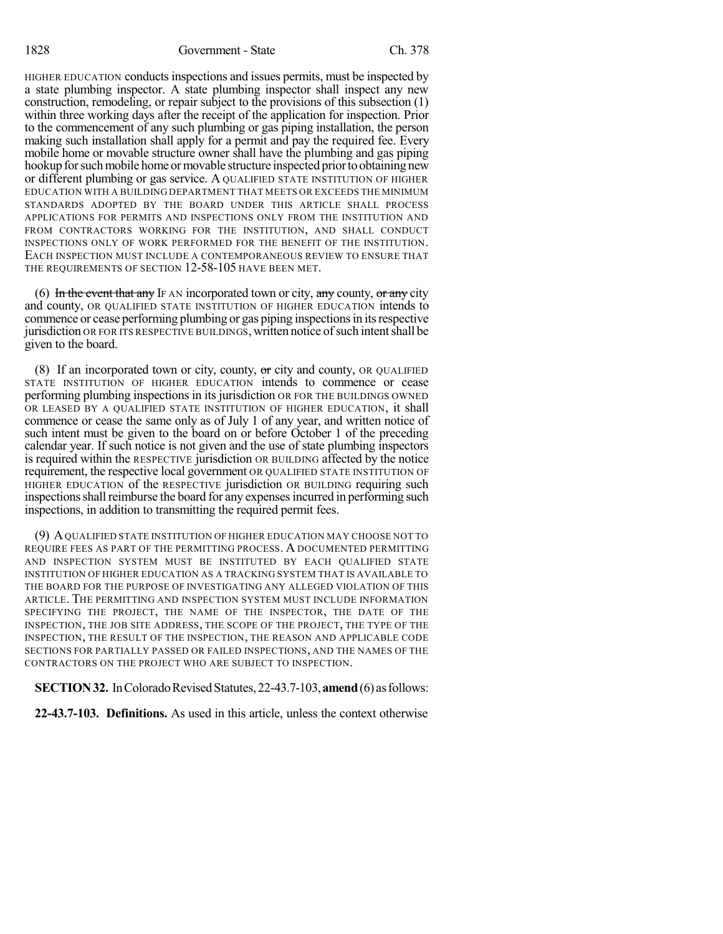1828 Government - State Ch. 378

HIGHER EDUCATION conducts inspections and issues permits, must be inspected by a state plumbing inspector. A state plumbing inspector shall inspect any new construction, remodeling, or repair subject to the provisions of this subsection (1) within three working days after the receipt of the application for inspection. Prior to the commencement of any such plumbing or gas piping installation, the person making such installation shall apply for a permit and pay the required fee. Every mobile home or movable structure owner shall have the plumbing and gas piping hookup for such mobile home or movable structure inspected prior to obtaining new or different plumbing or gas service. A QUALIFIED STATE INSTITUTION OF HIGHER EDUCATION WITH A BUILDING DEPARTMENT THAT MEETS OR EXCEEDS THE MINIMUM STANDARDS ADOPTED BY THE BOARD UNDER THIS ARTICLE SHALL PROCESS APPLICATIONS FOR PERMITS AND INSPECTIONS ONLY FROM THE INSTITUTION AND FROM CONTRACTORS WORKING FOR THE INSTITUTION, AND SHALL CONDUCT INSPECTIONS ONLY OF WORK PERFORMED FOR THE BENEFIT OF THE INSTITUTION. EACH INSPECTION MUST INCLUDE A CONTEMPORANEOUS REVIEW TO ENSURE THAT THE REQUIREMENTS OF SECTION 12-58-105 HAVE BEEN MET.

(6) In the event that any IF AN incorporated town or city, any county, or any city and county, OR QUALIFIED STATE INSTITUTION OF HIGHER EDUCATION intends to commence or cease performing plumbing or gas piping inspectionsin itsrespective jurisdiction OR FOR ITS RESPECTIVE BUILDINGS, written notice of such intent shall be given to the board.

(8) If an incorporated town or city, county,  $\sigma$  city and county, OR QUALIFIED STATE INSTITUTION OF HIGHER EDUCATION intends to commence or cease performing plumbing inspections in its jurisdiction OR FOR THE BUILDINGS OWNED OR LEASED BY A QUALIFIED STATE INSTITUTION OF HIGHER EDUCATION, it shall commence or cease the same only as of July 1 of any year, and written notice of such intent must be given to the board on or before October 1 of the preceding calendar year. If such notice is not given and the use of state plumbing inspectors is required within the RESPECTIVE jurisdiction OR BUILDING affected by the notice requirement, the respective local government OR QUALIFIED STATE INSTITUTION OF HIGHER EDUCATION of the RESPECTIVE jurisdiction OR BUILDING requiring such inspections shall reimburse the board for any expenses incurred in performing such inspections, in addition to transmitting the required permit fees.

(9) AQUALIFIED STATE INSTITUTION OF HIGHER EDUCATION MAY CHOOSE NOT TO REQUIRE FEES AS PART OF THE PERMITTING PROCESS. A DOCUMENTED PERMITTING AND INSPECTION SYSTEM MUST BE INSTITUTED BY EACH QUALIFIED STATE INSTITUTION OF HIGHER EDUCATION AS A TRACKING SYSTEM THAT IS AVAILABLE TO THE BOARD FOR THE PURPOSE OF INVESTIGATING ANY ALLEGED VIOLATION OF THIS ARTICLE. THE PERMITTING AND INSPECTION SYSTEM MUST INCLUDE INFORMATION SPECIFYING THE PROJECT, THE NAME OF THE INSPECTOR, THE DATE OF THE INSPECTION, THE JOB SITE ADDRESS, THE SCOPE OF THE PROJECT, THE TYPE OF THE INSPECTION, THE RESULT OF THE INSPECTION, THE REASON AND APPLICABLE CODE SECTIONS FOR PARTIALLY PASSED OR FAILED INSPECTIONS, AND THE NAMES OF THE CONTRACTORS ON THE PROJECT WHO ARE SUBJECT TO INSPECTION.

**SECTION 32.** In Colorado Revised Statutes, 22-43.7-103, **amend** (6) as follows:

**22-43.7-103. Definitions.** As used in this article, unless the context otherwise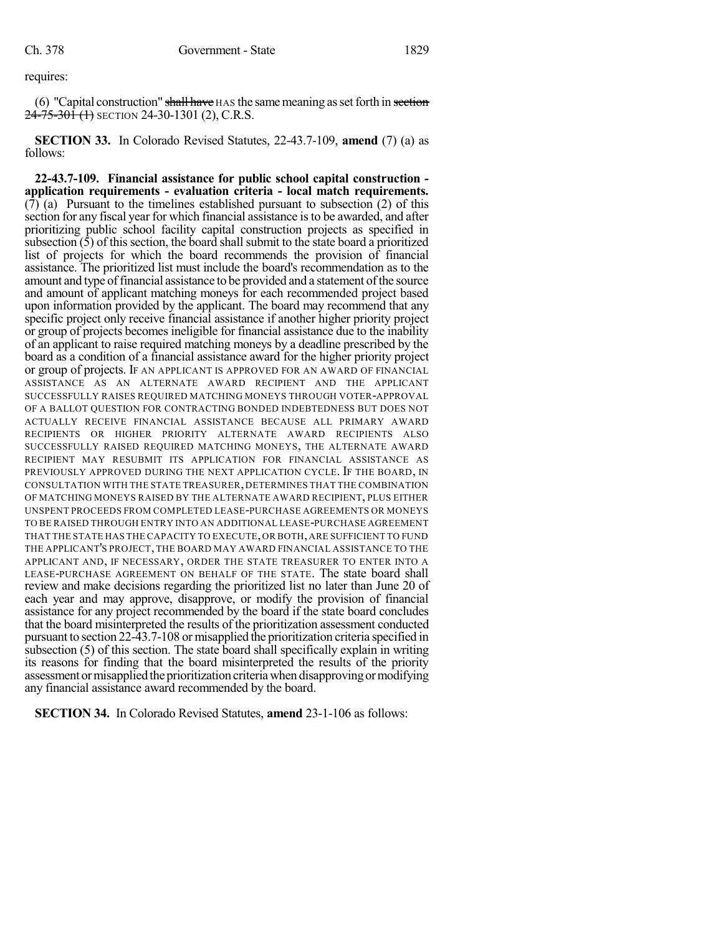requires:

(6) "Capital construction" shall have HAS the same meaning as set forth in section  $24 - 75 - 30 + (1)$  SECTION 24-30-1301 (2), C.R.S.

**SECTION 33.** In Colorado Revised Statutes, 22-43.7-109, **amend** (7) (a) as follows:

**22-43.7-109. Financial assistance for public school capital construction application requirements - evaluation criteria - local match requirements.**  $(7)$  (a) Pursuant to the timelines established pursuant to subsection (2) of this section for any fiscal year for which financial assistance isto be awarded, and after prioritizing public school facility capital construction projects as specified in subsection  $(5)$  of this section, the board shall submit to the state board a prioritized list of projects for which the board recommends the provision of financial assistance. The prioritized list must include the board's recommendation as to the amount and type of financial assistance to be provided and a statement of the source and amount of applicant matching moneys for each recommended project based upon information provided by the applicant. The board may recommend that any specific project only receive financial assistance if another higher priority project or group of projects becomes ineligible for financial assistance due to the inability of an applicant to raise required matching moneys by a deadline prescribed by the board as a condition of a financial assistance award for the higher priority project or group of projects. IF AN APPLICANT IS APPROVED FOR AN AWARD OF FINANCIAL ASSISTANCE AS AN ALTERNATE AWARD RECIPIENT AND THE APPLICANT SUCCESSFULLY RAISES REQUIRED MATCHING MONEYS THROUGH VOTER-APPROVAL OF A BALLOT QUESTION FOR CONTRACTING BONDED INDEBTEDNESS BUT DOES NOT ACTUALLY RECEIVE FINANCIAL ASSISTANCE BECAUSE ALL PRIMARY AWARD RECIPIENTS OR HIGHER PRIORITY ALTERNATE AWARD RECIPIENTS ALSO SUCCESSFULLY RAISED REQUIRED MATCHING MONEYS, THE ALTERNATE AWARD RECIPIENT MAY RESUBMIT ITS APPLICATION FOR FINANCIAL ASSISTANCE AS PREVIOUSLY APPROVED DURING THE NEXT APPLICATION CYCLE. IF THE BOARD, IN CONSULTATION WITH THE STATE TREASURER, DETERMINES THAT THE COMBINATION OF MATCHING MONEYS RAISED BY THE ALTERNATE AWARD RECIPIENT, PLUS EITHER UNSPENT PROCEEDS FROM COMPLETED LEASE-PURCHASE AGREEMENTS OR MONEYS TO BE RAISED THROUGH ENTRY INTO AN ADDITIONAL LEASE-PURCHASE AGREEMENT THAT THE STATE HAS THE CAPACITY TO EXECUTE,OR BOTH,ARE SUFFICIENT TO FUND THE APPLICANT'S PROJECT, THE BOARD MAY AWARD FINANCIAL ASSISTANCE TO THE APPLICANT AND, IF NECESSARY, ORDER THE STATE TREASURER TO ENTER INTO A LEASE-PURCHASE AGREEMENT ON BEHALF OF THE STATE. The state board shall review and make decisions regarding the prioritized list no later than June 20 of each year and may approve, disapprove, or modify the provision of financial assistance for any project recommended by the board if the state board concludes that the board misinterpreted the results of the prioritization assessment conducted pursuant to section 22-43.7-108 or misapplied the prioritization criteria specified in subsection (5) of this section. The state board shall specifically explain in writing its reasons for finding that the board misinterpreted the results of the priority assessment or misapplied the prioritization criteria when disapproving or modifying any financial assistance award recommended by the board.

**SECTION 34.** In Colorado Revised Statutes, **amend** 23-1-106 as follows: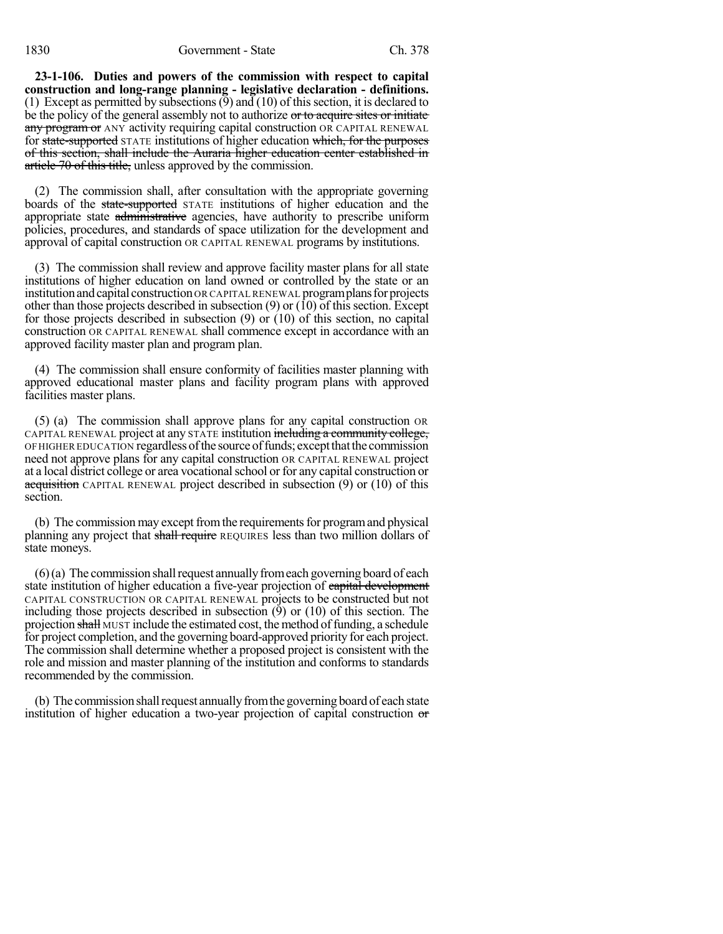1830 Government - State Ch. 378

**23-1-106. Duties and powers of the commission with respect to capital construction and long-range planning - legislative declaration - definitions.** (1) Except as permitted by subsections(9) and (10) of thissection, it is declared to be the policy of the general assembly not to authorize or to acquire sites or initiate any program or ANY activity requiring capital construction OR CAPITAL RENEWAL for state-supported STATE institutions of higher education which, for the purposes of this section, shall include the Auraria higher education center established in article 70 of this title, unless approved by the commission.

(2) The commission shall, after consultation with the appropriate governing boards of the state-supported STATE institutions of higher education and the appropriate state administrative agencies, have authority to prescribe uniform policies, procedures, and standards of space utilization for the development and approval of capital construction OR CAPITAL RENEWAL programs by institutions.

(3) The commission shall review and approve facility master plans for all state institutions of higher education on land owned or controlled by the state or an institution and capital construction OR CAPITAL RENEWAL program plans for projects other than those projects described in subsection  $(9)$  or  $(10)$  of this section. Except for those projects described in subsection (9) or (10) of this section, no capital construction OR CAPITAL RENEWAL shall commence except in accordance with an approved facility master plan and program plan.

(4) The commission shall ensure conformity of facilities master planning with approved educational master plans and facility program plans with approved facilities master plans.

(5) (a) The commission shall approve plans for any capital construction OR CAPITAL RENEWAL project at any STATE institution including a community college, OF HIGHER EDUCATION regardless ofthe source offunds; exceptthatthe commission need not approve plans for any capital construction OR CAPITAL RENEWAL project at a local district college or area vocationalschool or for any capital construction or acquisition CAPITAL RENEWAL project described in subsection (9) or (10) of this section.

(b) The commission may except from the requirements for program and physical planning any project that shall require REQUIRES less than two million dollars of state moneys.

 $(6)(a)$  The commission shall request annually from each governing board of each state institution of higher education a five-year projection of capital development CAPITAL CONSTRUCTION OR CAPITAL RENEWAL projects to be constructed but not including those projects described in subsection  $(\dot{9})$  or  $(10)$  of this section. The projection shall MUST include the estimated cost, the method of funding, a schedule for project completion, and the governing board-approved priority for each project. The commission shall determine whether a proposed project is consistent with the role and mission and master planning of the institution and conforms to standards recommended by the commission.

(b) The commission shall request annually from the governing board of each state institution of higher education a two-year projection of capital construction or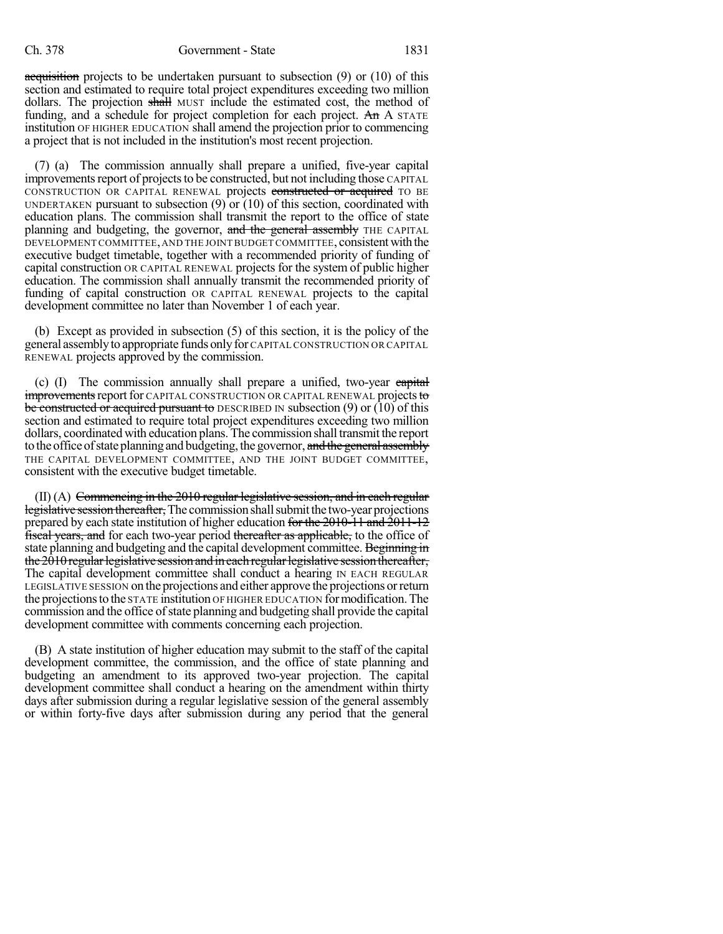acquisition projects to be undertaken pursuant to subsection (9) or (10) of this section and estimated to require total project expenditures exceeding two million dollars. The projection shall MUST include the estimated cost, the method of funding, and a schedule for project completion for each project. An A STATE institution OF HIGHER EDUCATION shall amend the projection prior to commencing a project that is not included in the institution's most recent projection.

(7) (a) The commission annually shall prepare a unified, five-year capital improvements report of projects to be constructed, but not including those CAPITAL CONSTRUCTION OR CAPITAL RENEWAL projects constructed or acquired TO BE UNDERTAKEN pursuant to subsection  $(9)$  or  $(10)$  of this section, coordinated with education plans. The commission shall transmit the report to the office of state planning and budgeting, the governor, and the general assembly THE CAPITAL DEVELOPMENT COMMITTEE, AND THE JOINT BUDGET COMMITTEE, consistent with the executive budget timetable, together with a recommended priority of funding of capital construction OR CAPITAL RENEWAL projects for the system of public higher education. The commission shall annually transmit the recommended priority of funding of capital construction OR CAPITAL RENEWAL projects to the capital development committee no later than November 1 of each year.

(b) Except as provided in subsection (5) of this section, it is the policy of the general assemblyto appropriate funds onlyfor CAPITAL CONSTRUCTION OR CAPITAL RENEWAL projects approved by the commission.

(c)  $(I)$  The commission annually shall prepare a unified, two-year capital improvements report for CAPITAL CONSTRUCTION OR CAPITAL RENEWAL projects to be constructed or acquired pursuant to DESCRIBED IN subsection  $(9)$  or  $(10)$  of this section and estimated to require total project expenditures exceeding two million dollars, coordinated with education plans. The commission shall transmit the report to the office of state planning and budgeting, the governor, and the general assembly THE CAPITAL DEVELOPMENT COMMITTEE, AND THE JOINT BUDGET COMMITTEE, consistent with the executive budget timetable.

 $(II)$  (A) Commencing in the 2010 regular legislative session, and in each regular legislative session thereafter, The commission shall submit the two-year projections prepared by each state institution of higher education for the 2010-11 and 2011-12 fiscal years, and for each two-year period thereafter as applicable, to the office of state planning and budgeting and the capital development committee. Beginning in the 2010 regular legislative session and in each regular legislative session thereafter, The capital development committee shall conduct a hearing IN EACH REGULAR LEGISLATIVE SESSION on the projections and either approve the projections orreturn the projectionsto the STATE institution OF HIGHER EDUCATION formodification.The commission and the office of state planning and budgeting shall provide the capital development committee with comments concerning each projection.

(B) A state institution of higher education may submit to the staff of the capital development committee, the commission, and the office of state planning and budgeting an amendment to its approved two-year projection. The capital development committee shall conduct a hearing on the amendment within thirty days after submission during a regular legislative session of the general assembly or within forty-five days after submission during any period that the general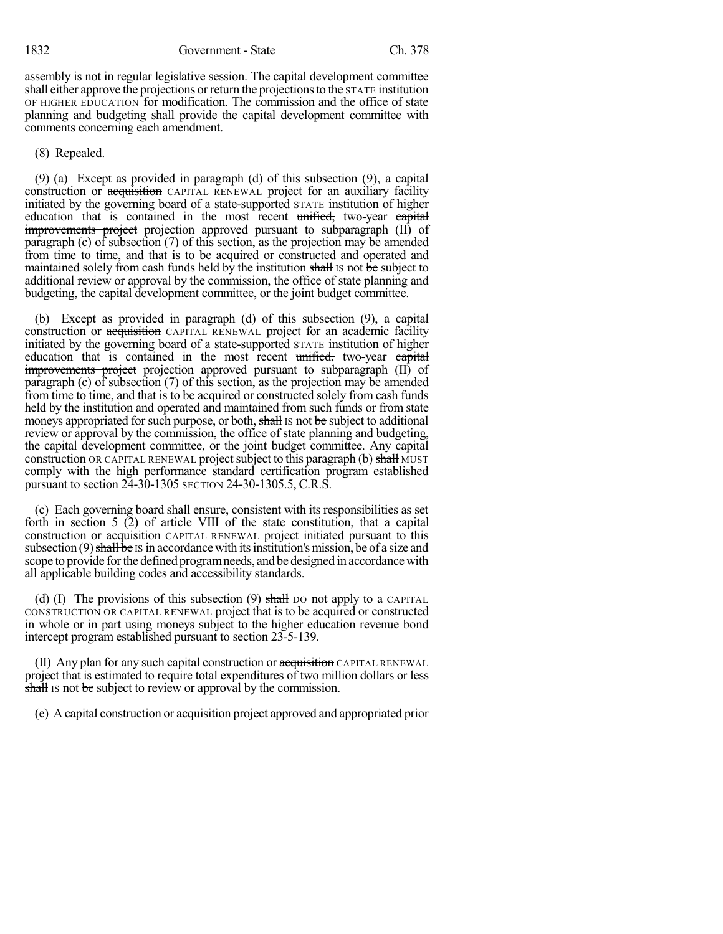assembly is not in regular legislative session. The capital development committee shall either approve the projections orreturn the projectionsto the STATE institution OF HIGHER EDUCATION for modification. The commission and the office of state planning and budgeting shall provide the capital development committee with comments concerning each amendment.

#### (8) Repealed.

(9) (a) Except as provided in paragraph (d) of this subsection (9), a capital construction or acquisition CAPITAL RENEWAL project for an auxiliary facility initiated by the governing board of a state-supported STATE institution of higher education that is contained in the most recent unified, two-year capital improvements project projection approved pursuant to subparagraph (II) of paragraph (c) of subsection (7) of this section, as the projection may be amended from time to time, and that is to be acquired or constructed and operated and maintained solely from cash funds held by the institution shall is not be subject to additional review or approval by the commission, the office of state planning and budgeting, the capital development committee, or the joint budget committee.

(b) Except as provided in paragraph (d) of this subsection (9), a capital construction or acquisition CAPITAL RENEWAL project for an academic facility initiated by the governing board of a state-supported STATE institution of higher education that is contained in the most recent unified, two-year eapital improvements project projection approved pursuant to subparagraph (II) of paragraph (c) of subsection (7) of this section, as the projection may be amended from time to time, and that is to be acquired or constructed solely from cash funds held by the institution and operated and maintained from such funds or from state moneys appropriated for such purpose, or both, shall IS not be subject to additional review or approval by the commission, the office of state planning and budgeting, the capital development committee, or the joint budget committee. Any capital construction OR CAPITAL RENEWAL project subject to this paragraph (b) shall MUST comply with the high performance standard certification program established pursuant to section  $24-30-1305$  SECTION 24-30-1305.5, C.R.S.

(c) Each governing board shall ensure, consistent with its responsibilities as set forth in section 5 (2) of article VIII of the state constitution, that a capital construction or acquisition CAPITAL RENEWAL project initiated pursuant to this subsection  $(9)$  shall be IS in accordance with its institution's mission, be of a size and scope to provide for the defined program needs, and be designed in accordance with all applicable building codes and accessibility standards.

(d) (I) The provisions of this subsection (9) shall bo not apply to a CAPITAL CONSTRUCTION OR CAPITAL RENEWAL project that is to be acquired or constructed in whole or in part using moneys subject to the higher education revenue bond intercept program established pursuant to section 23-5-139.

(II) Any plan for any such capital construction or acquisition CAPITAL RENEWAL project that is estimated to require total expenditures of two million dollars or less shall is not be subject to review or approval by the commission.

(e) A capital construction or acquisition project approved and appropriated prior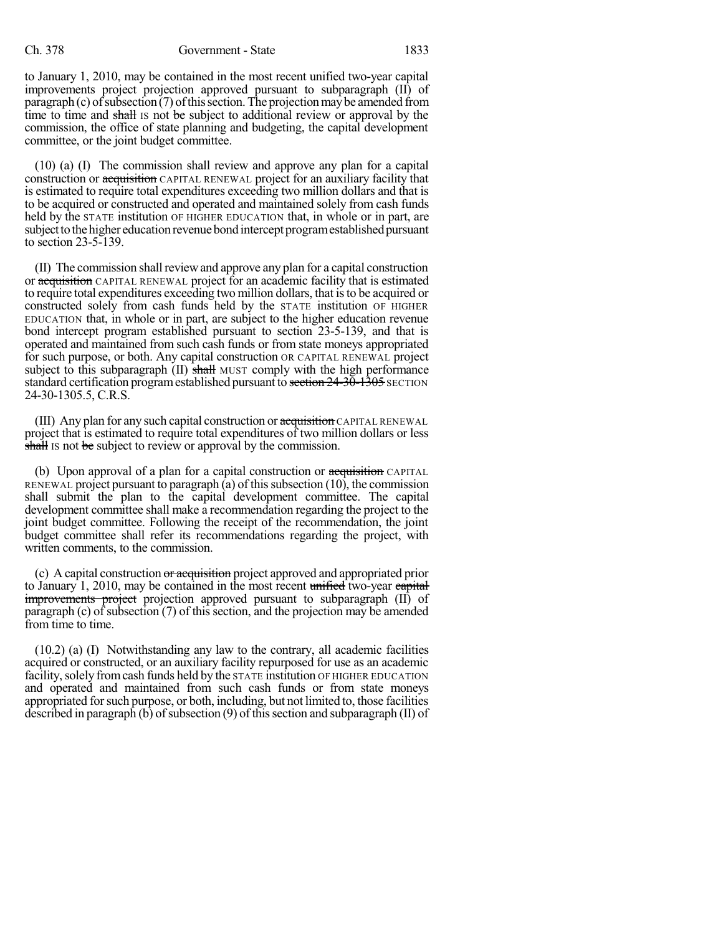to January 1, 2010, may be contained in the most recent unified two-year capital improvements project projection approved pursuant to subparagraph (II) of paragraph (c) of subsection (7) of this section. The projection may be amended from time to time and shall is not be subject to additional review or approval by the commission, the office of state planning and budgeting, the capital development committee, or the joint budget committee.

(10) (a) (I) The commission shall review and approve any plan for a capital construction or acquisition CAPITAL RENEWAL project for an auxiliary facility that is estimated to require total expenditures exceeding two million dollars and that is to be acquired or constructed and operated and maintained solely from cash funds held by the STATE institution OF HIGHER EDUCATION that, in whole or in part, are subject to the higher education revenue bond intercept program established pursuant to section 23-5-139.

(II) The commission shallreviewand approve any plan for a capital construction or acquisition CAPITAL RENEWAL project for an academic facility that is estimated to require total expenditures exceeding two million dollars, that isto be acquired or constructed solely from cash funds held by the STATE institution OF HIGHER EDUCATION that, in whole or in part, are subject to the higher education revenue bond intercept program established pursuant to section 23-5-139, and that is operated and maintained from such cash funds or from state moneys appropriated for such purpose, or both. Any capital construction OR CAPITAL RENEWAL project subject to this subparagraph  $(II)$  shall MUST comply with the high performance standard certification program established pursuant to section 24-30-1305 SECTION 24-30-1305.5, C.R.S.

(III) Any plan for any such capital construction or acquisition CAPITAL RENEWAL project that is estimated to require total expenditures of two million dollars or less shall is not be subject to review or approval by the commission.

(b) Upon approval of a plan for a capital construction or acquisition CAPITAL RENEWAL project pursuant to paragraph  $(a)$  of this subsection  $(10)$ , the commission shall submit the plan to the capital development committee. The capital development committee shall make a recommendation regarding the project to the joint budget committee. Following the receipt of the recommendation, the joint budget committee shall refer its recommendations regarding the project, with written comments, to the commission.

(c) A capital construction or acquisition project approved and appropriated prior to January 1, 2010, may be contained in the most recent unified two-year capital improvements project projection approved pursuant to subparagraph (II) of paragraph (c) of subsection  $(7)$  of this section, and the projection may be amended from time to time.

(10.2) (a) (I) Notwithstanding any law to the contrary, all academic facilities acquired or constructed, or an auxiliary facility repurposed for use as an academic facility, solely from cash funds held by the STATE institution OF HIGHER EDUCATION and operated and maintained from such cash funds or from state moneys appropriated forsuch purpose, or both, including, but not limited to, those facilities described in paragraph (b) of subsection (9) of this section and subparagraph (II) of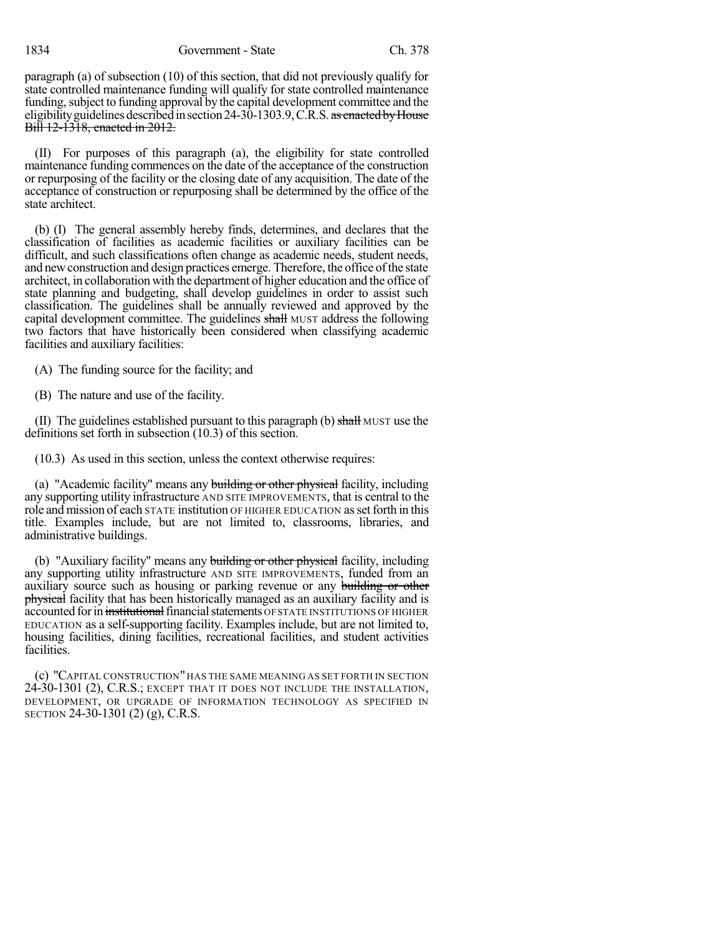1834 Government - State Ch. 378

paragraph (a) of subsection (10) of this section, that did not previously qualify for state controlled maintenance funding will qualify for state controlled maintenance funding, subject to funding approval by the capital development committee and the eligibility guidelines described in section 24-30-1303.9, C.R.S. as enacted by House Bill 12-1318, enacted in 2012.

(II) For purposes of this paragraph (a), the eligibility for state controlled maintenance funding commences on the date of the acceptance of the construction or repurposing of the facility or the closing date of any acquisition. The date of the acceptance of construction or repurposing shall be determined by the office of the state architect.

(b) (I) The general assembly hereby finds, determines, and declares that the classification of facilities as academic facilities or auxiliary facilities can be difficult, and such classifications often change as academic needs, student needs, and new construction and design practices emerge. Therefore, the office of the state architect, in collaboration with the department of higher education and the office of state planning and budgeting, shall develop guidelines in order to assist such classification. The guidelines shall be annually reviewed and approved by the capital development committee. The guidelines shall MUST address the following two factors that have historically been considered when classifying academic facilities and auxiliary facilities:

(A) The funding source for the facility; and

(B) The nature and use of the facility.

(II) The guidelines established pursuant to this paragraph (b)  $\frac{\text{shall}}{\text{MUST}}$  use the definitions set forth in subsection (10.3) of this section.

(10.3) As used in this section, unless the context otherwise requires:

(a) "Academic facility" means any building or other physical facility, including any supporting utility infrastructure AND SITE IMPROVEMENTS, that is central to the role and mission of each STATE institution OF HIGHER EDUCATION assetforth in this title. Examples include, but are not limited to, classrooms, libraries, and administrative buildings.

(b) "Auxiliary facility" means any building or other physical facility, including any supporting utility infrastructure AND SITE IMPROVEMENTS, funded from an auxiliary source such as housing or parking revenue or any building or other physical facility that has been historically managed as an auxiliary facility and is accounted for in institutional financial statements OF STATE INSTITUTIONS OF HIGHER EDUCATION as a self-supporting facility. Examples include, but are not limited to, housing facilities, dining facilities, recreational facilities, and student activities facilities.

(c) "CAPITAL CONSTRUCTION" HAS THE SAME MEANING AS SET FORTH IN SECTION 24-30-1301 (2), C.R.S.; EXCEPT THAT IT DOES NOT INCLUDE THE INSTALLATION, DEVELOPMENT, OR UPGRADE OF INFORMATION TECHNOLOGY AS SPECIFIED IN SECTION 24-30-1301 (2) (g), C.R.S.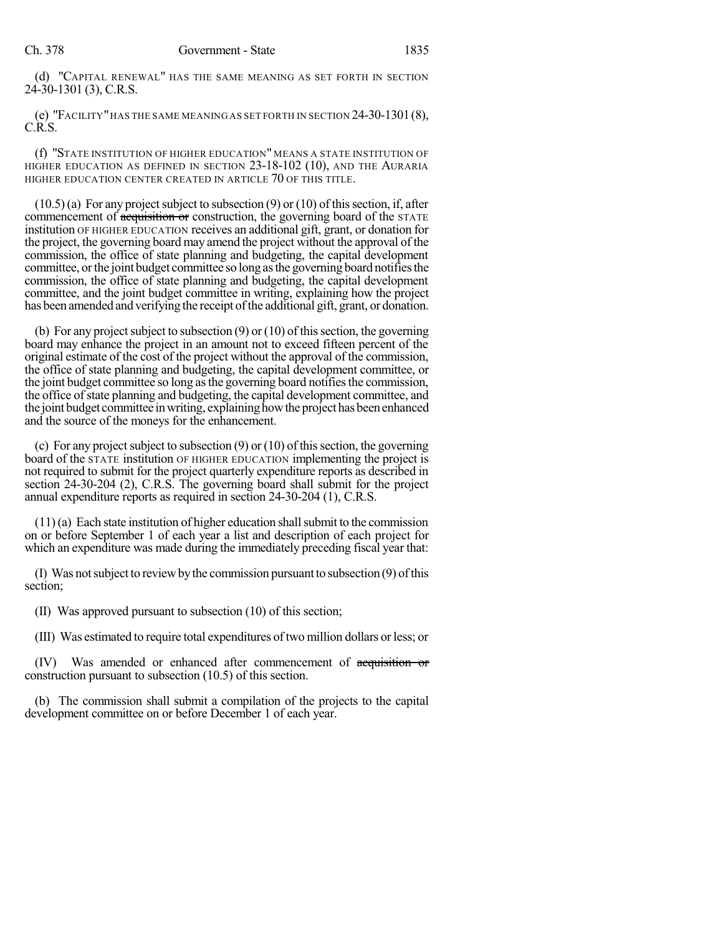(d) "CAPITAL RENEWAL" HAS THE SAME MEANING AS SET FORTH IN SECTION 24-30-1301 (3), C.R.S.

(e) "FACILITY"HAS THE SAME MEANING AS SET FORTH IN SECTION 24-30-1301(8), C.R.S.

(f) "STATE INSTITUTION OF HIGHER EDUCATION" MEANS A STATE INSTITUTION OF HIGHER EDUCATION AS DEFINED IN SECTION 23-18-102 (10), AND THE AURARIA HIGHER EDUCATION CENTER CREATED IN ARTICLE 70 OF THIS TITLE.

 $(10.5)$  (a) For any project subject to subsection (9) or (10) of this section, if, after commencement of acquisition or construction, the governing board of the STATE institution OF HIGHER EDUCATION receives an additional gift, grant, or donation for the project, the governing board may amend the project without the approval of the commission, the office of state planning and budgeting, the capital development committee, orthe joint budget committee so long asthe governing board notifiesthe commission, the office of state planning and budgeting, the capital development committee, and the joint budget committee in writing, explaining how the project has been amended and verifying the receipt of the additional gift, grant, or donation.

(b) For any project subject to subsection  $(9)$  or  $(10)$  of this section, the governing board may enhance the project in an amount not to exceed fifteen percent of the original estimate of the cost of the project without the approval of the commission, the office of state planning and budgeting, the capital development committee, or the joint budget committee so long as the governing board notifies the commission, the office of state planning and budgeting, the capital development committee, and the joint budget committee inwriting, explaininghowtheproject hasbeenenhanced and the source of the moneys for the enhancement.

(c) For any project subject to subsection  $(9)$  or  $(10)$  of this section, the governing board of the STATE institution OF HIGHER EDUCATION implementing the project is not required to submit for the project quarterly expenditure reports as described in section 24-30-204 (2), C.R.S. The governing board shall submit for the project annual expenditure reports as required in section 24-30-204 (1), C.R.S.

 $(11)(a)$  Each state institution of higher education shall submit to the commission on or before September 1 of each year a list and description of each project for which an expenditure was made during the immediately preceding fiscal year that:

(I) Was not subject to review by the commission pursuant to subsection  $(9)$  of this section;

(II) Was approved pursuant to subsection (10) of this section;

(III) Was estimated to require total expenditures oftwo million dollars orless; or

(IV) Was amended or enhanced after commencement of acquisition or construction pursuant to subsection (10.5) of this section.

(b) The commission shall submit a compilation of the projects to the capital development committee on or before December 1 of each year.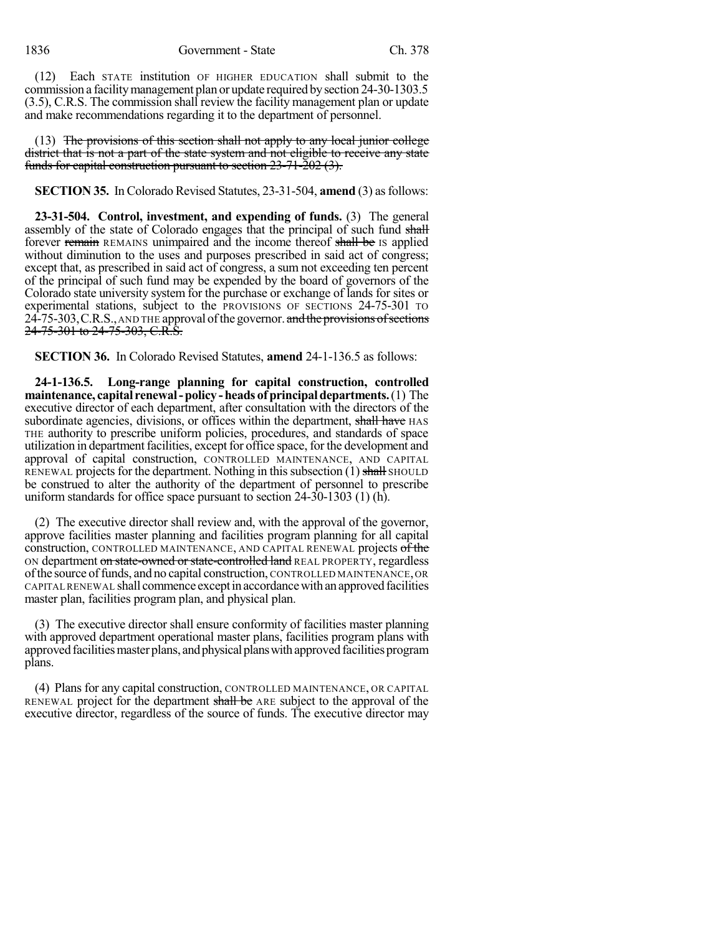(12) Each STATE institution OF HIGHER EDUCATION shall submit to the commission a facilitymanagement plan or update required bysection 24-30-1303.5 (3.5), C.R.S. The commission shall review the facility management plan or update and make recommendations regarding it to the department of personnel.

(13) The provisions of this section shall not apply to any local junior college district that is not a part of the state system and not eligible to receive any state funds for capital construction pursuant to section 23-71-202 (3).

**SECTION 35.** In Colorado Revised Statutes, 23-31-504, **amend** (3) as follows:

**23-31-504. Control, investment, and expending of funds.** (3) The general assembly of the state of Colorado engages that the principal of such fund shall forever remain REMAINS unimpaired and the income thereof shall be IS applied without diminution to the uses and purposes prescribed in said act of congress; except that, as prescribed in said act of congress, a sum not exceeding ten percent of the principal of such fund may be expended by the board of governors of the Colorado state university system for the purchase or exchange of lands for sites or experimental stations, subject to the PROVISIONS OF SECTIONS 24-75-301 TO 24-75-303, C.R.S., AND THE approval of the governor. and the provisions of sections 24-75-301 to 24-75-303, C.R.S.

**SECTION 36.** In Colorado Revised Statutes, **amend** 24-1-136.5 as follows:

**24-1-136.5. Long-range planning for capital construction, controlled maintenance, capital renewal-policy -heads ofprincipaldepartments.**(1) The executive director of each department, after consultation with the directors of the subordinate agencies, divisions, or offices within the department, shall have HAS THE authority to prescribe uniform policies, procedures, and standards of space utilization in department facilities, except for office space, for the development and approval of capital construction, CONTROLLED MAINTENANCE, AND CAPITAL RENEWAL projects for the department. Nothing in this subsection  $(1)$  shall SHOULD be construed to alter the authority of the department of personnel to prescribe uniform standards for office space pursuant to section 24-30-1303 (1) (h).

(2) The executive director shall review and, with the approval of the governor, approve facilities master planning and facilities program planning for all capital construction, CONTROLLED MAINTENANCE, AND CAPITAL RENEWAL projects of the ON department on state-owned or state-controlled land REAL PROPERTY, regardless ofthe source offunds, and no capital construction, CONTROLLED MAINTENANCE,OR CAPITAL RENEWAL shall commence except in accordance with an approved facilities master plan, facilities program plan, and physical plan.

(3) The executive director shall ensure conformity of facilities master planning with approved department operational master plans, facilities program plans with approved facilities master plans, and physical plans with approved facilities program plans.

(4) Plans for any capital construction, CONTROLLED MAINTENANCE, OR CAPITAL RENEWAL project for the department shall be ARE subject to the approval of the executive director, regardless of the source of funds. The executive director may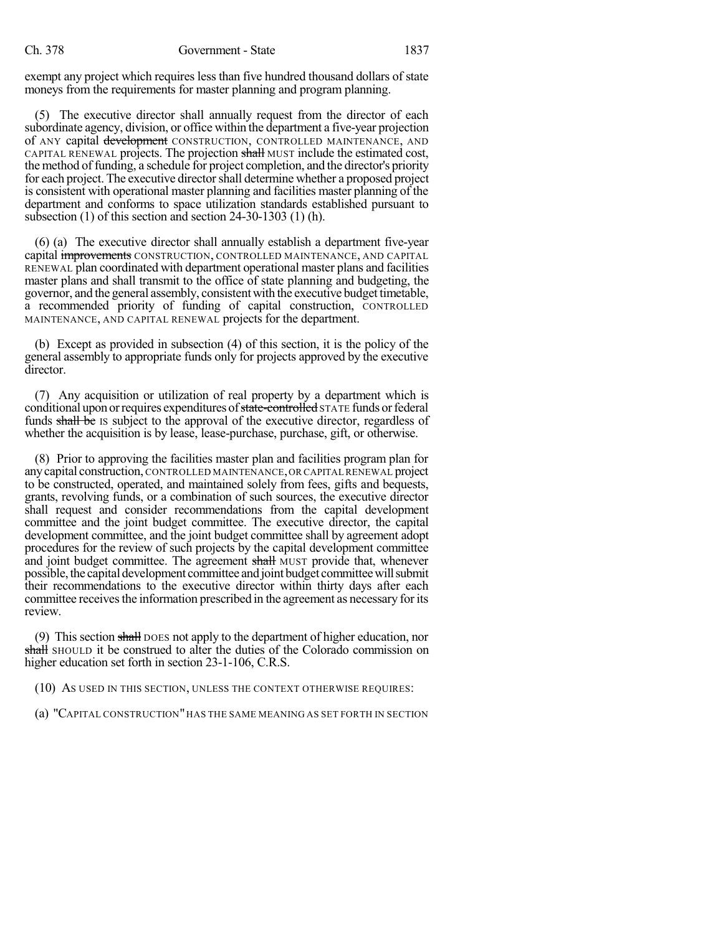exempt any project which requires less than five hundred thousand dollars of state moneys from the requirements for master planning and program planning.

(5) The executive director shall annually request from the director of each subordinate agency, division, or office within the department a five-year projection of ANY capital development CONSTRUCTION, CONTROLLED MAINTENANCE, AND CAPITAL RENEWAL projects. The projection shall MUST include the estimated cost, the method of funding, a schedule for project completion, and the director's priority for each project. The executive directorshall determine whether a proposed project is consistent with operational master planning and facilities master planning of the department and conforms to space utilization standards established pursuant to subsection (1) of this section and section 24-30-1303 (1) (h).

(6) (a) The executive director shall annually establish a department five-year capital improvements CONSTRUCTION, CONTROLLED MAINTENANCE, AND CAPITAL RENEWAL plan coordinated with department operational master plans and facilities master plans and shall transmit to the office of state planning and budgeting, the governor, and the general assembly, consistentwith the executive budget timetable, a recommended priority of funding of capital construction, CONTROLLED MAINTENANCE, AND CAPITAL RENEWAL projects for the department.

(b) Except as provided in subsection (4) of this section, it is the policy of the general assembly to appropriate funds only for projects approved by the executive director.

(7) Any acquisition or utilization of real property by a department which is conditional upon or requires expenditures of state-controlled STATE funds or federal funds shall be IS subject to the approval of the executive director, regardless of whether the acquisition is by lease, lease-purchase, purchase, gift, or otherwise.

(8) Prior to approving the facilities master plan and facilities program plan for anycapital construction, CONTROLLED MAINTENANCE,OR CAPITAL RENEWAL project to be constructed, operated, and maintained solely from fees, gifts and bequests, grants, revolving funds, or a combination of such sources, the executive director shall request and consider recommendations from the capital development committee and the joint budget committee. The executive director, the capital development committee, and the joint budget committee shall by agreement adopt procedures for the review of such projects by the capital development committee and joint budget committee. The agreement shall MUST provide that, whenever possible, the capital development committee and joint budget committee will submit their recommendations to the executive director within thirty days after each committee receives the information prescribed in the agreement as necessary for its review.

(9) This section shall DOES not apply to the department of higher education, nor shall SHOULD it be construed to alter the duties of the Colorado commission on higher education set forth in section 23-1-106, C.R.S.

(10) AS USED IN THIS SECTION, UNLESS THE CONTEXT OTHERWISE REQUIRES:

(a) "CAPITAL CONSTRUCTION" HAS THE SAME MEANING AS SET FORTH IN SECTION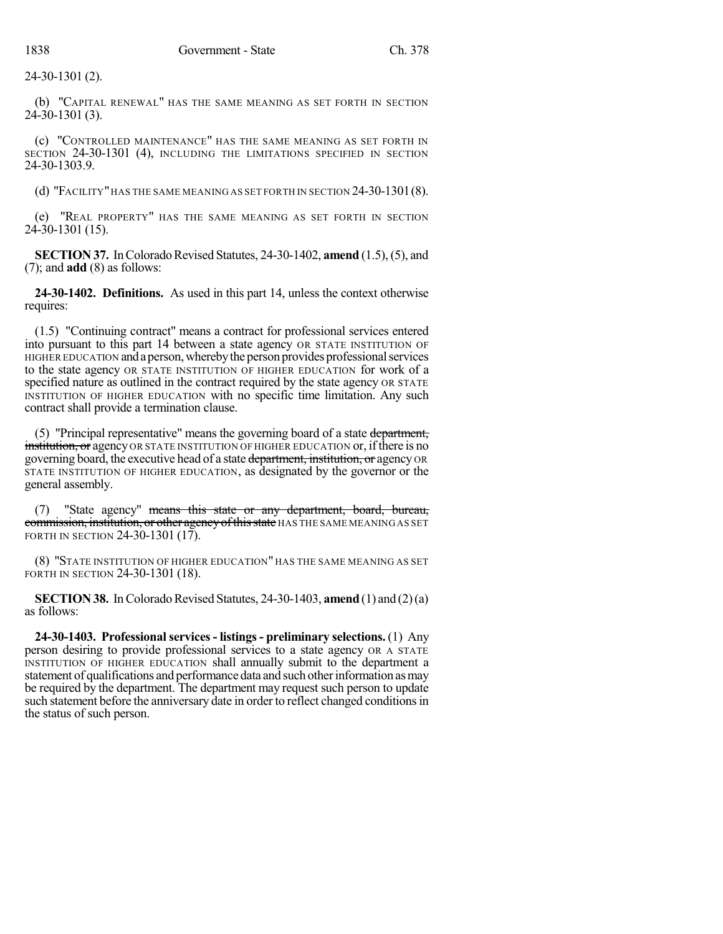24-30-1301 (2).

(b) "CAPITAL RENEWAL" HAS THE SAME MEANING AS SET FORTH IN SECTION 24-30-1301 (3).

(c) "CONTROLLED MAINTENANCE" HAS THE SAME MEANING AS SET FORTH IN SECTION 24-30-1301 (4), INCLUDING THE LIMITATIONS SPECIFIED IN SECTION 24-30-1303.9.

(d) "FACILITY"HAS THE SAME MEANING AS SET FORTH IN SECTION 24-30-1301(8).

(e) "REAL PROPERTY" HAS THE SAME MEANING AS SET FORTH IN SECTION 24-30-1301 (15).

**SECTION 37.** In Colorado Revised Statutes, 24-30-1402, **amend** (1.5), (5), and (7); and **add** (8) as follows:

**24-30-1402. Definitions.** As used in this part 14, unless the context otherwise requires:

(1.5) "Continuing contract" means a contract for professional services entered into pursuant to this part 14 between a state agency OR STATE INSTITUTION OF HIGHER EDUCATION and a person, whereby the person provides professional services to the state agency OR STATE INSTITUTION OF HIGHER EDUCATION for work of a specified nature as outlined in the contract required by the state agency OR STATE INSTITUTION OF HIGHER EDUCATION with no specific time limitation. Any such contract shall provide a termination clause.

(5) "Principal representative" means the governing board of a state department, institution, or agency OR STATE INSTITUTION OF HIGHER EDUCATION or, if there is no governing board, the executive head of a state department, institution, or agency OR STATE INSTITUTION OF HIGHER EDUCATION, as designated by the governor or the general assembly.

"State agency" means this state or any department, board, bureau, commission, institution, or other agency of this state HAS THE SAME MEANING AS SET FORTH IN SECTION 24-30-1301 (17).

(8) "STATE INSTITUTION OF HIGHER EDUCATION" HAS THE SAME MEANING AS SET FORTH IN SECTION 24-30-1301 (18).

**SECTION 38.** In Colorado Revised Statutes, 24-30-1403, **amend** (1) and (2) (a) as follows:

**24-30-1403. Professionalservices- listings- preliminary selections.** (1) Any person desiring to provide professional services to a state agency OR A STATE INSTITUTION OF HIGHER EDUCATION shall annually submit to the department a statement of qualifications and performance data and such other information as may be required by the department. The department may request such person to update such statement before the anniversary date in order to reflect changed conditions in the status of such person.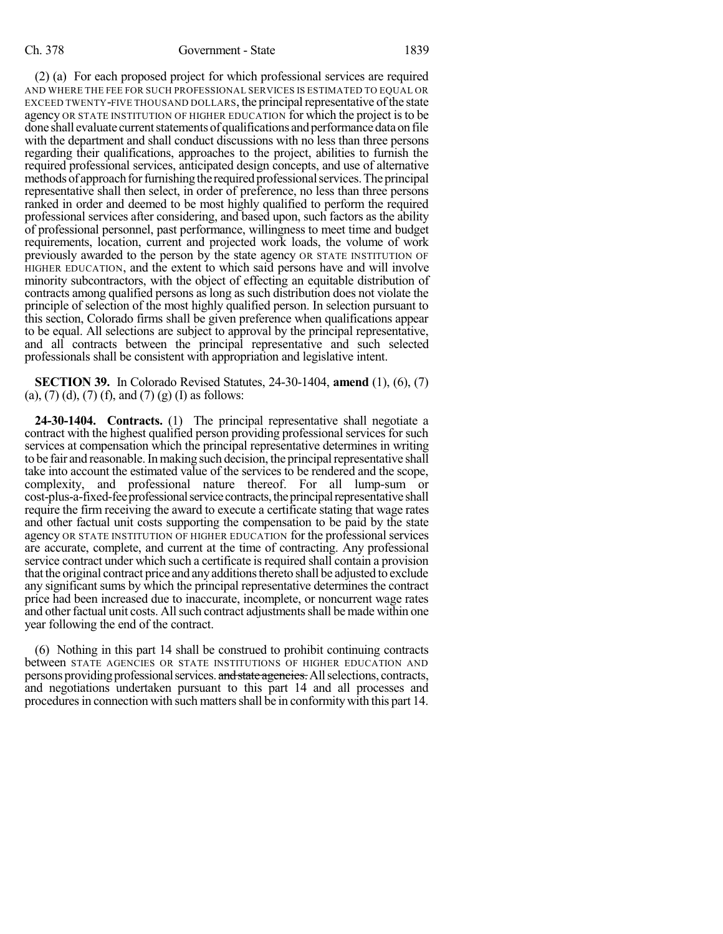(2) (a) For each proposed project for which professional services are required AND WHERE THE FEE FOR SUCH PROFESSIONAL SERVICES IS ESTIMATED TO EQUAL OR EXCEED TWENTY-FIVE THOUSAND DOLLARS, the principal representative of the state agency OR STATE INSTITUTION OF HIGHER EDUCATION for which the project isto be done shall evaluate current statements of qualifications and performance data on file with the department and shall conduct discussions with no less than three persons regarding their qualifications, approaches to the project, abilities to furnish the required professional services, anticipated design concepts, and use of alternative methods of approach for furnishing the required professional services. The principal representative shall then select, in order of preference, no less than three persons ranked in order and deemed to be most highly qualified to perform the required professional services after considering, and based upon, such factors as the ability of professional personnel, past performance, willingness to meet time and budget requirements, location, current and projected work loads, the volume of work previously awarded to the person by the state agency OR STATE INSTITUTION OF HIGHER EDUCATION, and the extent to which said persons have and will involve minority subcontractors, with the object of effecting an equitable distribution of contracts among qualified persons as long as such distribution does not violate the principle of selection of the most highly qualified person. In selection pursuant to this section, Colorado firms shall be given preference when qualifications appear to be equal. All selections are subject to approval by the principal representative, and all contracts between the principal representative and such selected professionals shall be consistent with appropriation and legislative intent.

**SECTION 39.** In Colorado Revised Statutes, 24-30-1404, **amend** (1), (6), (7) (a), (7) (d), (7) (f), and (7) (g) (I) as follows:

**24-30-1404. Contracts.** (1) The principal representative shall negotiate a contract with the highest qualified person providing professional services for such services at compensation which the principal representative determines in writing to be fair and reasonable. In making such decision, the principal representative shall take into account the estimated value of the services to be rendered and the scope, complexity, and professional nature thereof. For all lump-sum or cost-plus-a-fixed-fee professional service contracts, the principal representative shall require the firm receiving the award to execute a certificate stating that wage rates and other factual unit costs supporting the compensation to be paid by the state agency OR STATE INSTITUTION OF HIGHER EDUCATION for the professionalservices are accurate, complete, and current at the time of contracting. Any professional service contract under which such a certificate isrequired shall contain a provision that the original contract price and anyadditionsthereto shall be adjusted to exclude any significant sums by which the principal representative determines the contract price had been increased due to inaccurate, incomplete, or noncurrent wage rates and other factual unit costs. All such contract adjustments shall be made within one year following the end of the contract.

(6) Nothing in this part 14 shall be construed to prohibit continuing contracts between STATE AGENCIES OR STATE INSTITUTIONS OF HIGHER EDUCATION AND persons providing professional services. and state agencies. All selections, contracts, and negotiations undertaken pursuant to this part 14 and all processes and procedures in connection with such matters shall be in conformity with this part 14.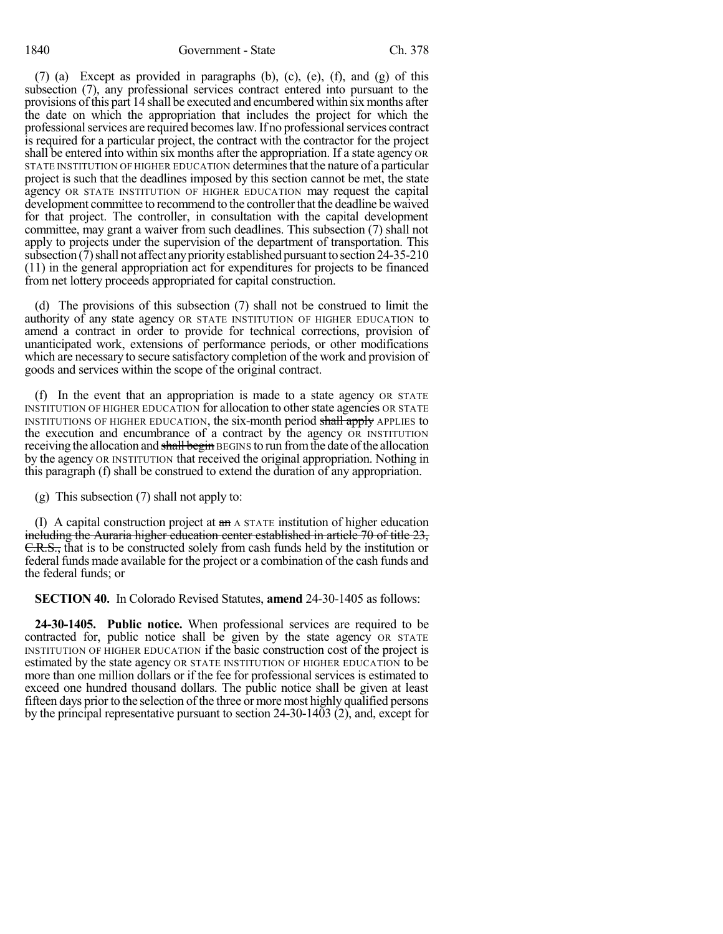(7) (a) Except as provided in paragraphs (b), (c), (e), (f), and (g) of this subsection (7), any professional services contract entered into pursuant to the provisions of this part 14 shall be executed and encumbered within six months after the date on which the appropriation that includes the project for which the professional services are required becomes law. If no professional services contract is required for a particular project, the contract with the contractor for the project shall be entered into within six months after the appropriation. If a state agency OR STATE INSTITUTION OF HIGHER EDUCATION determinesthat the nature of a particular project is such that the deadlines imposed by this section cannot be met, the state agency OR STATE INSTITUTION OF HIGHER EDUCATION may request the capital development committee to recommend to the controllerthat the deadline be waived for that project. The controller, in consultation with the capital development committee, may grant a waiver from such deadlines. This subsection (7) shall not apply to projects under the supervision of the department of transportation. This subsection  $(7)$  shall not affect any priority established pursuant to section 24-35-210 (11) in the general appropriation act for expenditures for projects to be financed from net lottery proceeds appropriated for capital construction.

(d) The provisions of this subsection (7) shall not be construed to limit the authority of any state agency OR STATE INSTITUTION OF HIGHER EDUCATION to amend a contract in order to provide for technical corrections, provision of unanticipated work, extensions of performance periods, or other modifications which are necessary to secure satisfactory completion of the work and provision of goods and services within the scope of the original contract.

(f) In the event that an appropriation is made to a state agency OR STATE INSTITUTION OF HIGHER EDUCATION for allocation to other state agencies OR STATE INSTITUTIONS OF HIGHER EDUCATION, the six-month period shall apply APPLIES to the execution and encumbrance of a contract by the agency OR INSTITUTION receiving the allocation and shall begin BEGINS to run from the date of the allocation by the agency OR INSTITUTION that received the original appropriation. Nothing in this paragraph (f) shall be construed to extend the duration of any appropriation.

(g) This subsection (7) shall not apply to:

(I) A capital construction project at  $a\mathbf{m}$  A STATE institution of higher education including the Auraria higher education center established in article 70 of title 23, C.R.S., that is to be constructed solely from cash funds held by the institution or federal funds made available for the project or a combination of the cash funds and the federal funds; or

**SECTION 40.** In Colorado Revised Statutes, **amend** 24-30-1405 as follows:

**24-30-1405. Public notice.** When professional services are required to be contracted for, public notice shall be given by the state agency OR STATE INSTITUTION OF HIGHER EDUCATION if the basic construction cost of the project is estimated by the state agency OR STATE INSTITUTION OF HIGHER EDUCATION to be more than one million dollars or if the fee for professional services is estimated to exceed one hundred thousand dollars. The public notice shall be given at least fifteen days prior to the selection of the three or more most highly qualified persons by the principal representative pursuant to section 24-30-1403 (2), and, except for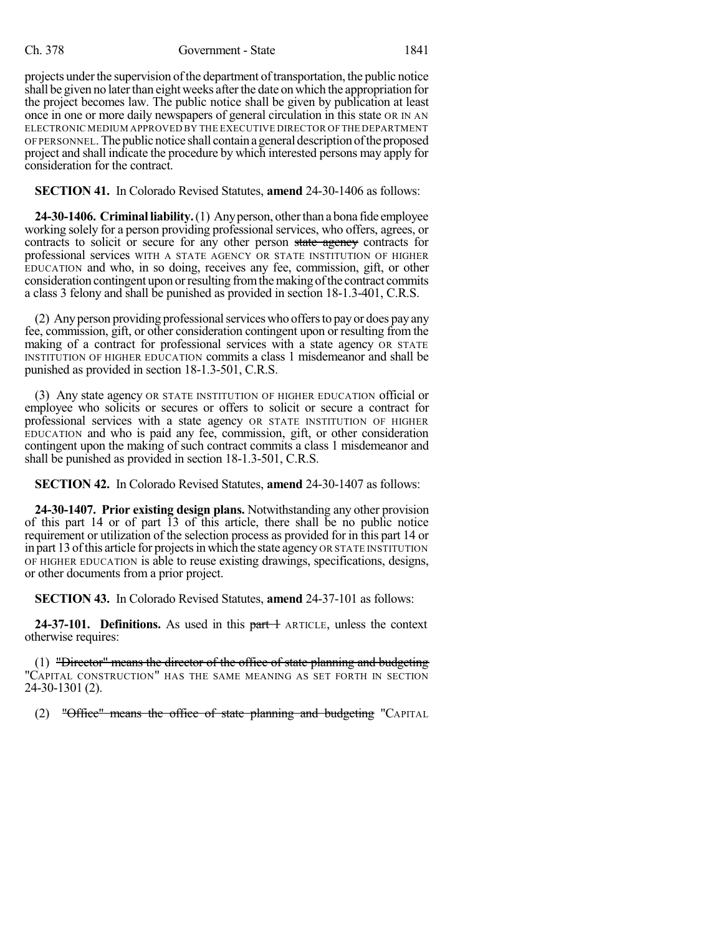#### Ch. 378 Government - State 1841

projects under the supervision of the department of transportation, the public notice shall be given no later than eight weeks after the date on which the appropriation for the project becomes law. The public notice shall be given by publication at least once in one or more daily newspapers of general circulation in this state OR IN AN ELECTRONIC MEDIUM APPROVED BY THE EXECUTIVE DIRECTOR OF THE DEPARTMENT OF PERSONNEL.The public notice shall contain ageneral descriptionoftheproposed project and shall indicate the procedure by which interested persons may apply for consideration for the contract.

### **SECTION 41.** In Colorado Revised Statutes, **amend** 24-30-1406 as follows:

**24-30-1406. Criminal liability.** (1) Any person, other than a bona fide employee working solely for a person providing professional services, who offers, agrees, or contracts to solicit or secure for any other person state agency contracts for professional services WITH A STATE AGENCY OR STATE INSTITUTION OF HIGHER EDUCATION and who, in so doing, receives any fee, commission, gift, or other consideration contingent upon or resulting from the making of the contract commits a class 3 felony and shall be punished as provided in section 18-1.3-401, C.R.S.

(2) Any person providing professional services who offers to pay or does pay any fee, commission, gift, or other consideration contingent upon or resulting from the making of a contract for professional services with a state agency OR STATE INSTITUTION OF HIGHER EDUCATION commits a class 1 misdemeanor and shall be punished as provided in section 18-1.3-501, C.R.S.

(3) Any state agency OR STATE INSTITUTION OF HIGHER EDUCATION official or employee who solicits or secures or offers to solicit or secure a contract for professional services with a state agency OR STATE INSTITUTION OF HIGHER EDUCATION and who is paid any fee, commission, gift, or other consideration contingent upon the making of such contract commits a class 1 misdemeanor and shall be punished as provided in section 18-1.3-501, C.R.S.

**SECTION 42.** In Colorado Revised Statutes, **amend** 24-30-1407 as follows:

**24-30-1407. Prior existing design plans.** Notwithstanding any other provision of this part 14 or of part 13 of this article, there shall be no public notice requirement or utilization of the selection process as provided for in this part 14 or in part 13 ofthis article for projectsin which the state agency OR STATE INSTITUTION OF HIGHER EDUCATION is able to reuse existing drawings, specifications, designs, or other documents from a prior project.

**SECTION 43.** In Colorado Revised Statutes, **amend** 24-37-101 as follows:

**24-37-101. Definitions.** As used in this part 1 ARTICLE, unless the context otherwise requires:

(1) "Director" means the director of the office of state planning and budgeting "CAPITAL CONSTRUCTION" HAS THE SAME MEANING AS SET FORTH IN SECTION 24-30-1301 (2).

(2) "Office" means the office of state planning and budgeting "CAPITAL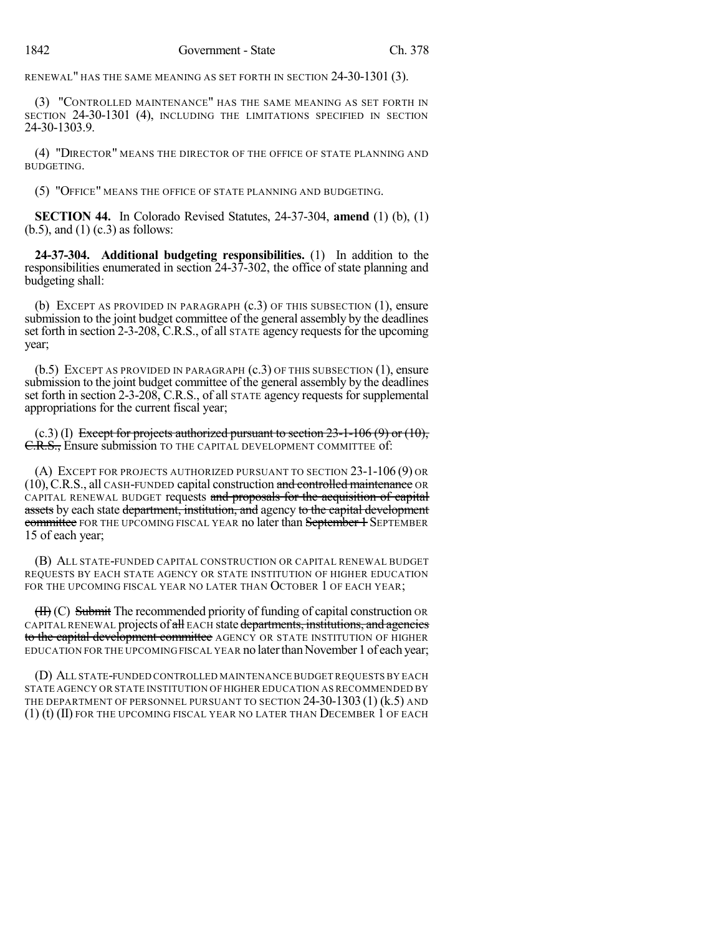RENEWAL" HAS THE SAME MEANING AS SET FORTH IN SECTION 24-30-1301 (3).

(3) "CONTROLLED MAINTENANCE" HAS THE SAME MEANING AS SET FORTH IN SECTION 24-30-1301 (4), INCLUDING THE LIMITATIONS SPECIFIED IN SECTION 24-30-1303.9.

(4) "DIRECTOR" MEANS THE DIRECTOR OF THE OFFICE OF STATE PLANNING AND BUDGETING.

(5) "OFFICE" MEANS THE OFFICE OF STATE PLANNING AND BUDGETING.

**SECTION 44.** In Colorado Revised Statutes, 24-37-304, **amend** (1) (b), (1)  $(b.5)$ , and  $(1)$   $(c.3)$  as follows:

**24-37-304. Additional budgeting responsibilities.** (1) In addition to the responsibilities enumerated in section 24-37-302, the office of state planning and budgeting shall:

(b) EXCEPT AS PROVIDED IN PARAGRAPH (c.3) OF THIS SUBSECTION (1), ensure submission to the joint budget committee of the general assembly by the deadlines set forth in section 2-3-208, C.R.S., of all STATE agency requests for the upcoming year;

(b.5) EXCEPT AS PROVIDED IN PARAGRAPH  $(c.3)$  OF THIS SUBSECTION  $(1)$ , ensure submission to the joint budget committee of the general assembly by the deadlines set forth in section 2-3-208, C.R.S., of all STATE agency requests for supplemental appropriations for the current fiscal year;

 $(c.3)$  (I) Except for projects authorized pursuant to section 23-1-106 (9) or (10), C.R.S., Ensure submission TO THE CAPITAL DEVELOPMENT COMMITTEE of:

(A) EXCEPT FOR PROJECTS AUTHORIZED PURSUANT TO SECTION 23-1-106 (9) OR (10), C.R.S., all CASH-FUNDED capital construction and controlled maintenance OR CAPITAL RENEWAL BUDGET requests and proposals for the acquisition of capital assets by each state department, institution, and agency to the capital development committee FOR THE UPCOMING FISCAL YEAR no later than September + SEPTEMBER 15 of each year;

(B) ALL STATE-FUNDED CAPITAL CONSTRUCTION OR CAPITAL RENEWAL BUDGET REQUESTS BY EACH STATE AGENCY OR STATE INSTITUTION OF HIGHER EDUCATION FOR THE UPCOMING FISCAL YEAR NO LATER THAN OCTOBER 1 OF EACH YEAR;

(II) (C) Submit The recommended priority of funding of capital construction OR CAPITAL RENEWAL projects of all EACH state departments, institutions, and agencies to the capital development committee AGENCY OR STATE INSTITUTION OF HIGHER EDUCATION FOR THE UPCOMING FISCAL YEAR no later than November 1 of each year;

(D) ALL STATE-FUNDED CONTROLLED MAINTENANCE BUDGETREQUESTS BY EACH STATE AGENCY OR STATE INSTITUTION OF HIGHER EDUCATION AS RECOMMENDED BY THE DEPARTMENT OF PERSONNEL PURSUANT TO SECTION 24-30-1303 (1) (k.5) AND (1) (t) (II) FOR THE UPCOMING FISCAL YEAR NO LATER THAN DECEMBER 1 OF EACH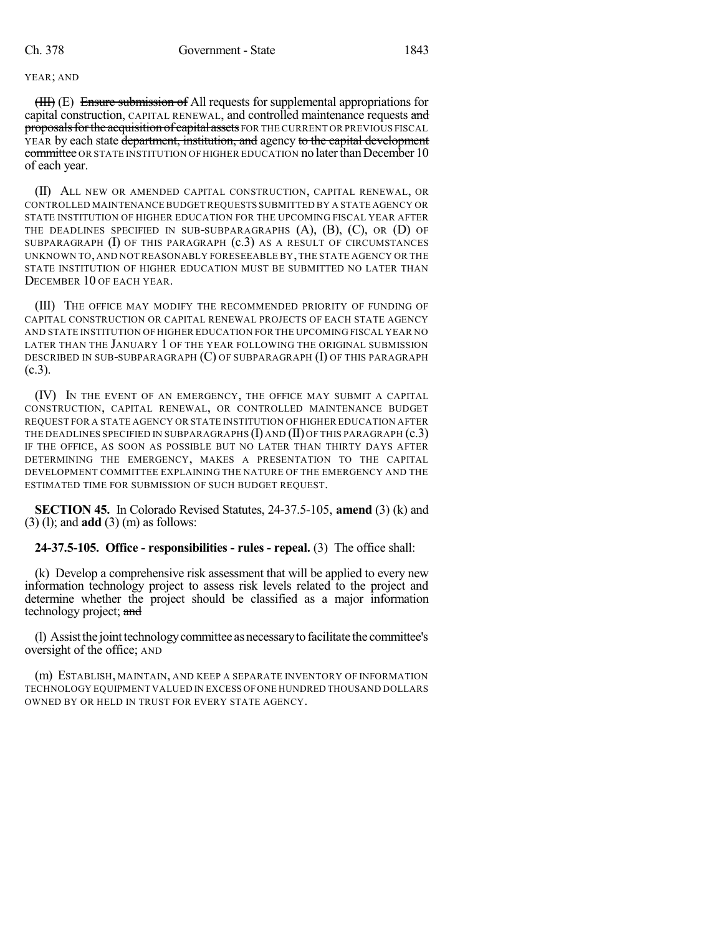#### YEAR; AND

(III) (E) Ensure submission of All requests for supplemental appropriations for capital construction, CAPITAL RENEWAL, and controlled maintenance requests and proposals for the acquisition of capital assets FOR THE CURRENT OR PREVIOUS FISCAL YEAR by each state department, institution, and agency to the capital development committee OR STATE INSTITUTION OF HIGHER EDUCATION no later than December 10 of each year.

(II) ALL NEW OR AMENDED CAPITAL CONSTRUCTION, CAPITAL RENEWAL, OR CONTROLLED MAINTENANCE BUDGETREQUESTS SUBMITTED BY A STATE AGENCY OR STATE INSTITUTION OF HIGHER EDUCATION FOR THE UPCOMING FISCAL YEAR AFTER THE DEADLINES SPECIFIED IN SUB-SUBPARAGRAPHS  $(A)$ ,  $(B)$ ,  $(C)$ , OR  $(D)$  Of SUBPARAGRAPH  $(I)$  OF THIS PARAGRAPH  $(c,3)$  AS A RESULT OF CIRCUMSTANCES UNKNOWN TO, AND NOT REASONABLY FORESEEABLE BY,THE STATE AGENCY OR THE STATE INSTITUTION OF HIGHER EDUCATION MUST BE SUBMITTED NO LATER THAN DECEMBER 10 OF EACH YEAR.

(III) THE OFFICE MAY MODIFY THE RECOMMENDED PRIORITY OF FUNDING OF CAPITAL CONSTRUCTION OR CAPITAL RENEWAL PROJECTS OF EACH STATE AGENCY AND STATE INSTITUTION OF HIGHER EDUCATION FOR THE UPCOMING FISCAL YEAR NO LATER THAN THE JANUARY 1 OF THE YEAR FOLLOWING THE ORIGINAL SUBMISSION DESCRIBED IN SUB-SUBPARAGRAPH (C) OF SUBPARAGRAPH (I) OF THIS PARAGRAPH (c.3).

(IV) IN THE EVENT OF AN EMERGENCY, THE OFFICE MAY SUBMIT A CAPITAL CONSTRUCTION, CAPITAL RENEWAL, OR CONTROLLED MAINTENANCE BUDGET REQUEST FOR A STATE AGENCY OR STATE INSTITUTION OF HIGHER EDUCATION AFTER THE DEADLINES SPECIFIED IN SUBPARAGRAPHS (I) AND (II) OF THIS PARAGRAPH (c.3) IF THE OFFICE, AS SOON AS POSSIBLE BUT NO LATER THAN THIRTY DAYS AFTER DETERMINING THE EMERGENCY, MAKES A PRESENTATION TO THE CAPITAL DEVELOPMENT COMMITTEE EXPLAINING THE NATURE OF THE EMERGENCY AND THE ESTIMATED TIME FOR SUBMISSION OF SUCH BUDGET REQUEST.

**SECTION 45.** In Colorado Revised Statutes, 24-37.5-105, **amend** (3) (k) and (3) (l); and **add** (3) (m) as follows:

**24-37.5-105. Office - responsibilities - rules - repeal.** (3) The office shall:

(k) Develop a comprehensive risk assessment that will be applied to every new information technology project to assess risk levels related to the project and determine whether the project should be classified as a major information technology project; and

(l) Assistthe jointtechnologycommittee asnecessarytofacilitate the committee's oversight of the office; AND

(m) ESTABLISH, MAINTAIN, AND KEEP A SEPARATE INVENTORY OF INFORMATION TECHNOLOGY EQUIPMENT VALUED IN EXCESS OFONE HUNDRED THOUSAND DOLLARS OWNED BY OR HELD IN TRUST FOR EVERY STATE AGENCY.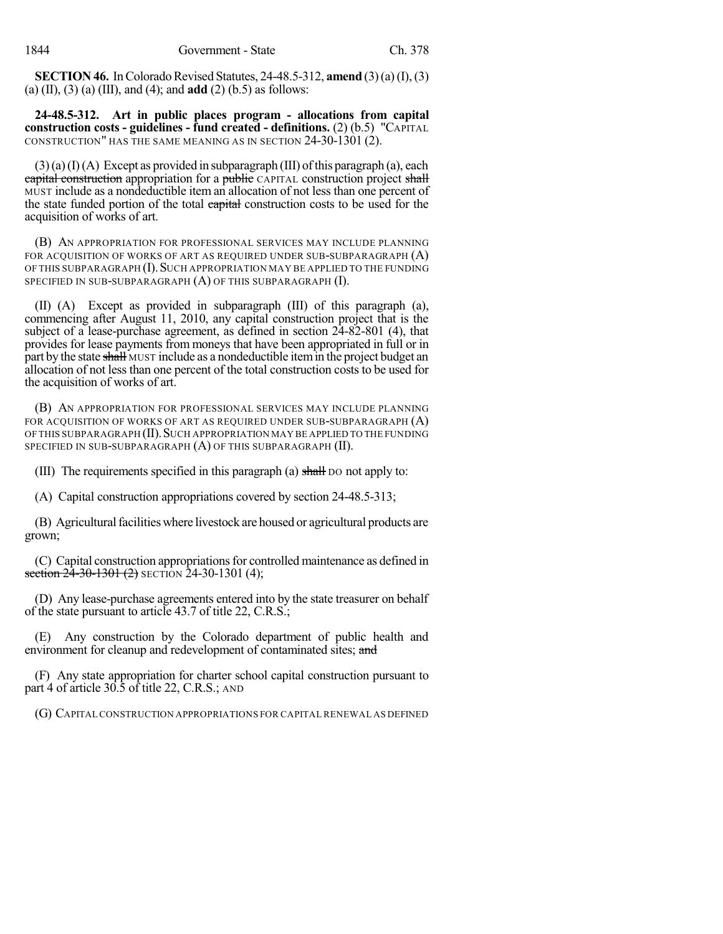**SECTION 46.** In Colorado Revised Statutes, 24-48.5-312, **amend** (3)(a)(I), (3) (a) (II), (3) (a) (III), and (4); and **add** (2) (b.5) as follows:

**24-48.5-312. Art in public places program - allocations from capital construction costs - guidelines - fund created - definitions.** (2) (b.5) "CAPITAL CONSTRUCTION" HAS THE SAME MEANING AS IN SECTION 24-30-1301 (2).

 $(3)(a)(I)(A)$  Except as provided in subparagraph (III) of this paragraph (a), each eapital construction appropriation for a public CAPITAL construction project shall MUST include as a nondeductible item an allocation of not less than one percent of the state funded portion of the total capital construction costs to be used for the acquisition of works of art.

(B) AN APPROPRIATION FOR PROFESSIONAL SERVICES MAY INCLUDE PLANNING FOR ACOUISITION OF WORKS OF ART AS REQUIRED UNDER SUB-SUBPARAGRAPH  $(A)$ OF THIS SUBPARAGRAPH (I).SUCH APPROPRIATION MAY BE APPLIED TO THE FUNDING SPECIFIED IN SUB-SUBPARAGRAPH  $(A)$  OF THIS SUBPARAGRAPH  $(I)$ .

(II) (A) Except as provided in subparagraph (III) of this paragraph (a), commencing after August 11, 2010, any capital construction project that is the subject of a lease-purchase agreement, as defined in section  $2\overline{4}$ -82-801 (4), that provides for lease payments from moneys that have been appropriated in full or in part by the state shall MUST include as a nondeductible item in the project budget an allocation of not less than one percent of the total construction costs to be used for the acquisition of works of art.

(B) AN APPROPRIATION FOR PROFESSIONAL SERVICES MAY INCLUDE PLANNING FOR ACQUISITION OF WORKS OF ART AS REQUIRED UNDER SUB-SUBPARAGRAPH  $(A)$ OF THIS SUBPARAGRAPH (II). SUCH APPROPRIATION MAY BE APPLIED TO THE FUNDING SPECIFIED IN SUB-SUBPARAGRAPH (A) OF THIS SUBPARAGRAPH (II).

(III) The requirements specified in this paragraph (a) shall DO not apply to:

(A) Capital construction appropriations covered by section 24-48.5-313;

(B) Agricultural facilities where livestock are housed or agricultural products are grown;

(C) Capital construction appropriationsfor controlled maintenance as defined in section  $2\overline{4}$ -30-1301 (2) SECTION 24-30-1301 (4);

(D) Any lease-purchase agreements entered into by the state treasurer on behalf of the state pursuant to article 43.7 of title 22, C.R.S.;

(E) Any construction by the Colorado department of public health and environment for cleanup and redevelopment of contaminated sites; and

(F) Any state appropriation for charter school capital construction pursuant to part 4 of article 30.5 of title 22, C.R.S.; AND

(G) CAPITAL CONSTRUCTION APPROPRIATIONS FOR CAPITAL RENEWAL AS DEFINED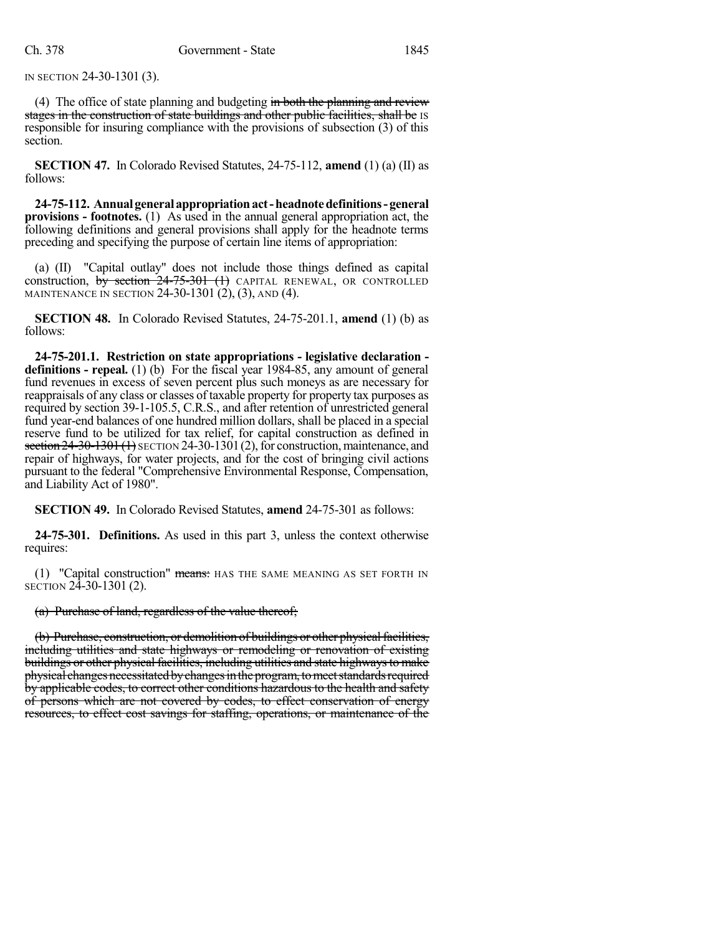IN SECTION 24-30-1301 (3).

(4) The office of state planning and budgeting in both the planning and review stages in the construction of state buildings and other public facilities, shall be IS responsible for insuring compliance with the provisions of subsection (3) of this section.

**SECTION 47.** In Colorado Revised Statutes, 24-75-112, **amend** (1) (a) (II) as follows:

**24-75-112. Annualgeneral appropriationact-headnotedefinitions-general provisions - footnotes.** (1) As used in the annual general appropriation act, the following definitions and general provisions shall apply for the headnote terms preceding and specifying the purpose of certain line items of appropriation:

(a) (II) "Capital outlay" does not include those things defined as capital construction,  $\overline{by}$  section  $24-75-301$  (1) CAPITAL RENEWAL, OR CONTROLLED MAINTENANCE IN SECTION 24-30-1301 $(2)$ , (3), AND (4).

**SECTION 48.** In Colorado Revised Statutes, 24-75-201.1, **amend** (1) (b) as follows:

**24-75-201.1. Restriction on state appropriations - legislative declaration definitions - repeal.** (1) (b) For the fiscal year 1984-85, any amount of general fund revenues in excess of seven percent plus such moneys as are necessary for reappraisals of any class or classes of taxable property for property tax purposes as required by section 39-1-105.5, C.R.S., and after retention of unrestricted general fund year-end balances of one hundred million dollars, shall be placed in a special reserve fund to be utilized for tax relief, for capital construction as defined in section 24-30-1301 (1) SECTION 24-30-1301 (2), for construction, maintenance, and repair of highways, for water projects, and for the cost of bringing civil actions pursuant to the federal "Comprehensive Environmental Response, Compensation, and Liability Act of 1980".

**SECTION 49.** In Colorado Revised Statutes, **amend** 24-75-301 as follows:

**24-75-301. Definitions.** As used in this part 3, unless the context otherwise requires:

(1) "Capital construction" means: HAS THE SAME MEANING AS SET FORTH IN SECTION 24-30-1301 (2).

(a) Purchase of land, regardless of the value thereof;

(b) Purchase, construction, or demolition of buildings or other physicalfacilities, including utilities and state highways or remodeling or renovation of existing buildings or other physical facilities, including utilities and state highways to make physical changes necessitated by changes in the program, to meet standards required by applicable codes, to correct other conditions hazardous to the health and safety of persons which are not covered by codes, to effect conservation of energy resources, to effect cost savings for staffing, operations, or maintenance of the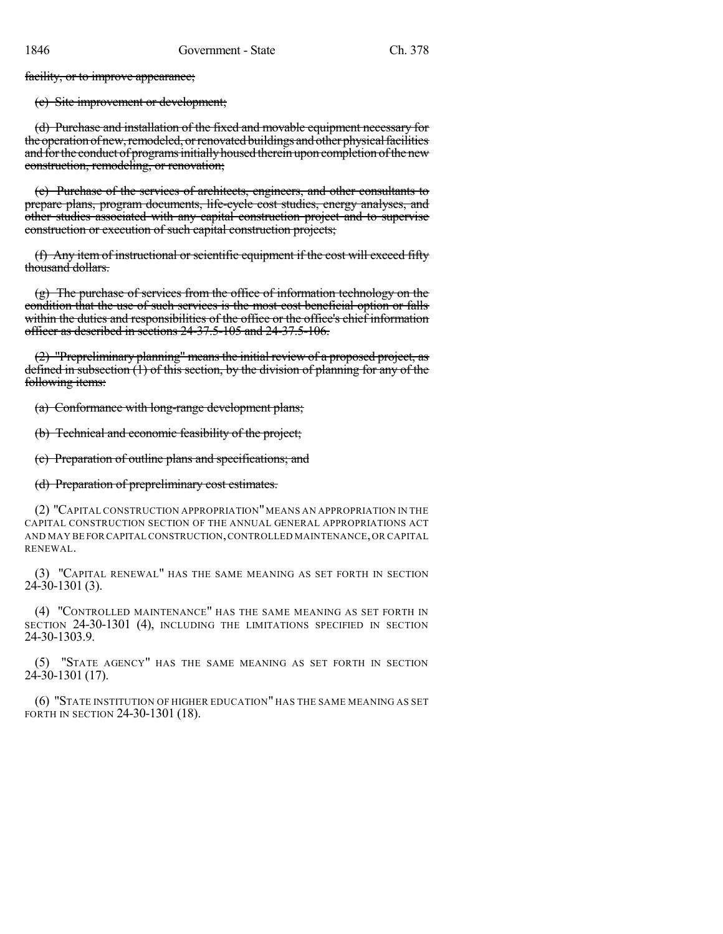facility, or to improve appearance;

(c) Site improvement or development;

(d) Purchase and installation of the fixed and movable equipment necessary for the operation of new, remodeled, or renovated buildings and other physical facilities and for the conduct of programs initially housed therein upon completion of the new construction, remodeling, or renovation;

(e) Purchase of the services of architects, engineers, and other consultants to prepare plans, program documents, life-cycle cost studies, energy analyses, and other studies associated with any capital construction project and to supervise construction or execution of such capital construction projects;

(f) Any item of instructional or scientific equipment if the cost will exceed fifty thousand dollars.

 $(g)$  The purchase of services from the office of information technology on the condition that the use of such services is the most cost beneficial option or falls within the duties and responsibilities of the office or the office's chief information officer as described in sections 24-37.5-105 and 24-37.5-106.

(2) "Prepreliminary planning" means the initial review of a proposed project, as defined in subsection (1) of this section, by the division of planning for any of the following items:

(a) Conformance with long-range development plans;

(b) Technical and economic feasibility of the project;

(c) Preparation of outline plans and specifications; and

#### (d) Preparation of prepreliminary cost estimates.

(2) "CAPITAL CONSTRUCTION APPROPRIATION"MEANS AN APPROPRIATION IN THE CAPITAL CONSTRUCTION SECTION OF THE ANNUAL GENERAL APPROPRIATIONS ACT AND MAY BE FORCAPITAL CONSTRUCTION,CONTROLLED MAINTENANCE,OR CAPITAL RENEWAL.

(3) "CAPITAL RENEWAL" HAS THE SAME MEANING AS SET FORTH IN SECTION  $24 - 30 - 1301(3)$ .

(4) "CONTROLLED MAINTENANCE" HAS THE SAME MEANING AS SET FORTH IN SECTION 24-30-1301 (4), INCLUDING THE LIMITATIONS SPECIFIED IN SECTION 24-30-1303.9.

(5) "STATE AGENCY" HAS THE SAME MEANING AS SET FORTH IN SECTION 24-30-1301 (17).

(6) "STATE INSTITUTION OF HIGHER EDUCATION" HAS THE SAME MEANING AS SET FORTH IN SECTION 24-30-1301 (18).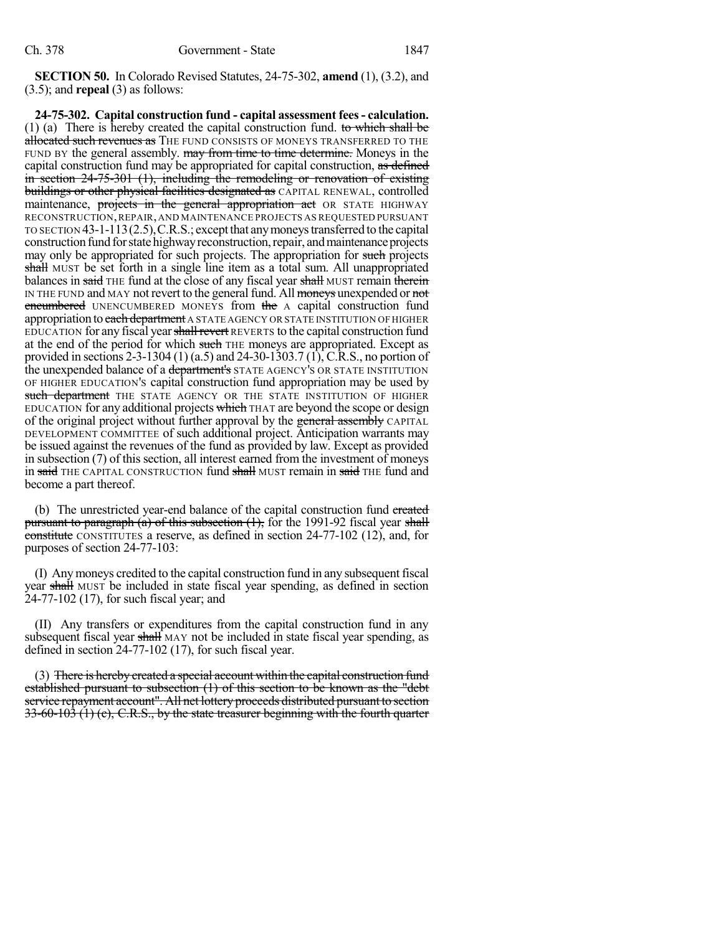**SECTION 50.** In Colorado Revised Statutes, 24-75-302, **amend** (1), (3.2), and (3.5); and **repeal** (3) as follows:

**24-75-302. Capital construction fund - capital assessment fees- calculation.** (1) (a) There is hereby created the capital construction fund. to which shall be allocated such revenues as THE FUND CONSISTS OF MONEYS TRANSFERRED TO THE FUND BY the general assembly. may from time to time determine. Moneys in the capital construction fund may be appropriated for capital construction, as defined in section 24-75-301 (1), including the remodeling or renovation of existing buildings or other physical facilities designated as CAPITAL RENEWAL, controlled maintenance, projects in the general appropriation act OR STATE HIGHWAY RECONSTRUCTION,REPAIR,AND MAINTENANCE PROJECTS AS REQUESTED PURSUANT TO SECTION 43-1-113(2.5),C.R.S.; exceptthat anymoneystransferred to the capital construction fund for state highway reconstruction, repair, and maintenance projects may only be appropriated for such projects. The appropriation for such projects shall MUST be set forth in a single line item as a total sum. All unappropriated balances in said THE fund at the close of any fiscal year shall MUST remain therein IN THE FUND and MAY not revert to the general fund. All moneys unexpended or not encumbered UNENCUMBERED MONEYS from the A capital construction fund appropriation to each department A STATE AGENCY OR STATE INSTITUTION OF HIGHER EDUCATION for any fiscal year shall revert REVERTS to the capital construction fund at the end of the period for which such THE moneys are appropriated. Except as provided in sections 2-3-1304 (1) (a.5) and 24-30-1303.7 (1), C.R.S., no portion of the unexpended balance of a department's STATE AGENCY'S OR STATE INSTITUTION OF HIGHER EDUCATION'S capital construction fund appropriation may be used by such department THE STATE AGENCY OR THE STATE INSTITUTION OF HIGHER EDUCATION for any additional projects which THAT are beyond the scope or design of the original project without further approval by the general assembly CAPITAL DEVELOPMENT COMMITTEE of such additional project. Anticipation warrants may be issued against the revenues of the fund as provided by law. Except as provided in subsection (7) of this section, all interest earned from the investment of moneys in said THE CAPITAL CONSTRUCTION fund shall MUST remain in said THE fund and become a part thereof.

(b) The unrestricted year-end balance of the capital construction fund created pursuant to paragraph (a) of this subsection  $(1)$ , for the 1991-92 fiscal year shall constitute CONSTITUTES a reserve, as defined in section 24-77-102 (12), and, for purposes of section 24-77-103:

(I) Anymoneys credited to the capital construction fund in any subsequent fiscal year shall MUST be included in state fiscal year spending, as defined in section 24-77-102 (17), for such fiscal year; and

(II) Any transfers or expenditures from the capital construction fund in any subsequent fiscal year shall MAY not be included in state fiscal year spending, as defined in section 24-77-102 (17), for such fiscal year.

(3) There is hereby created a special account within the capital construction fund established pursuant to subsection (1) of this section to be known as the "debt service repayment account". All net lottery proceeds distributed pursuant to section 33-60-103 (1) (c), C.R.S., by the state treasurer beginning with the fourth quarter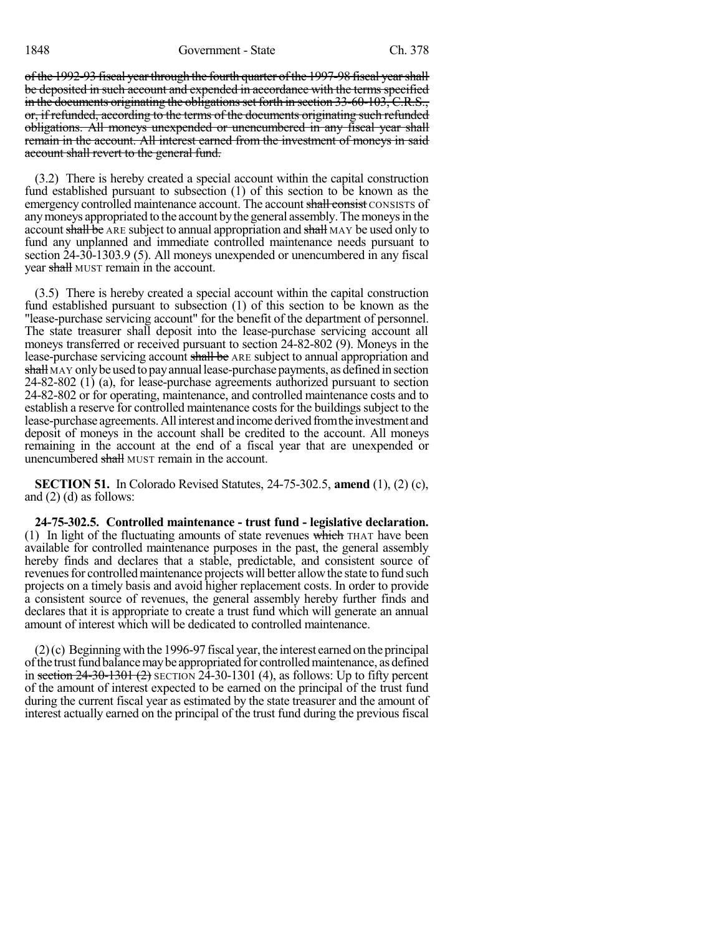1848 Government - State Ch. 378

of the 1992-93 fiscal year through the fourth quarter of the 1997-98 fiscal year shall be deposited in such account and expended in accordance with the terms specified in the documents originating the obligations set forth in section 33-60-103, C.R.S., or, if refunded, according to the terms of the documents originating such refunded obligations. All moneys unexpended or unencumbered in any fiscal year shall remain in the account. All interest earned from the investment of moneys in said account shall revert to the general fund.

(3.2) There is hereby created a special account within the capital construction fund established pursuant to subsection (1) of this section to be known as the emergency controlled maintenance account. The account shall consist CONSISTS of any moneys appropriated to the account by the general assembly. The moneys in the account shall be ARE subject to annual appropriation and shall MAY be used only to fund any unplanned and immediate controlled maintenance needs pursuant to section 24-30-1303.9 (5). All moneys unexpended or unencumbered in any fiscal year shall MUST remain in the account.

(3.5) There is hereby created a special account within the capital construction fund established pursuant to subsection (1) of this section to be known as the "lease-purchase servicing account" for the benefit of the department of personnel. The state treasurer shall deposit into the lease-purchase servicing account all moneys transferred or received pursuant to section 24-82-802 (9). Moneys in the lease-purchase servicing account shall be ARE subject to annual appropriation and shall MAY only be used to pay annual lease-purchase payments, as defined in section 24-82-802 (1) (a), for lease-purchase agreements authorized pursuant to section 24-82-802 or for operating, maintenance, and controlled maintenance costs and to establish a reserve for controlled maintenance costs for the buildings subject to the lease-purchase agreements. All interest and income derived from the investment and deposit of moneys in the account shall be credited to the account. All moneys remaining in the account at the end of a fiscal year that are unexpended or unencumbered shall MUST remain in the account.

**SECTION 51.** In Colorado Revised Statutes, 24-75-302.5, **amend** (1), (2) (c), and  $(2)$  (d) as follows:

**24-75-302.5. Controlled maintenance - trust fund - legislative declaration.** (1) In light of the fluctuating amounts of state revenues which THAT have been available for controlled maintenance purposes in the past, the general assembly hereby finds and declares that a stable, predictable, and consistent source of revenues for controlled maintenance projects will better allow the state to fund such projects on a timely basis and avoid higher replacement costs. In order to provide a consistent source of revenues, the general assembly hereby further finds and declares that it is appropriate to create a trust fund which will generate an annual amount of interest which will be dedicated to controlled maintenance.

(2)(c) Beginning with the 1996-97 fiscal year, the interest earned on the principal ofthe trustfundbalancemaybe appropriatedfor controlledmaintenance, as defined in section  $24-30-1301$  (2) SECTION 24-30-1301 (4), as follows: Up to fifty percent of the amount of interest expected to be earned on the principal of the trust fund during the current fiscal year as estimated by the state treasurer and the amount of interest actually earned on the principal of the trust fund during the previous fiscal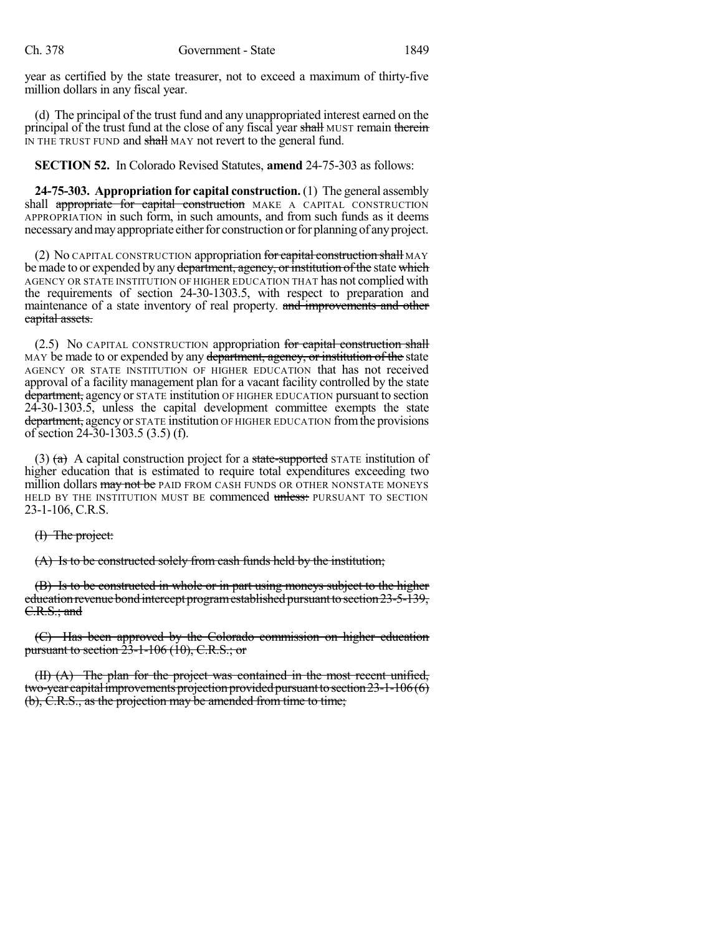year as certified by the state treasurer, not to exceed a maximum of thirty-five million dollars in any fiscal year.

(d) The principal of the trust fund and any unappropriated interest earned on the principal of the trust fund at the close of any fiscal year shall MUST remain therein IN THE TRUST FUND and shall MAY not revert to the general fund.

**SECTION 52.** In Colorado Revised Statutes, **amend** 24-75-303 as follows:

**24-75-303. Appropriation for capital construction.** (1) The general assembly shall appropriate for capital construction MAKE A CAPITAL CONSTRUCTION APPROPRIATION in such form, in such amounts, and from such funds as it deems necessary and may appropriate either for construction or for planning of any project.

(2) No CAPITAL CONSTRUCTION appropriation for capital construction shall MAY be made to or expended by any department, agency, or institution of the state which AGENCY OR STATE INSTITUTION OF HIGHER EDUCATION THAT has not complied with the requirements of section 24-30-1303.5, with respect to preparation and maintenance of a state inventory of real property. and improvements and other capital assets.

(2.5) No CAPITAL CONSTRUCTION appropriation for capital construction shall MAY be made to or expended by any department, agency, or institution of the state AGENCY OR STATE INSTITUTION OF HIGHER EDUCATION that has not received approval of a facility management plan for a vacant facility controlled by the state department, agency or STATE institution OF HIGHER EDUCATION pursuant to section 24-30-1303.5, unless the capital development committee exempts the state department, agency or STATE institution OF HIGHER EDUCATION from the provisions of section 24-30-1303.5 (3.5) (f).

(3)  $(a)$  A capital construction project for a state-supported STATE institution of higher education that is estimated to require total expenditures exceeding two million dollars may not be PAID FROM CASH FUNDS OR OTHER NONSTATE MONEYS HELD BY THE INSTITUTION MUST BE commenced unless: PURSUANT TO SECTION 23-1-106, C.R.S.

(I) The project:

(A) Is to be constructed solely from cash funds held by the institution;

(B) Is to be constructed in whole or in part using moneys subject to the higher education revenue bond intercept program established pursuant to section 23-5-139, C.R.S.; and

(C) Has been approved by the Colorado commission on higher education pursuant to section  $23-1-106$  (10), C.R.S.; or

(II) (A) The plan for the project was contained in the most recent unified, two-year capital improvements projection provided pursuant to section  $23-1-106(6)$ (b), C.R.S., as the projection may be amended from time to time;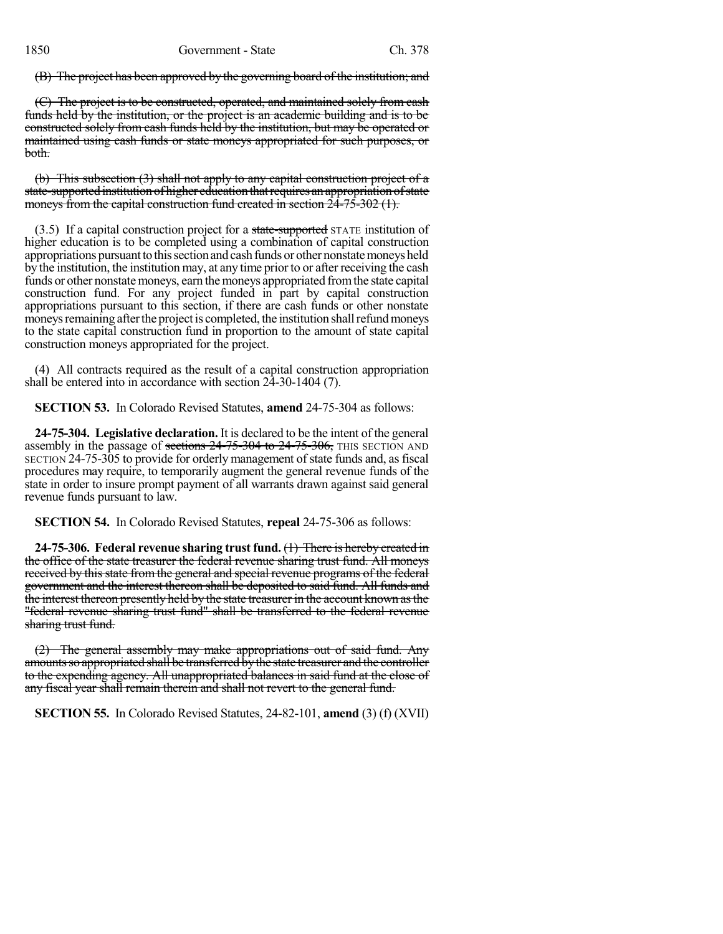(B) The project has been approved by the governing board of the institution; and

(C) The project is to be constructed, operated, and maintained solely from cash funds held by the institution, or the project is an academic building and is to be constructed solely from cash funds held by the institution, but may be operated or maintained using cash funds or state moneys appropriated for such purposes, or both.

(b) This subsection (3) shall not apply to any capital construction project of a state-supported institution of higher education that requires an appropriation of state moneys from the capital construction fund created in section  $24-75-302$  (1).

(3.5) If a capital construction project for a state-supported STATE institution of higher education is to be completed using a combination of capital construction appropriations pursuant to this section and cash funds or other nonstate moneys held by the institution, the institution may, at any time prior to or after receiving the cash funds or other nonstate moneys, earn the moneys appropriated from the state capital construction fund. For any project funded in part by capital construction appropriations pursuant to this section, if there are cash funds or other nonstate moneys remaining after the project is completed, the institution shall refund moneys to the state capital construction fund in proportion to the amount of state capital construction moneys appropriated for the project.

(4) All contracts required as the result of a capital construction appropriation shall be entered into in accordance with section 24-30-1404 (7).

**SECTION 53.** In Colorado Revised Statutes, **amend** 24-75-304 as follows:

**24-75-304. Legislative declaration.** It is declared to be the intent of the general assembly in the passage of sections 24-75-304 to 24-75-306, THIS SECTION AND SECTION 24-75-305 to provide for orderly management of state funds and, as fiscal procedures may require, to temporarily augment the general revenue funds of the state in order to insure prompt payment of all warrants drawn against said general revenue funds pursuant to law.

**SECTION 54.** In Colorado Revised Statutes, **repeal** 24-75-306 as follows:

**24-75-306. Federal revenue sharing trust fund.** (1) There is hereby created in the office of the state treasurer the federal revenue sharing trust fund. All moneys received by this state from the general and special revenue programs of the federal government and the interest thereon shall be deposited to said fund. All funds and the interest thereon presently held by the state treasurer in the account known asthe "federal revenue sharing trust fund" shall be transferred to the federal revenue sharing trust fund.

(2) The general assembly may make appropriations out of said fund. Any amounts so appropriated shall be transferred by the state treasurer and the controller to the expending agency. All unappropriated balances in said fund at the close of any fiscal year shall remain therein and shall not revert to the general fund.

**SECTION 55.** In Colorado Revised Statutes, 24-82-101, **amend** (3) (f) (XVII)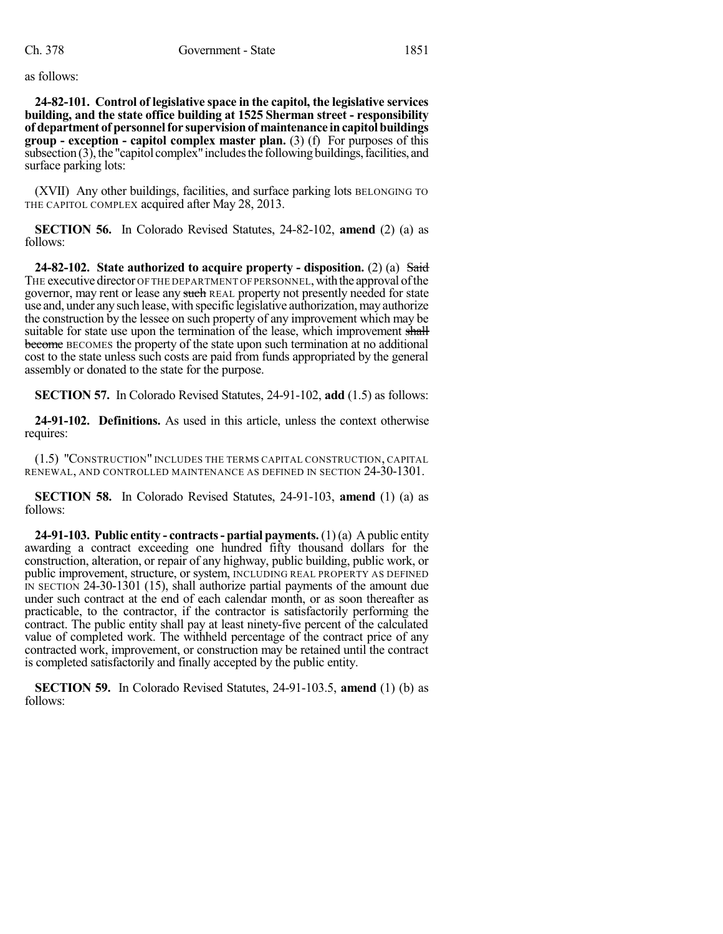as follows:

**24-82-101. Control of legislative space in the capitol, the legislative services building, and the state office building at 1525 Sherman street - responsibility of department of personnelfor supervisionof maintenance incapitolbuildings group - exception - capitol complex master plan.** (3) (f) For purposes of this subsection  $(3)$ , the "capitol complex" includes the following buildings, facilities, and surface parking lots:

(XVII) Any other buildings, facilities, and surface parking lots BELONGING TO THE CAPITOL COMPLEX acquired after May 28, 2013.

**SECTION 56.** In Colorado Revised Statutes, 24-82-102, **amend** (2) (a) as follows:

**24-82-102. State authorized to acquire property - disposition.** (2) (a) Said THE executive director OF THE DEPARTMENT OF PERSONNEL, with the approval of the governor, may rent or lease any such REAL property not presently needed for state use and, under any such lease, with specific legislative authorization, may authorize the construction by the lessee on such property of any improvement which may be suitable for state use upon the termination of the lease, which improvement shall become BECOMES the property of the state upon such termination at no additional cost to the state unless such costs are paid from funds appropriated by the general assembly or donated to the state for the purpose.

**SECTION 57.** In Colorado Revised Statutes, 24-91-102, **add** (1.5) as follows:

**24-91-102. Definitions.** As used in this article, unless the context otherwise requires:

(1.5) "CONSTRUCTION" INCLUDES THE TERMS CAPITAL CONSTRUCTION, CAPITAL RENEWAL, AND CONTROLLED MAINTENANCE AS DEFINED IN SECTION 24-30-1301.

**SECTION 58.** In Colorado Revised Statutes, 24-91-103, **amend** (1) (a) as follows:

**24-91-103. Public entity - contracts- partial payments.** (1)(a) A public entity awarding a contract exceeding one hundred fifty thousand dollars for the construction, alteration, or repair of any highway, public building, public work, or public improvement, structure, or system, INCLUDING REAL PROPERTY AS DEFINED IN SECTION 24-30-1301 (15), shall authorize partial payments of the amount due under such contract at the end of each calendar month, or as soon thereafter as practicable, to the contractor, if the contractor is satisfactorily performing the contract. The public entity shall pay at least ninety-five percent of the calculated value of completed work. The withheld percentage of the contract price of any contracted work, improvement, or construction may be retained until the contract is completed satisfactorily and finally accepted by the public entity.

**SECTION 59.** In Colorado Revised Statutes, 24-91-103.5, **amend** (1) (b) as follows: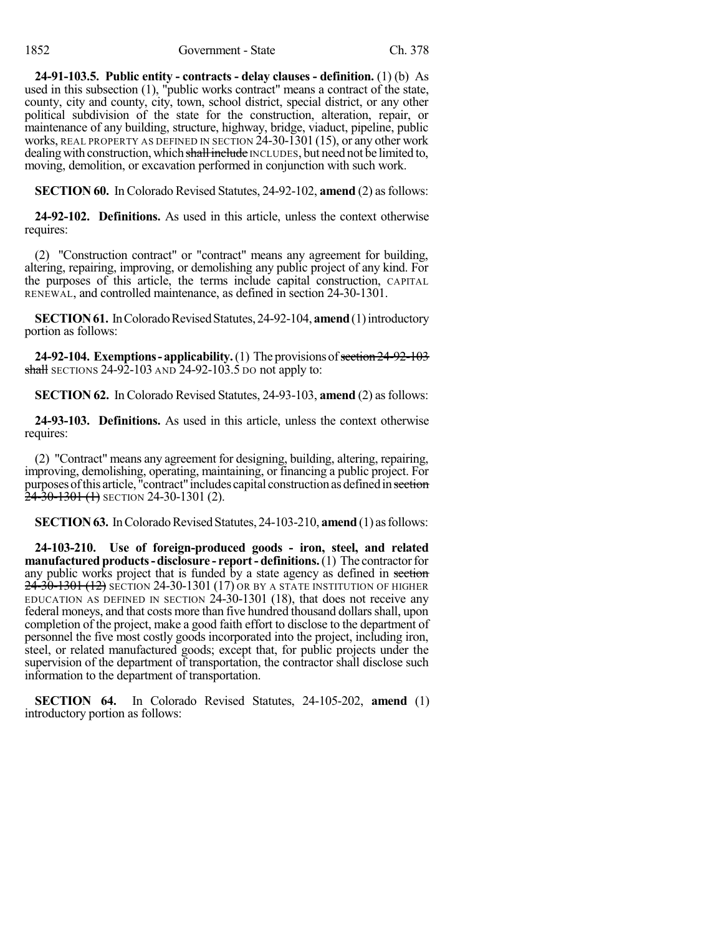**24-91-103.5. Public entity - contracts - delay clauses - definition.** (1) (b) As used in this subsection (1), "public works contract" means a contract of the state, county, city and county, city, town, school district, special district, or any other political subdivision of the state for the construction, alteration, repair, or maintenance of any building, structure, highway, bridge, viaduct, pipeline, public works, REAL PROPERTY AS DEFINED IN SECTION 24-30-1301 (15), or any other work dealing with construction, which shall include INCLUDES, but need not be limited to, moving, demolition, or excavation performed in conjunction with such work.

**SECTION 60.** In Colorado Revised Statutes, 24-92-102, **amend** (2) as follows:

**24-92-102. Definitions.** As used in this article, unless the context otherwise requires:

(2) "Construction contract" or "contract" means any agreement for building, altering, repairing, improving, or demolishing any public project of any kind. For the purposes of this article, the terms include capital construction, CAPITAL RENEWAL, and controlled maintenance, as defined in section 24-30-1301.

**SECTION 61.** In Colorado Revised Statutes, 24-92-104, **amend** (1) introductory portion as follows:

**24-92-104. Exemptions - applicability.** (1) The provisions of section 24-92-103  $shall$  SECTIONS 24-92-103 AND 24-92-103.5 DO not apply to:

**SECTION 62.** In Colorado Revised Statutes, 24-93-103, **amend** (2) as follows:

**24-93-103. Definitions.** As used in this article, unless the context otherwise requires:

(2) "Contract" means any agreement for designing, building, altering, repairing, improving, demolishing, operating, maintaining, or financing a public project. For purposes of this article, "contract" includes capital construction as defined in section 24-30-1301 (1) SECTION 24-30-1301 (2).

**SECTION 63.** In Colorado Revised Statutes, 24-103-210, **amend** (1) as follows:

**24-103-210. Use of foreign-produced goods - iron, steel, and related manufactured products-disclosure - report- definitions.**(1) The contractorfor any public works project that is funded by a state agency as defined in section 24-30-1301 (12) SECTION 24-30-1301 (17) OR BY A STATE INSTITUTION OF HIGHER EDUCATION AS DEFINED IN SECTION 24-30-1301 (18), that does not receive any federal moneys, and that costs more than five hundred thousand dollars shall, upon completion of the project, make a good faith effort to disclose to the department of personnel the five most costly goods incorporated into the project, including iron, steel, or related manufactured goods; except that, for public projects under the supervision of the department of transportation, the contractor shall disclose such information to the department of transportation.

**SECTION 64.** In Colorado Revised Statutes, 24-105-202, **amend** (1) introductory portion as follows: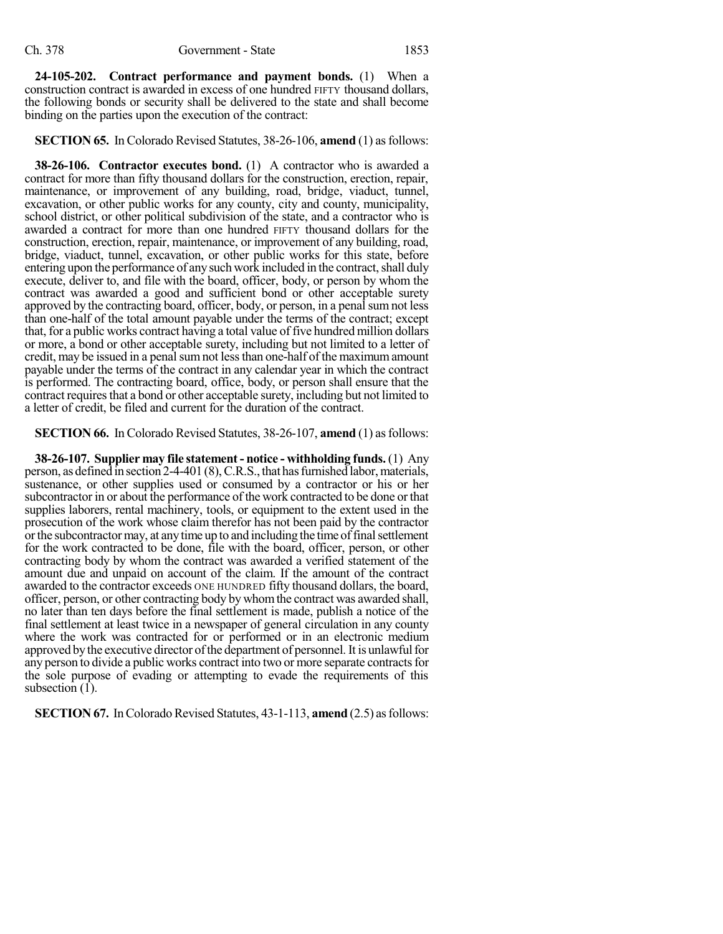**24-105-202. Contract performance and payment bonds.** (1) When a construction contract is awarded in excess of one hundred FIFTY thousand dollars, the following bonds or security shall be delivered to the state and shall become binding on the parties upon the execution of the contract:

**SECTION 65.** In Colorado Revised Statutes, 38-26-106, **amend** (1) as follows:

**38-26-106. Contractor executes bond.** (1) A contractor who is awarded a contract for more than fifty thousand dollars for the construction, erection, repair, maintenance, or improvement of any building, road, bridge, viaduct, tunnel, excavation, or other public works for any county, city and county, municipality, school district, or other political subdivision of the state, and a contractor who is awarded a contract for more than one hundred FIFTY thousand dollars for the construction, erection, repair, maintenance, or improvement of any building, road, bridge, viaduct, tunnel, excavation, or other public works for this state, before entering upon the performance of any such work included in the contract, shall duly execute, deliver to, and file with the board, officer, body, or person by whom the contract was awarded a good and sufficient bond or other acceptable surety approved by the contracting board, officer, body, or person, in a penal sum not less than one-half of the total amount payable under the terms of the contract; except that, for a public works contract having a total value of five hundred million dollars or more, a bond or other acceptable surety, including but not limited to a letter of credit, may be issued in a penal sum not less than one-half of the maximum amount payable under the terms of the contract in any calendar year in which the contract is performed. The contracting board, office, body, or person shall ensure that the contract requires that a bond or other acceptable surety, including but not limited to a letter of credit, be filed and current for the duration of the contract.

**SECTION 66.** In Colorado Revised Statutes, 38-26-107, **amend** (1) as follows:

**38-26-107. Supplier may file statement - notice - withholding funds.** (1) Any person, as defined in section 2-4-401 (8), C.R.S., that has furnished labor, materials, sustenance, or other supplies used or consumed by a contractor or his or her subcontractor in or about the performance of the work contracted to be done or that supplies laborers, rental machinery, tools, or equipment to the extent used in the prosecution of the work whose claim therefor has not been paid by the contractor orthe subcontractormay, at anytime up to and including the time offinalsettlement for the work contracted to be done, file with the board, officer, person, or other contracting body by whom the contract was awarded a verified statement of the amount due and unpaid on account of the claim. If the amount of the contract awarded to the contractor exceeds ONE HUNDRED fifty thousand dollars, the board, officer, person, or other contracting body by whomthe contract was awarded shall, no later than ten days before the final settlement is made, publish a notice of the final settlement at least twice in a newspaper of general circulation in any county where the work was contracted for or performed or in an electronic medium approved by the executive director of the department of personnel. It is unlawful for any person to divide a public works contract into two or more separate contractsfor the sole purpose of evading or attempting to evade the requirements of this subsection (1).

**SECTION 67.** In Colorado Revised Statutes, 43-1-113, **amend** (2.5) as follows: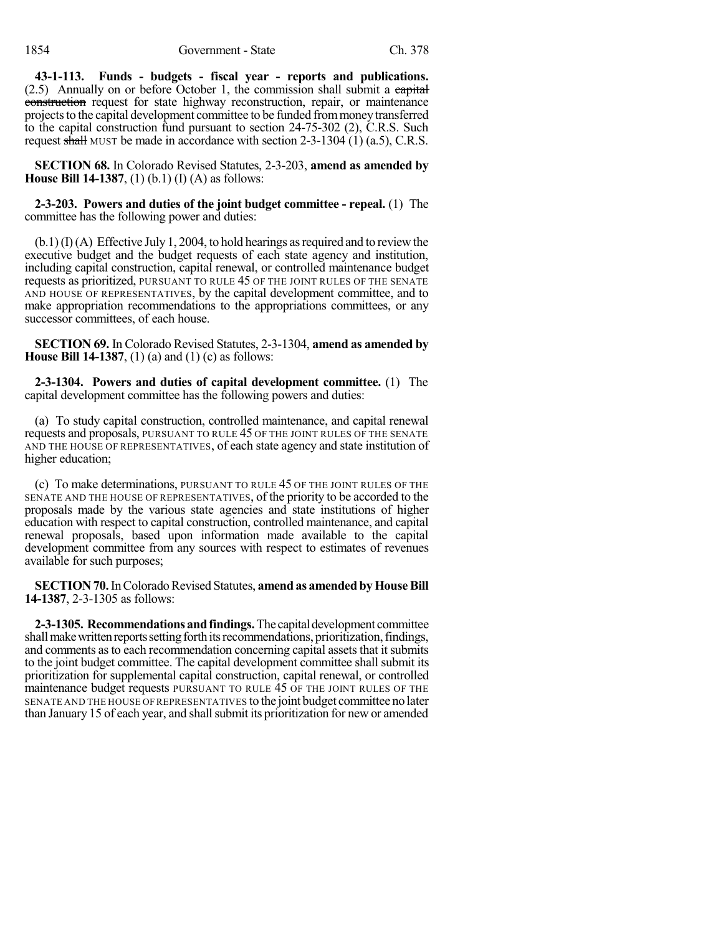**43-1-113. Funds - budgets - fiscal year - reports and publications.** (2.5) Annually on or before October 1, the commission shall submit a capital construction request for state highway reconstruction, repair, or maintenance projects to the capital development committee to be funded from money transferred to the capital construction fund pursuant to section 24-75-302 (2), C.R.S. Such request shall MUST be made in accordance with section 2-3-1304 (1) (a.5), C.R.S.

**SECTION 68.** In Colorado Revised Statutes, 2-3-203, **amend as amended by House Bill 14-1387**, (1) (b.1) (I) (A) as follows:

**2-3-203. Powers and duties of the joint budget committee - repeal.** (1) The committee has the following power and duties:

 $(b.1)(I)(A)$  Effective July 1, 2004, to hold hearings as required and to review the executive budget and the budget requests of each state agency and institution, including capital construction, capital renewal, or controlled maintenance budget requests as prioritized, PURSUANT TO RULE 45 OF THE JOINT RULES OF THE SENATE AND HOUSE OF REPRESENTATIVES, by the capital development committee, and to make appropriation recommendations to the appropriations committees, or any successor committees, of each house.

**SECTION 69.** In Colorado Revised Statutes, 2-3-1304, **amend as amended by House Bill 14-1387**, (1) (a) and (1) (c) as follows:

**2-3-1304. Powers and duties of capital development committee.** (1) The capital development committee has the following powers and duties:

(a) To study capital construction, controlled maintenance, and capital renewal requests and proposals, PURSUANT TO RULE 45 OF THE JOINT RULES OF THE SENATE AND THE HOUSE OF REPRESENTATIVES, of each state agency and state institution of higher education;

(c) To make determinations, PURSUANT TO RULE 45 OF THE JOINT RULES OF THE SENATE AND THE HOUSE OF REPRESENTATIVES, of the priority to be accorded to the proposals made by the various state agencies and state institutions of higher education with respect to capital construction, controlled maintenance, and capital renewal proposals, based upon information made available to the capital development committee from any sources with respect to estimates of revenues available for such purposes;

**SECTION 70.** In Colorado Revised Statutes, **amend** as **amended** by House Bill **14-1387**, 2-3-1305 as follows:

**2-3-1305. Recommendations and findings.** The capital development committee shall make written reports setting forthits recommendations, prioritization, findings, and comments as to each recommendation concerning capital assets that it submits to the joint budget committee. The capital development committee shall submit its prioritization for supplemental capital construction, capital renewal, or controlled maintenance budget requests PURSUANT TO RULE 45 OF THE JOINT RULES OF THE SENATE AND THE HOUSE OF REPRESENTATIVES to the joint budget committee no later than January 15 of each year, and shall submit its prioritization for new or amended